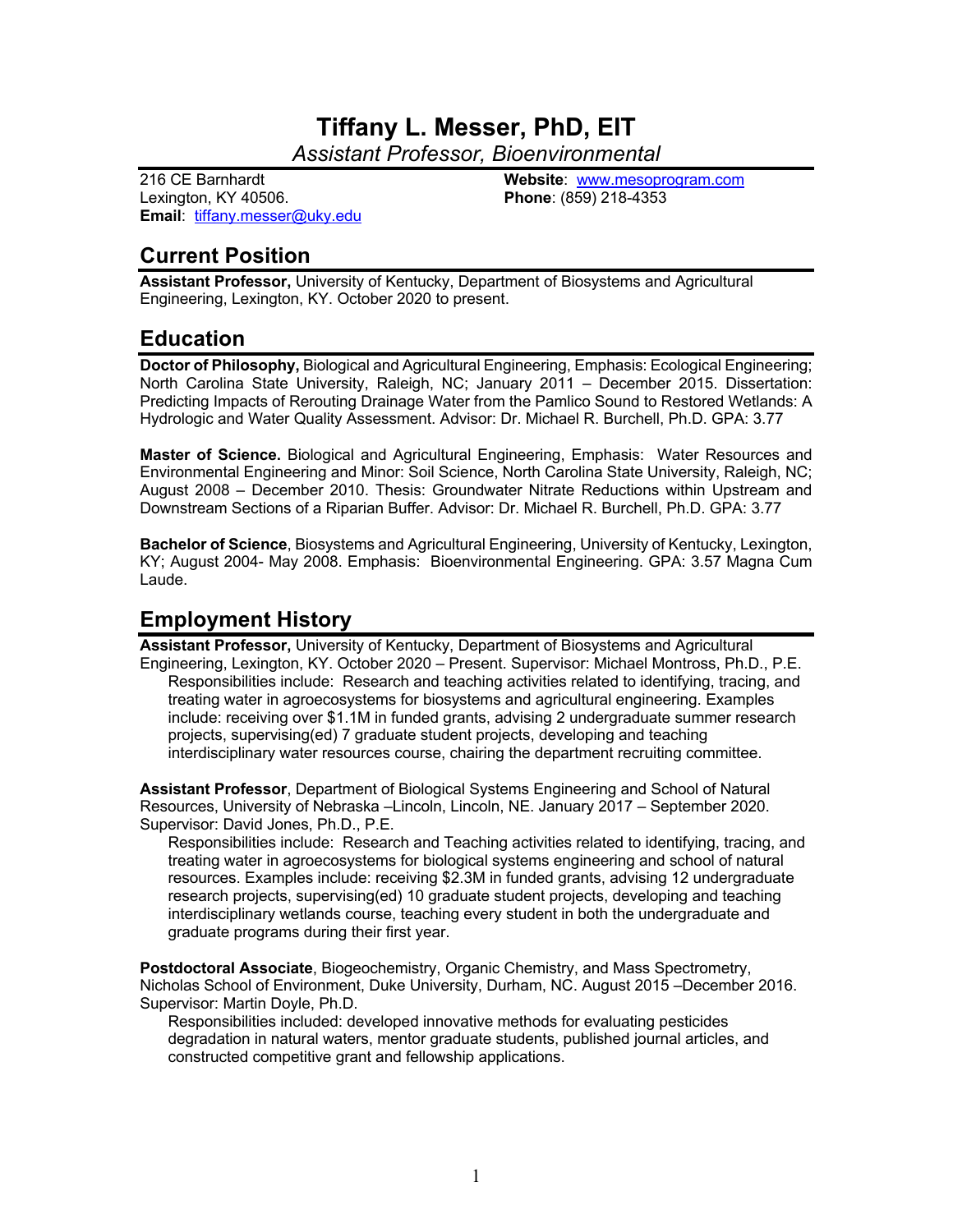# **Tiffany L. Messer, PhD, EIT**

*Assistant Professor, Bioenvironmental*

216 CE Barnhardt Lexington, KY 40506. **Email**: tiffany.messer@uky.edu **Website**: www.mesoprogram.com **Phone**: (859) 218-4353

# **Current Position**

**Assistant Professor,** University of Kentucky, Department of Biosystems and Agricultural Engineering, Lexington, KY. October 2020 to present.

## **Education**

**Doctor of Philosophy,** Biological and Agricultural Engineering, Emphasis: Ecological Engineering; North Carolina State University, Raleigh, NC; January 2011 – December 2015. Dissertation: Predicting Impacts of Rerouting Drainage Water from the Pamlico Sound to Restored Wetlands: A Hydrologic and Water Quality Assessment. Advisor: Dr. Michael R. Burchell, Ph.D. GPA: 3.77

**Master of Science.** Biological and Agricultural Engineering, Emphasis: Water Resources and Environmental Engineering and Minor: Soil Science, North Carolina State University, Raleigh, NC; August 2008 – December 2010. Thesis: Groundwater Nitrate Reductions within Upstream and Downstream Sections of a Riparian Buffer. Advisor: Dr. Michael R. Burchell, Ph.D. GPA: 3.77

**Bachelor of Science**, Biosystems and Agricultural Engineering, University of Kentucky, Lexington, KY; August 2004- May 2008. Emphasis: Bioenvironmental Engineering. GPA: 3.57 Magna Cum Laude.

## **Employment History**

**Assistant Professor,** University of Kentucky, Department of Biosystems and Agricultural Engineering, Lexington, KY. October 2020 – Present. Supervisor: Michael Montross, Ph.D., P.E. Responsibilities include: Research and teaching activities related to identifying, tracing, and treating water in agroecosystems for biosystems and agricultural engineering. Examples include: receiving over \$1.1M in funded grants, advising 2 undergraduate summer research projects, supervising(ed) 7 graduate student projects, developing and teaching interdisciplinary water resources course, chairing the department recruiting committee.

**Assistant Professor**, Department of Biological Systems Engineering and School of Natural Resources, University of Nebraska –Lincoln, Lincoln, NE. January 2017 – September 2020. Supervisor: David Jones, Ph.D., P.E.

Responsibilities include: Research and Teaching activities related to identifying, tracing, and treating water in agroecosystems for biological systems engineering and school of natural resources. Examples include: receiving \$2.3M in funded grants, advising 12 undergraduate research projects, supervising(ed) 10 graduate student projects, developing and teaching interdisciplinary wetlands course, teaching every student in both the undergraduate and graduate programs during their first year.

**Postdoctoral Associate**, Biogeochemistry, Organic Chemistry, and Mass Spectrometry, Nicholas School of Environment, Duke University, Durham, NC. August 2015 –December 2016. Supervisor: Martin Doyle, Ph.D.

Responsibilities included: developed innovative methods for evaluating pesticides degradation in natural waters, mentor graduate students, published journal articles, and constructed competitive grant and fellowship applications.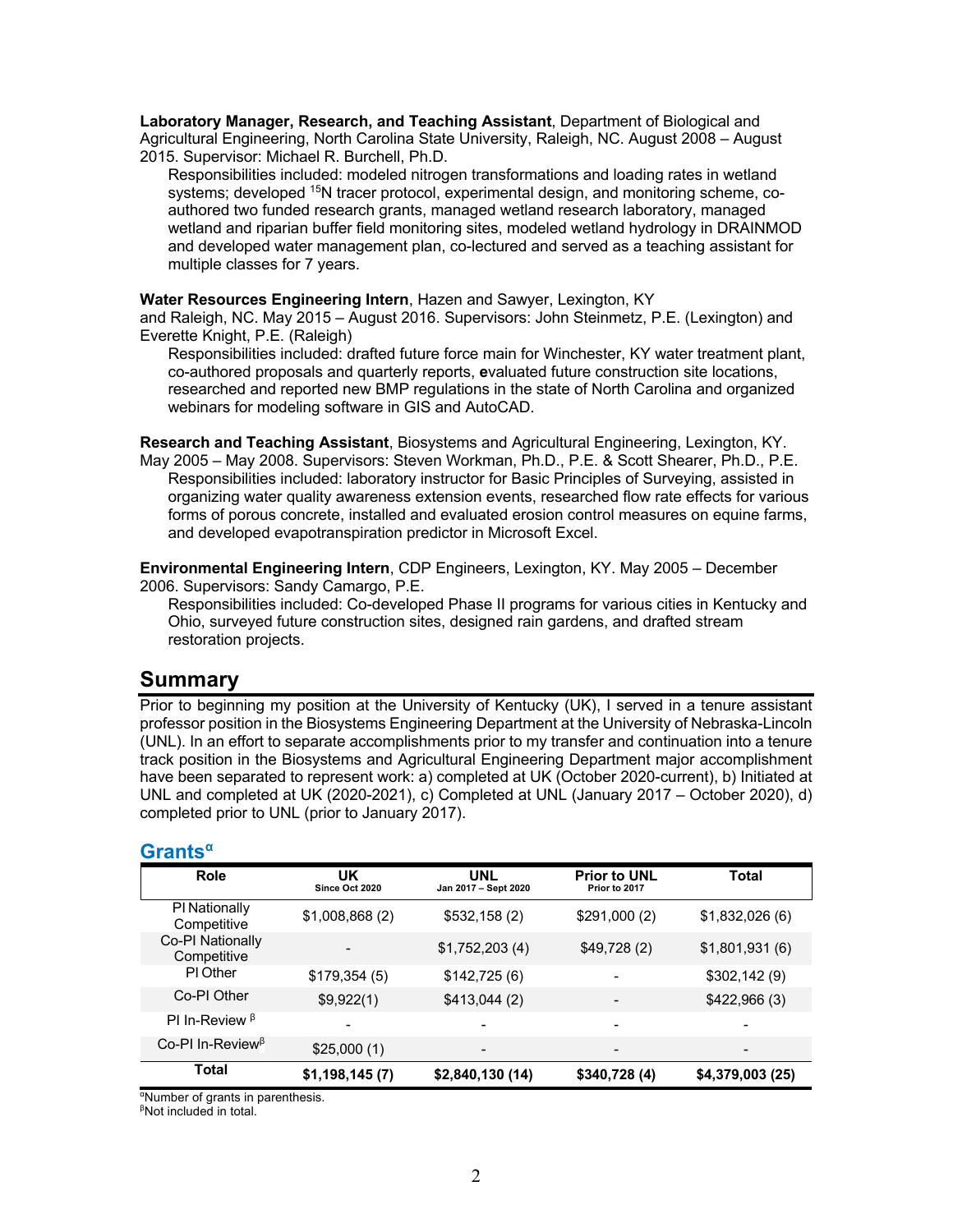**Laboratory Manager, Research, and Teaching Assistant**, Department of Biological and Agricultural Engineering, North Carolina State University, Raleigh, NC. August 2008 – August 2015. Supervisor: Michael R. Burchell, Ph.D.

Responsibilities included: modeled nitrogen transformations and loading rates in wetland systems; developed 15N tracer protocol, experimental design, and monitoring scheme, coauthored two funded research grants, managed wetland research laboratory, managed wetland and riparian buffer field monitoring sites, modeled wetland hydrology in DRAINMOD and developed water management plan, co-lectured and served as a teaching assistant for multiple classes for 7 years.

#### **Water Resources Engineering Intern**, Hazen and Sawyer, Lexington, KY

and Raleigh, NC. May 2015 – August 2016. Supervisors: John Steinmetz, P.E. (Lexington) and Everette Knight, P.E. (Raleigh)

Responsibilities included: drafted future force main for Winchester, KY water treatment plant, co-authored proposals and quarterly reports, **e**valuated future construction site locations, researched and reported new BMP regulations in the state of North Carolina and organized webinars for modeling software in GIS and AutoCAD.

**Research and Teaching Assistant**, Biosystems and Agricultural Engineering, Lexington, KY. May 2005 – May 2008. Supervisors: Steven Workman, Ph.D., P.E. & Scott Shearer, Ph.D., P.E. Responsibilities included: laboratory instructor for Basic Principles of Surveying, assisted in organizing water quality awareness extension events, researched flow rate effects for various forms of porous concrete, installed and evaluated erosion control measures on equine farms, and developed evapotranspiration predictor in Microsoft Excel.

**Environmental Engineering Intern**, CDP Engineers, Lexington, KY. May 2005 – December 2006. Supervisors: Sandy Camargo, P.E.

Responsibilities included: Co-developed Phase II programs for various cities in Kentucky and Ohio, surveyed future construction sites, designed rain gardens, and drafted stream restoration projects.

## **Summary**

Prior to beginning my position at the University of Kentucky (UK), I served in a tenure assistant professor position in the Biosystems Engineering Department at the University of Nebraska-Lincoln (UNL). In an effort to separate accomplishments prior to my transfer and continuation into a tenure track position in the Biosystems and Agricultural Engineering Department major accomplishment have been separated to represent work: a) completed at UK (October 2020-current), b) Initiated at UNL and completed at UK (2020-2021), c) Completed at UNL (January 2017 – October 2020), d) completed prior to UNL (prior to January 2017).

### **Grantsα**

| Role                                          | UK<br>Since Oct 2020 | <b>UNL</b><br>Jan 2017 - Sept 2020 | <b>Prior to UNL</b><br>Prior to 2017 | Total            |
|-----------------------------------------------|----------------------|------------------------------------|--------------------------------------|------------------|
| PI Nationally<br>Competitive                  | \$1,008,868(2)       | \$532,158(2)                       | \$291,000 (2)                        | \$1,832,026(6)   |
| Co-PI Nationally<br>Competitive               |                      | \$1,752,203(4)                     | \$49,728(2)                          | \$1,801,931(6)   |
| PI Other                                      | \$179,354(5)         | \$142,725(6)                       |                                      | \$302,142(9)     |
| Co-PI Other                                   | \$9,922(1)           | \$413,044(2)                       |                                      | \$422,966(3)     |
| PI In-Review $\beta$                          |                      |                                    |                                      |                  |
| Co-PI In-Review <sup><math>\beta</math></sup> | \$25,000(1)          | -                                  |                                      | -                |
| Total                                         | \$1,198,145(7)       | \$2,840,130 (14)                   | \$340,728 (4)                        | \$4,379,003 (25) |

<sup>a</sup>Number of grants in parenthesis.

β Not included in total.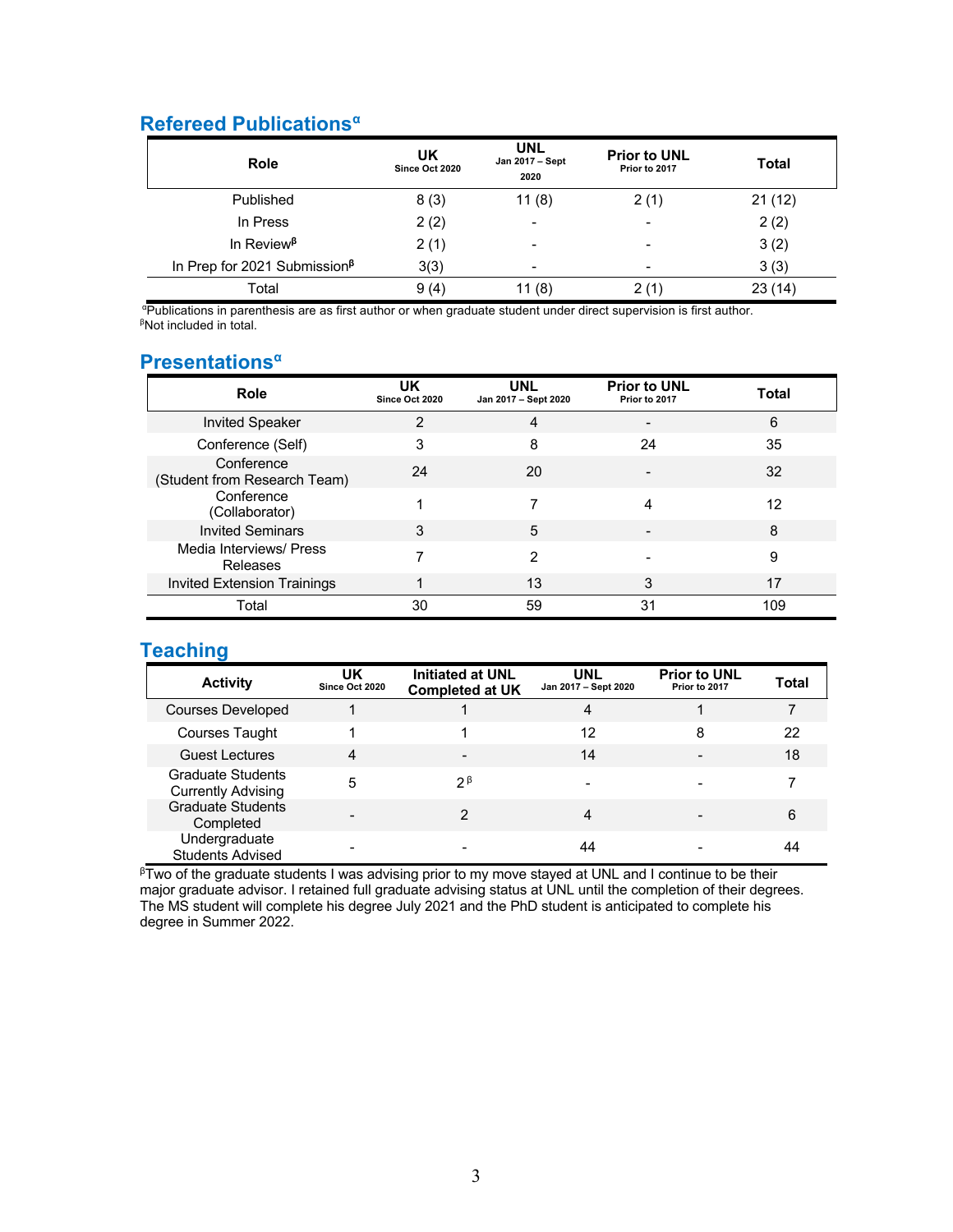## **Refereed Publicationsα**

| <b>Role</b>                              | UK<br>Since Oct 2020 | <b>UNL</b><br>Jan 2017 - Sept<br>2020 | <b>Prior to UNL</b><br>Prior to 2017 | Total  |
|------------------------------------------|----------------------|---------------------------------------|--------------------------------------|--------|
| Published                                | 8(3)                 | 11(8)                                 | 2(1)                                 | 21(12) |
| In Press                                 | 2(2)                 | -                                     | $\overline{\phantom{a}}$             | 2(2)   |
| In Review <sup><math>\beta</math></sup>  | 2(1)                 |                                       | $\overline{\phantom{a}}$             | 3(2)   |
| In Prep for 2021 Submission <sup>ß</sup> | 3(3)                 | -                                     | $\overline{\phantom{a}}$             | 3(3)   |
| Total                                    | 9(4)                 | 11 (8)                                | 2(1)                                 | 23(14) |

α Publications in parenthesis are as first author or when graduate student under direct supervision is first author. <sup>β</sup>Not included in total.

## **Presentationsα**

| Role                                       | IJΚ<br>Since Oct 2020 | UNL<br>Jan 2017 - Sept 2020 | <b>Prior to UNL</b><br>Prior to 2017 | Total |
|--------------------------------------------|-----------------------|-----------------------------|--------------------------------------|-------|
| <b>Invited Speaker</b>                     | 2                     | 4                           |                                      | 6     |
| Conference (Self)                          | 3                     | 8                           | 24                                   | 35    |
| Conference<br>(Student from Research Team) | 24                    | 20                          |                                      | 32    |
| Conference<br>(Collaborator)               |                       |                             | 4                                    | 12    |
| <b>Invited Seminars</b>                    | 3                     | 5                           |                                      | 8     |
| Media Interviews/ Press<br>Releases        |                       | 2                           |                                      | 9     |
| <b>Invited Extension Trainings</b>         |                       | 13                          | 3                                    | 17    |
| Total                                      | 30                    | 59                          | 31                                   | 109   |

## **Teaching**

| <b>Activity</b>                                       | UK<br>Since Oct 2020 | <b>Initiated at UNL</b><br><b>Completed at UK</b> | <b>UNL</b><br>Jan 2017 - Sept 2020 | <b>Prior to UNL</b><br>Prior to 2017 | Total |
|-------------------------------------------------------|----------------------|---------------------------------------------------|------------------------------------|--------------------------------------|-------|
| Courses Developed                                     |                      |                                                   | 4                                  |                                      |       |
| Courses Taught                                        |                      |                                                   | 12                                 | 8                                    | 22    |
| <b>Guest Lectures</b>                                 | 4                    |                                                   | 14                                 |                                      | 18    |
| <b>Graduate Students</b><br><b>Currently Advising</b> | 5                    | つB                                                |                                    |                                      |       |
| <b>Graduate Students</b><br>Completed                 |                      | っ                                                 | 4                                  |                                      | 6     |
| Undergraduate<br><b>Students Advised</b>              |                      |                                                   | 44                                 |                                      | 44    |

 $\beta$ Two of the graduate students I was advising prior to my move stayed at UNL and I continue to be their major graduate advisor. I retained full graduate advising status at UNL until the completion of their degrees. The MS student will complete his degree July 2021 and the PhD student is anticipated to complete his degree in Summer 2022.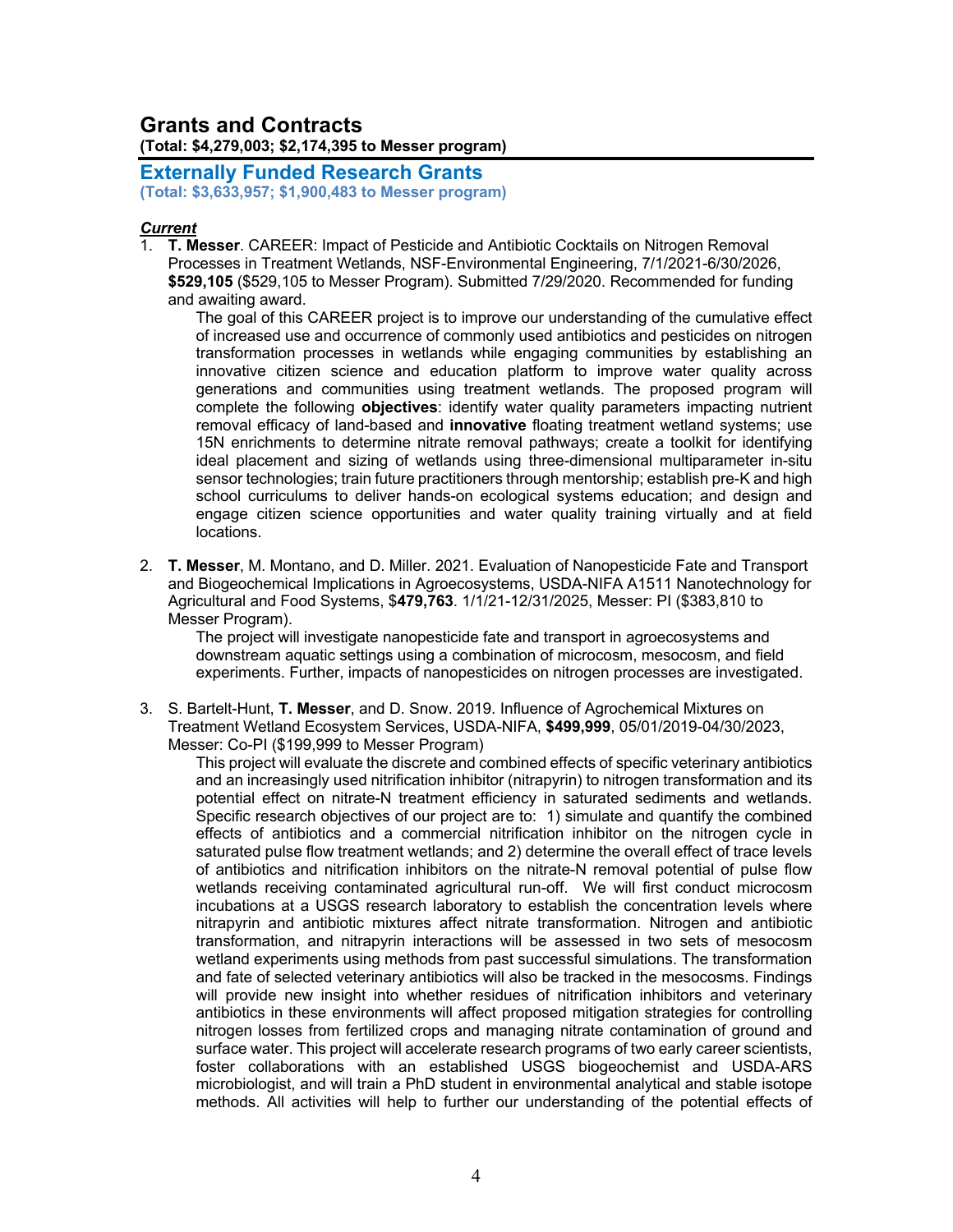### **Grants and Contracts (Total: \$4,279,003; \$2,174,395 to Messer program)**

**Externally Funded Research Grants (Total: \$3,633,957; \$1,900,483 to Messer program)**

#### *Current*

1. **T. Messer**. CAREER: Impact of Pesticide and Antibiotic Cocktails on Nitrogen Removal Processes in Treatment Wetlands, NSF-Environmental Engineering, 7/1/2021-6/30/2026, **\$529,105** (\$529,105 to Messer Program). Submitted 7/29/2020. Recommended for funding and awaiting award.

The goal of this CAREER project is to improve our understanding of the cumulative effect of increased use and occurrence of commonly used antibiotics and pesticides on nitrogen transformation processes in wetlands while engaging communities by establishing an innovative citizen science and education platform to improve water quality across generations and communities using treatment wetlands. The proposed program will complete the following **objectives**: identify water quality parameters impacting nutrient removal efficacy of land-based and **innovative** floating treatment wetland systems; use 15N enrichments to determine nitrate removal pathways; create a toolkit for identifying ideal placement and sizing of wetlands using three-dimensional multiparameter in-situ sensor technologies; train future practitioners through mentorship; establish pre-K and high school curriculums to deliver hands-on ecological systems education; and design and engage citizen science opportunities and water quality training virtually and at field locations.

2. **T. Messer**, M. Montano, and D. Miller. 2021. Evaluation of Nanopesticide Fate and Transport and Biogeochemical Implications in Agroecosystems, USDA-NIFA A1511 Nanotechnology for Agricultural and Food Systems, \$**479,763**. 1/1/21-12/31/2025, Messer: PI (\$383,810 to Messer Program).

The project will investigate nanopesticide fate and transport in agroecosystems and downstream aquatic settings using a combination of microcosm, mesocosm, and field experiments. Further, impacts of nanopesticides on nitrogen processes are investigated.

3. S. Bartelt-Hunt, **T. Messer**, and D. Snow. 2019. Influence of Agrochemical Mixtures on Treatment Wetland Ecosystem Services, USDA-NIFA, **\$499,999**, 05/01/2019-04/30/2023, Messer: Co-PI (\$199,999 to Messer Program)

This project will evaluate the discrete and combined effects of specific veterinary antibiotics and an increasingly used nitrification inhibitor (nitrapyrin) to nitrogen transformation and its potential effect on nitrate-N treatment efficiency in saturated sediments and wetlands. Specific research objectives of our project are to: 1) simulate and quantify the combined effects of antibiotics and a commercial nitrification inhibitor on the nitrogen cycle in saturated pulse flow treatment wetlands; and 2) determine the overall effect of trace levels of antibiotics and nitrification inhibitors on the nitrate-N removal potential of pulse flow wetlands receiving contaminated agricultural run-off. We will first conduct microcosm incubations at a USGS research laboratory to establish the concentration levels where nitrapyrin and antibiotic mixtures affect nitrate transformation. Nitrogen and antibiotic transformation, and nitrapyrin interactions will be assessed in two sets of mesocosm wetland experiments using methods from past successful simulations. The transformation and fate of selected veterinary antibiotics will also be tracked in the mesocosms. Findings will provide new insight into whether residues of nitrification inhibitors and veterinary antibiotics in these environments will affect proposed mitigation strategies for controlling nitrogen losses from fertilized crops and managing nitrate contamination of ground and surface water. This project will accelerate research programs of two early career scientists, foster collaborations with an established USGS biogeochemist and USDA-ARS microbiologist, and will train a PhD student in environmental analytical and stable isotope methods. All activities will help to further our understanding of the potential effects of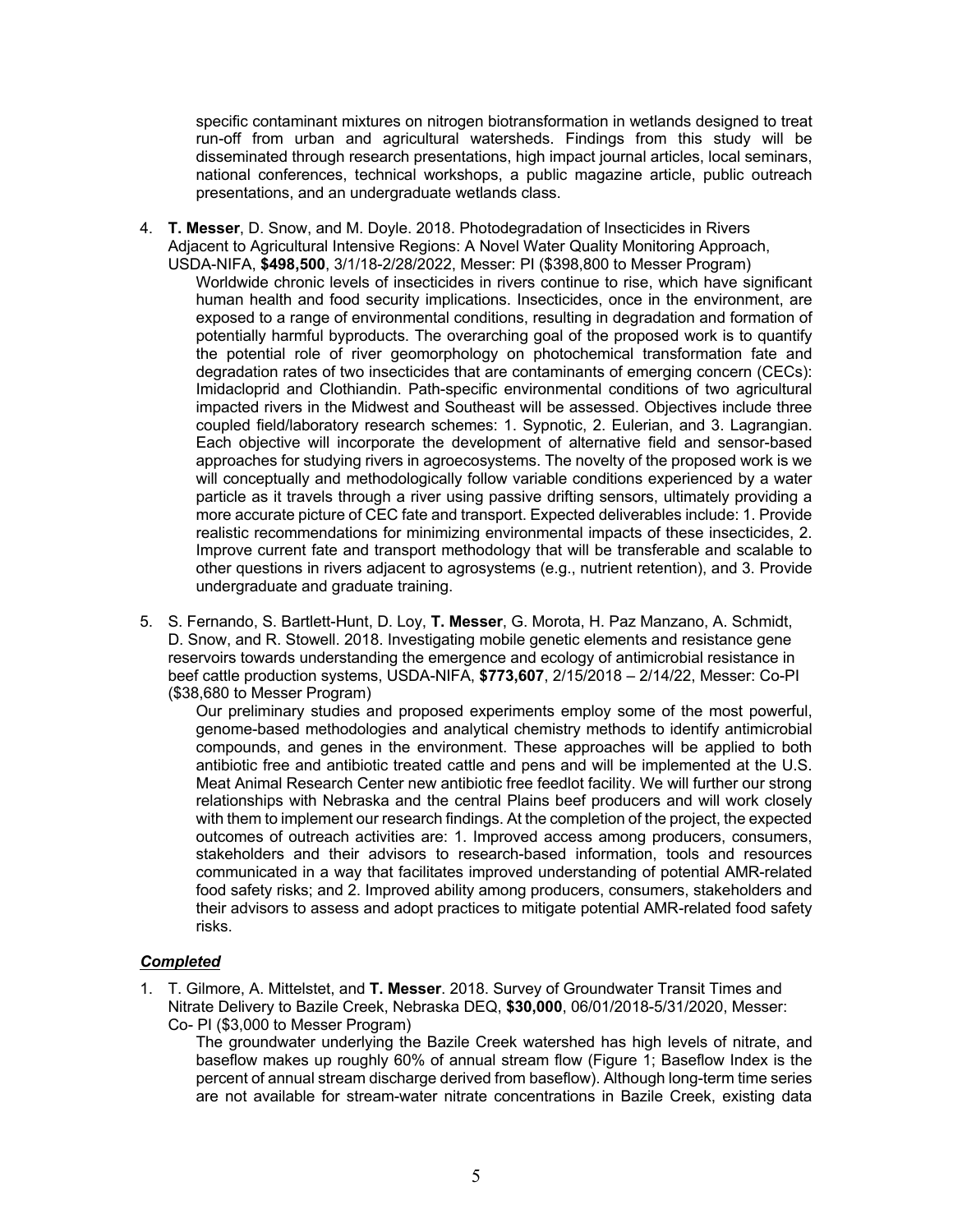specific contaminant mixtures on nitrogen biotransformation in wetlands designed to treat run-off from urban and agricultural watersheds. Findings from this study will be disseminated through research presentations, high impact journal articles, local seminars, national conferences, technical workshops, a public magazine article, public outreach presentations, and an undergraduate wetlands class.

4. **T. Messer**, D. Snow, and M. Doyle. 2018. Photodegradation of Insecticides in Rivers Adjacent to Agricultural Intensive Regions: A Novel Water Quality Monitoring Approach, USDA-NIFA, **\$498,500**, 3/1/18-2/28/2022, Messer: PI (\$398,800 to Messer Program)

Worldwide chronic levels of insecticides in rivers continue to rise, which have significant human health and food security implications. Insecticides, once in the environment, are exposed to a range of environmental conditions, resulting in degradation and formation of potentially harmful byproducts. The overarching goal of the proposed work is to quantify the potential role of river geomorphology on photochemical transformation fate and degradation rates of two insecticides that are contaminants of emerging concern (CECs): Imidacloprid and Clothiandin. Path-specific environmental conditions of two agricultural impacted rivers in the Midwest and Southeast will be assessed. Objectives include three coupled field/laboratory research schemes: 1. Sypnotic, 2. Eulerian, and 3. Lagrangian. Each objective will incorporate the development of alternative field and sensor-based approaches for studying rivers in agroecosystems. The novelty of the proposed work is we will conceptually and methodologically follow variable conditions experienced by a water particle as it travels through a river using passive drifting sensors, ultimately providing a more accurate picture of CEC fate and transport. Expected deliverables include: 1. Provide realistic recommendations for minimizing environmental impacts of these insecticides, 2. Improve current fate and transport methodology that will be transferable and scalable to other questions in rivers adjacent to agrosystems (e.g., nutrient retention), and 3. Provide undergraduate and graduate training.

5. S. Fernando, S. Bartlett-Hunt, D. Loy, **T. Messer**, G. Morota, H. Paz Manzano, A. Schmidt, D. Snow, and R. Stowell. 2018. Investigating mobile genetic elements and resistance gene reservoirs towards understanding the emergence and ecology of antimicrobial resistance in beef cattle production systems, USDA-NIFA, **\$773,607**, 2/15/2018 – 2/14/22, Messer: Co-PI (\$38,680 to Messer Program)

Our preliminary studies and proposed experiments employ some of the most powerful, genome-based methodologies and analytical chemistry methods to identify antimicrobial compounds, and genes in the environment. These approaches will be applied to both antibiotic free and antibiotic treated cattle and pens and will be implemented at the U.S. Meat Animal Research Center new antibiotic free feedlot facility. We will further our strong relationships with Nebraska and the central Plains beef producers and will work closely with them to implement our research findings. At the completion of the project, the expected outcomes of outreach activities are: 1. Improved access among producers, consumers, stakeholders and their advisors to research-based information, tools and resources communicated in a way that facilitates improved understanding of potential AMR-related food safety risks; and 2. Improved ability among producers, consumers, stakeholders and their advisors to assess and adopt practices to mitigate potential AMR-related food safety risks.

#### *Completed*

1. T. Gilmore, A. Mittelstet, and **T. Messer**. 2018. Survey of Groundwater Transit Times and Nitrate Delivery to Bazile Creek, Nebraska DEQ, **\$30,000**, 06/01/2018-5/31/2020, Messer: Co- PI (\$3,000 to Messer Program)

The groundwater underlying the Bazile Creek watershed has high levels of nitrate, and baseflow makes up roughly 60% of annual stream flow (Figure 1; Baseflow Index is the percent of annual stream discharge derived from baseflow). Although long-term time series are not available for stream-water nitrate concentrations in Bazile Creek, existing data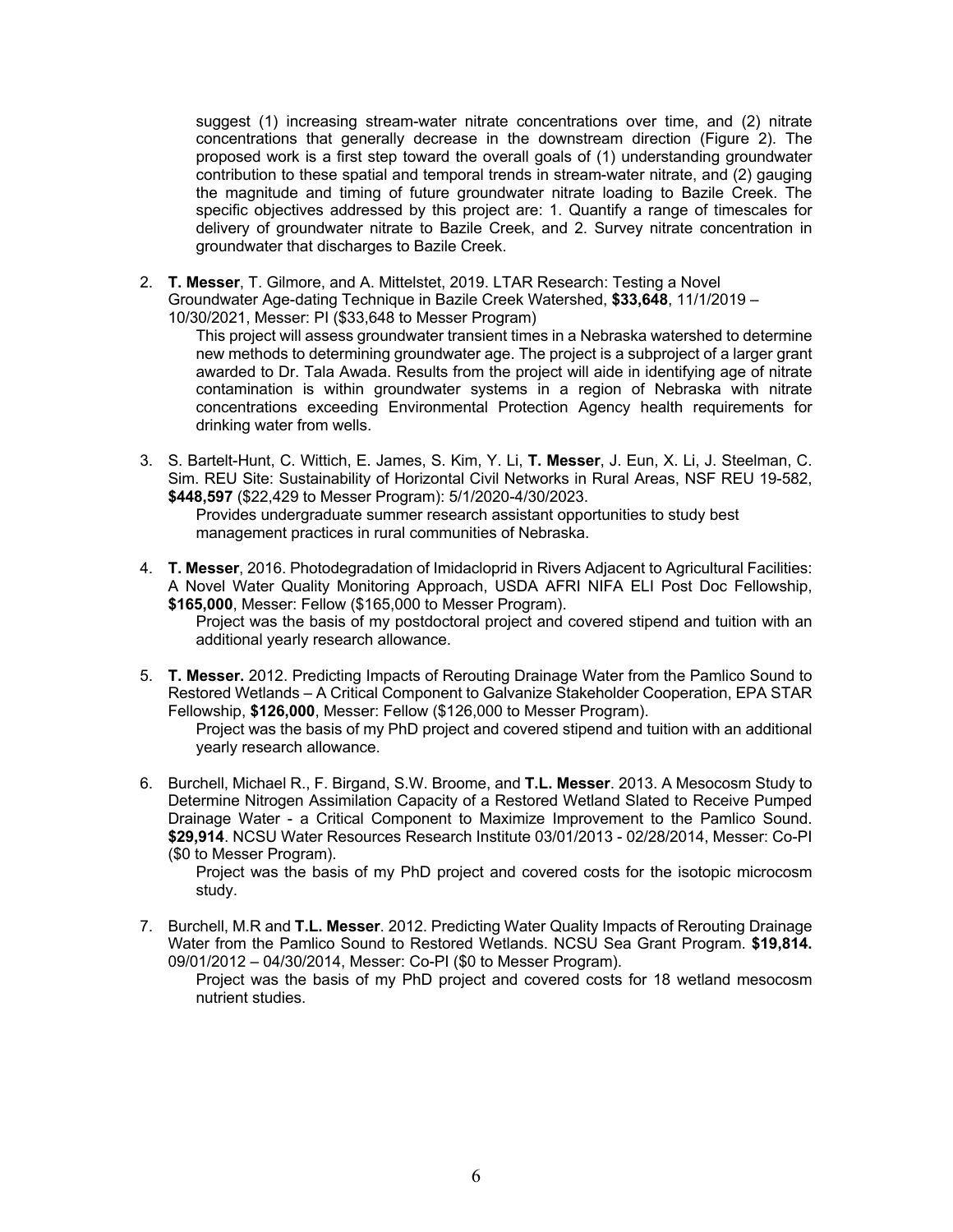suggest (1) increasing stream-water nitrate concentrations over time, and (2) nitrate concentrations that generally decrease in the downstream direction (Figure 2). The proposed work is a first step toward the overall goals of (1) understanding groundwater contribution to these spatial and temporal trends in stream-water nitrate, and (2) gauging the magnitude and timing of future groundwater nitrate loading to Bazile Creek. The specific objectives addressed by this project are: 1. Quantify a range of timescales for delivery of groundwater nitrate to Bazile Creek, and 2. Survey nitrate concentration in groundwater that discharges to Bazile Creek.

2. **T. Messer**, T. Gilmore, and A. Mittelstet, 2019. LTAR Research: Testing a Novel Groundwater Age-dating Technique in Bazile Creek Watershed, **\$33,648**, 11/1/2019 – 10/30/2021, Messer: PI (\$33,648 to Messer Program)

This project will assess groundwater transient times in a Nebraska watershed to determine new methods to determining groundwater age. The project is a subproject of a larger grant awarded to Dr. Tala Awada. Results from the project will aide in identifying age of nitrate contamination is within groundwater systems in a region of Nebraska with nitrate concentrations exceeding Environmental Protection Agency health requirements for drinking water from wells.

3. S. Bartelt-Hunt, C. Wittich, E. James, S. Kim, Y. Li, **T. Messer**, J. Eun, X. Li, J. Steelman, C. Sim. REU Site: Sustainability of Horizontal Civil Networks in Rural Areas, NSF REU 19-582, **\$448,597** (\$22,429 to Messer Program): 5/1/2020-4/30/2023.

Provides undergraduate summer research assistant opportunities to study best management practices in rural communities of Nebraska.

4. **T. Messer**, 2016. Photodegradation of Imidacloprid in Rivers Adjacent to Agricultural Facilities: A Novel Water Quality Monitoring Approach, USDA AFRI NIFA ELI Post Doc Fellowship, **\$165,000**, Messer: Fellow (\$165,000 to Messer Program).

Project was the basis of my postdoctoral project and covered stipend and tuition with an additional yearly research allowance.

5. **T. Messer.** 2012. Predicting Impacts of Rerouting Drainage Water from the Pamlico Sound to Restored Wetlands – A Critical Component to Galvanize Stakeholder Cooperation, EPA STAR Fellowship, **\$126,000**, Messer: Fellow (\$126,000 to Messer Program).

Project was the basis of my PhD project and covered stipend and tuition with an additional yearly research allowance.

6. Burchell, Michael R., F. Birgand, S.W. Broome, and **T.L. Messer**. 2013. A Mesocosm Study to Determine Nitrogen Assimilation Capacity of a Restored Wetland Slated to Receive Pumped Drainage Water - a Critical Component to Maximize Improvement to the Pamlico Sound. **\$29,914**. NCSU Water Resources Research Institute 03/01/2013 - 02/28/2014, Messer: Co-PI (\$0 to Messer Program).

Project was the basis of my PhD project and covered costs for the isotopic microcosm study.

7. Burchell, M.R and **T.L. Messer**. 2012. Predicting Water Quality Impacts of Rerouting Drainage Water from the Pamlico Sound to Restored Wetlands. NCSU Sea Grant Program. **\$19,814.**  09/01/2012 – 04/30/2014, Messer: Co-PI (\$0 to Messer Program).

Project was the basis of my PhD project and covered costs for 18 wetland mesocosm nutrient studies.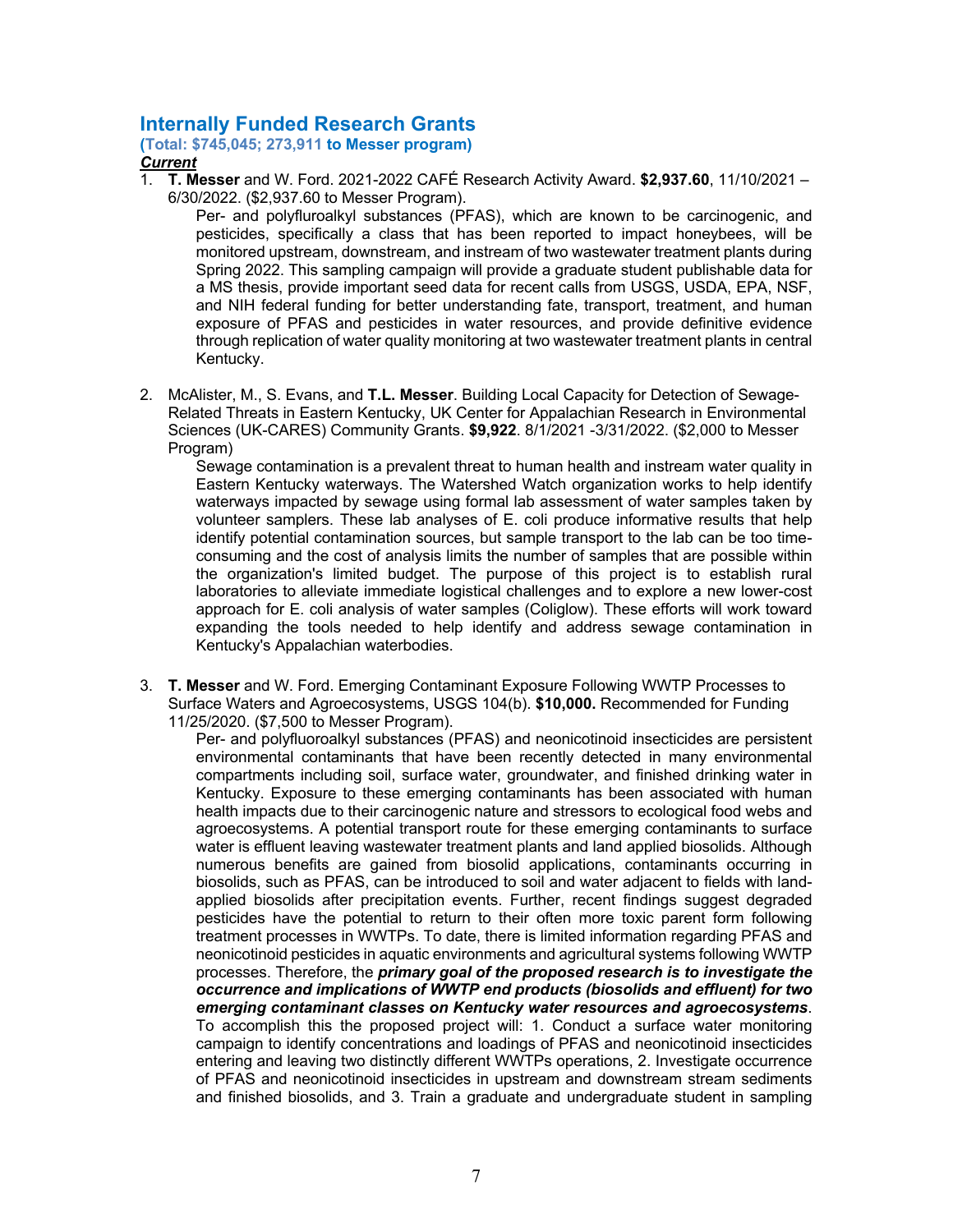### **Internally Funded Research Grants**

**(Total: \$745,045; 273,911 to Messer program)**

*Current*

1. **T. Messer** and W. Ford. 2021-2022 CAFÉ Research Activity Award. **\$2,937.60**, 11/10/2021 – 6/30/2022. (\$2,937.60 to Messer Program).

Per- and polyfluroalkyl substances (PFAS), which are known to be carcinogenic, and pesticides, specifically a class that has been reported to impact honeybees, will be monitored upstream, downstream, and instream of two wastewater treatment plants during Spring 2022. This sampling campaign will provide a graduate student publishable data for a MS thesis, provide important seed data for recent calls from USGS, USDA, EPA, NSF, and NIH federal funding for better understanding fate, transport, treatment, and human exposure of PFAS and pesticides in water resources, and provide definitive evidence through replication of water quality monitoring at two wastewater treatment plants in central Kentucky.

2. McAlister, M., S. Evans, and **T.L. Messer**. Building Local Capacity for Detection of Sewage-Related Threats in Eastern Kentucky, UK Center for Appalachian Research in Environmental Sciences (UK-CARES) Community Grants. **\$9,922**. 8/1/2021 -3/31/2022. (\$2,000 to Messer Program)

Sewage contamination is a prevalent threat to human health and instream water quality in Eastern Kentucky waterways. The Watershed Watch organization works to help identify waterways impacted by sewage using formal lab assessment of water samples taken by volunteer samplers. These lab analyses of E. coli produce informative results that help identify potential contamination sources, but sample transport to the lab can be too timeconsuming and the cost of analysis limits the number of samples that are possible within the organization's limited budget. The purpose of this project is to establish rural laboratories to alleviate immediate logistical challenges and to explore a new lower-cost approach for E. coli analysis of water samples (Coliglow). These efforts will work toward expanding the tools needed to help identify and address sewage contamination in Kentucky's Appalachian waterbodies.

3. **T. Messer** and W. Ford. Emerging Contaminant Exposure Following WWTP Processes to Surface Waters and Agroecosystems, USGS 104(b). **\$10,000.** Recommended for Funding 11/25/2020. (\$7,500 to Messer Program).

Per- and polyfluoroalkyl substances (PFAS) and neonicotinoid insecticides are persistent environmental contaminants that have been recently detected in many environmental compartments including soil, surface water, groundwater, and finished drinking water in Kentucky. Exposure to these emerging contaminants has been associated with human health impacts due to their carcinogenic nature and stressors to ecological food webs and agroecosystems. A potential transport route for these emerging contaminants to surface water is effluent leaving wastewater treatment plants and land applied biosolids. Although numerous benefits are gained from biosolid applications, contaminants occurring in biosolids, such as PFAS, can be introduced to soil and water adjacent to fields with landapplied biosolids after precipitation events. Further, recent findings suggest degraded pesticides have the potential to return to their often more toxic parent form following treatment processes in WWTPs. To date, there is limited information regarding PFAS and neonicotinoid pesticides in aquatic environments and agricultural systems following WWTP processes. Therefore, the *primary goal of the proposed research is to investigate the occurrence and implications of WWTP end products (biosolids and effluent) for two emerging contaminant classes on Kentucky water resources and agroecosystems*. To accomplish this the proposed project will: 1. Conduct a surface water monitoring campaign to identify concentrations and loadings of PFAS and neonicotinoid insecticides entering and leaving two distinctly different WWTPs operations, 2. Investigate occurrence of PFAS and neonicotinoid insecticides in upstream and downstream stream sediments and finished biosolids, and 3. Train a graduate and undergraduate student in sampling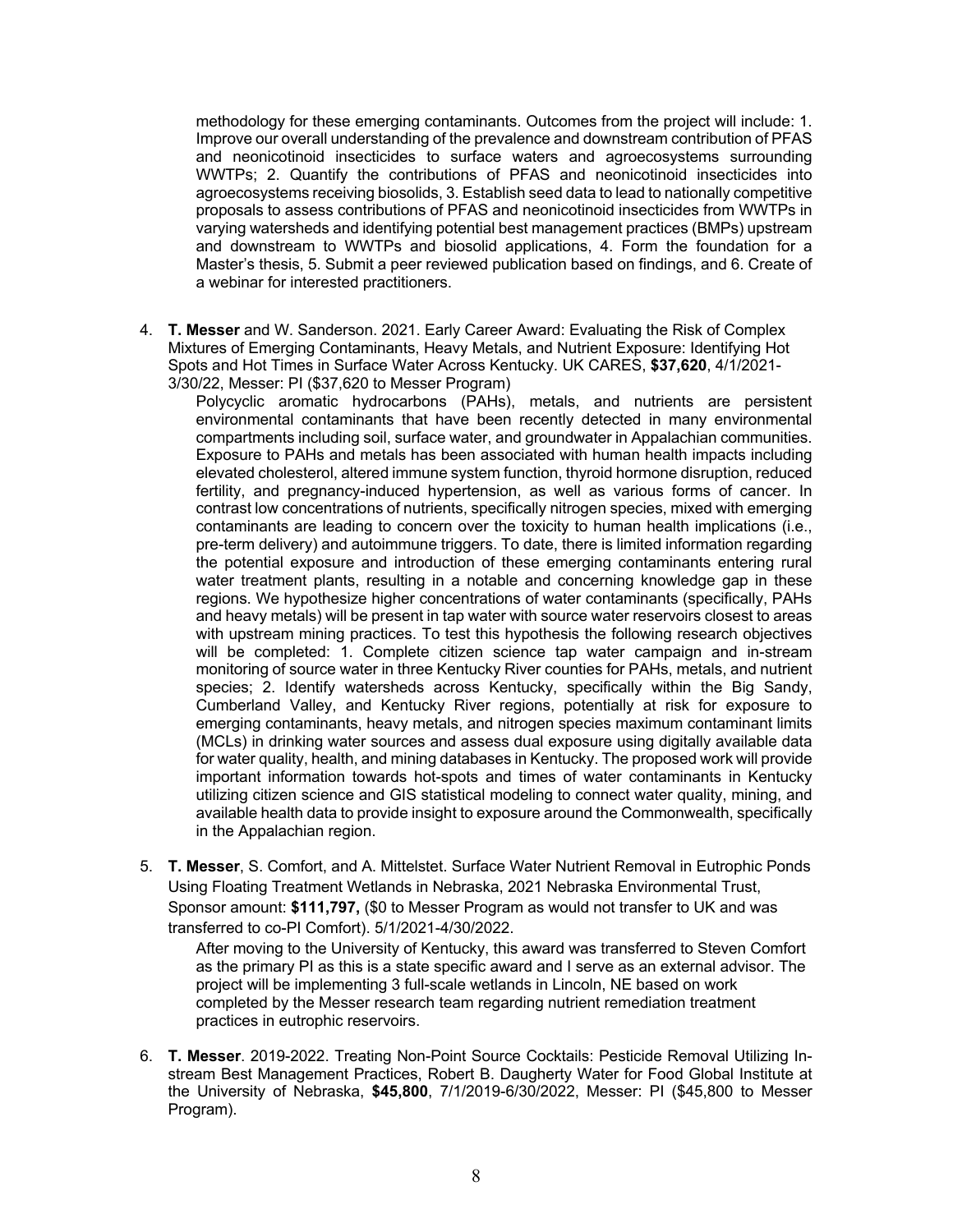methodology for these emerging contaminants. Outcomes from the project will include: 1. Improve our overall understanding of the prevalence and downstream contribution of PFAS and neonicotinoid insecticides to surface waters and agroecosystems surrounding WWTPs; 2. Quantify the contributions of PFAS and neonicotinoid insecticides into agroecosystems receiving biosolids, 3. Establish seed data to lead to nationally competitive proposals to assess contributions of PFAS and neonicotinoid insecticides from WWTPs in varying watersheds and identifying potential best management practices (BMPs) upstream and downstream to WWTPs and biosolid applications, 4. Form the foundation for a Master's thesis, 5. Submit a peer reviewed publication based on findings, and 6. Create of a webinar for interested practitioners.

4. **T. Messer** and W. Sanderson. 2021. Early Career Award: Evaluating the Risk of Complex Mixtures of Emerging Contaminants, Heavy Metals, and Nutrient Exposure: Identifying Hot Spots and Hot Times in Surface Water Across Kentucky. UK CARES, **\$37,620**, 4/1/2021- 3/30/22, Messer: PI (\$37,620 to Messer Program)

Polycyclic aromatic hydrocarbons (PAHs), metals, and nutrients are persistent environmental contaminants that have been recently detected in many environmental compartments including soil, surface water, and groundwater in Appalachian communities. Exposure to PAHs and metals has been associated with human health impacts including elevated cholesterol, altered immune system function, thyroid hormone disruption, reduced fertility, and pregnancy-induced hypertension, as well as various forms of cancer. In contrast low concentrations of nutrients, specifically nitrogen species, mixed with emerging contaminants are leading to concern over the toxicity to human health implications (i.e., pre-term delivery) and autoimmune triggers. To date, there is limited information regarding the potential exposure and introduction of these emerging contaminants entering rural water treatment plants, resulting in a notable and concerning knowledge gap in these regions. We hypothesize higher concentrations of water contaminants (specifically, PAHs and heavy metals) will be present in tap water with source water reservoirs closest to areas with upstream mining practices. To test this hypothesis the following research objectives will be completed: 1. Complete citizen science tap water campaign and in-stream monitoring of source water in three Kentucky River counties for PAHs, metals, and nutrient species; 2. Identify watersheds across Kentucky, specifically within the Big Sandy, Cumberland Valley, and Kentucky River regions, potentially at risk for exposure to emerging contaminants, heavy metals, and nitrogen species maximum contaminant limits (MCLs) in drinking water sources and assess dual exposure using digitally available data for water quality, health, and mining databases in Kentucky. The proposed work will provide important information towards hot-spots and times of water contaminants in Kentucky utilizing citizen science and GIS statistical modeling to connect water quality, mining, and available health data to provide insight to exposure around the Commonwealth, specifically in the Appalachian region.

5. **T. Messer**, S. Comfort, and A. Mittelstet. Surface Water Nutrient Removal in Eutrophic Ponds Using Floating Treatment Wetlands in Nebraska, 2021 Nebraska Environmental Trust, Sponsor amount: **\$111,797,** (\$0 to Messer Program as would not transfer to UK and was transferred to co-PI Comfort). 5/1/2021-4/30/2022.

After moving to the University of Kentucky, this award was transferred to Steven Comfort as the primary PI as this is a state specific award and I serve as an external advisor. The project will be implementing 3 full-scale wetlands in Lincoln, NE based on work completed by the Messer research team regarding nutrient remediation treatment practices in eutrophic reservoirs.

6. **T. Messer**. 2019-2022. Treating Non-Point Source Cocktails: Pesticide Removal Utilizing Instream Best Management Practices, Robert B. Daugherty Water for Food Global Institute at the University of Nebraska, **\$45,800**, 7/1/2019-6/30/2022, Messer: PI (\$45,800 to Messer Program).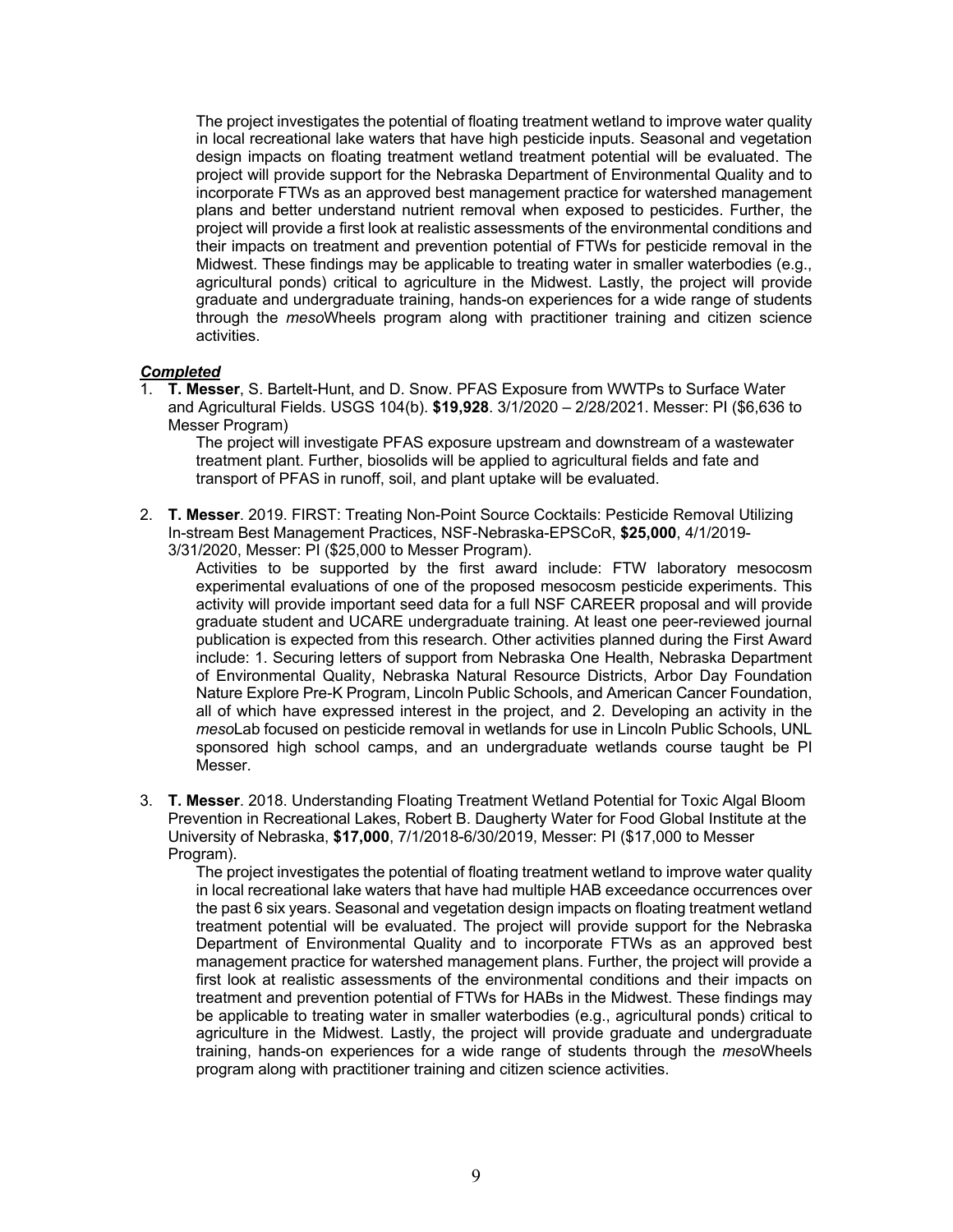The project investigates the potential of floating treatment wetland to improve water quality in local recreational lake waters that have high pesticide inputs. Seasonal and vegetation design impacts on floating treatment wetland treatment potential will be evaluated. The project will provide support for the Nebraska Department of Environmental Quality and to incorporate FTWs as an approved best management practice for watershed management plans and better understand nutrient removal when exposed to pesticides. Further, the project will provide a first look at realistic assessments of the environmental conditions and their impacts on treatment and prevention potential of FTWs for pesticide removal in the Midwest. These findings may be applicable to treating water in smaller waterbodies (e.g., agricultural ponds) critical to agriculture in the Midwest. Lastly, the project will provide graduate and undergraduate training, hands-on experiences for a wide range of students through the *meso*Wheels program along with practitioner training and citizen science activities.

#### *Completed*

1. **T. Messer**, S. Bartelt-Hunt, and D. Snow. PFAS Exposure from WWTPs to Surface Water and Agricultural Fields. USGS 104(b). **\$19,928**. 3/1/2020 – 2/28/2021. Messer: PI (\$6,636 to Messer Program)

The project will investigate PFAS exposure upstream and downstream of a wastewater treatment plant. Further, biosolids will be applied to agricultural fields and fate and transport of PFAS in runoff, soil, and plant uptake will be evaluated.

2. **T. Messer**. 2019. FIRST: Treating Non-Point Source Cocktails: Pesticide Removal Utilizing In-stream Best Management Practices, NSF-Nebraska-EPSCoR, **\$25,000**, 4/1/2019- 3/31/2020, Messer: PI (\$25,000 to Messer Program).

Activities to be supported by the first award include: FTW laboratory mesocosm experimental evaluations of one of the proposed mesocosm pesticide experiments. This activity will provide important seed data for a full NSF CAREER proposal and will provide graduate student and UCARE undergraduate training. At least one peer-reviewed journal publication is expected from this research. Other activities planned during the First Award include: 1. Securing letters of support from Nebraska One Health, Nebraska Department of Environmental Quality, Nebraska Natural Resource Districts, Arbor Day Foundation Nature Explore Pre-K Program, Lincoln Public Schools, and American Cancer Foundation, all of which have expressed interest in the project, and 2. Developing an activity in the *meso*Lab focused on pesticide removal in wetlands for use in Lincoln Public Schools, UNL sponsored high school camps, and an undergraduate wetlands course taught be PI Messer.

3. **T. Messer**. 2018. Understanding Floating Treatment Wetland Potential for Toxic Algal Bloom Prevention in Recreational Lakes, Robert B. Daugherty Water for Food Global Institute at the University of Nebraska, **\$17,000**, 7/1/2018-6/30/2019, Messer: PI (\$17,000 to Messer Program).

The project investigates the potential of floating treatment wetland to improve water quality in local recreational lake waters that have had multiple HAB exceedance occurrences over the past 6 six years. Seasonal and vegetation design impacts on floating treatment wetland treatment potential will be evaluated. The project will provide support for the Nebraska Department of Environmental Quality and to incorporate FTWs as an approved best management practice for watershed management plans. Further, the project will provide a first look at realistic assessments of the environmental conditions and their impacts on treatment and prevention potential of FTWs for HABs in the Midwest. These findings may be applicable to treating water in smaller waterbodies (e.g., agricultural ponds) critical to agriculture in the Midwest. Lastly, the project will provide graduate and undergraduate training, hands-on experiences for a wide range of students through the *meso*Wheels program along with practitioner training and citizen science activities.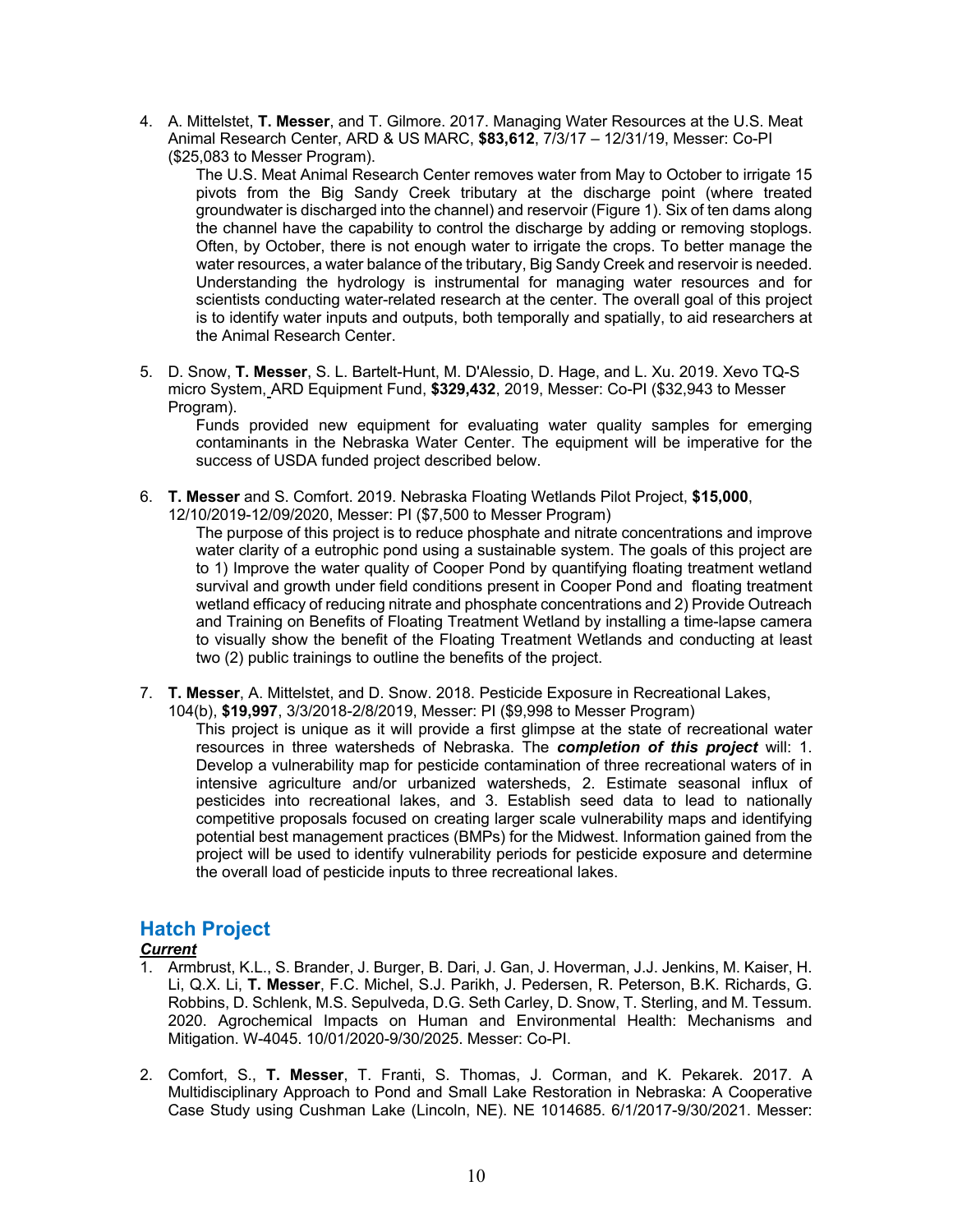4. A. Mittelstet, **T. Messer**, and T. Gilmore. 2017. Managing Water Resources at the U.S. Meat Animal Research Center, ARD & US MARC, **\$83,612**, 7/3/17 – 12/31/19, Messer: Co-PI (\$25,083 to Messer Program).

The U.S. Meat Animal Research Center removes water from May to October to irrigate 15 pivots from the Big Sandy Creek tributary at the discharge point (where treated groundwater is discharged into the channel) and reservoir (Figure 1). Six of ten dams along the channel have the capability to control the discharge by adding or removing stoplogs. Often, by October, there is not enough water to irrigate the crops. To better manage the water resources, a water balance of the tributary, Big Sandy Creek and reservoir is needed. Understanding the hydrology is instrumental for managing water resources and for scientists conducting water-related research at the center. The overall goal of this project is to identify water inputs and outputs, both temporally and spatially, to aid researchers at the Animal Research Center.

5. D. Snow, **T. Messer**, S. L. Bartelt-Hunt, M. D'Alessio, D. Hage, and L. Xu. 2019. Xevo TQ-S micro System, ARD Equipment Fund, **\$329,432**, 2019, Messer: Co-PI (\$32,943 to Messer Program).

Funds provided new equipment for evaluating water quality samples for emerging contaminants in the Nebraska Water Center. The equipment will be imperative for the success of USDA funded project described below.

- 6. **T. Messer** and S. Comfort. 2019. Nebraska Floating Wetlands Pilot Project, **\$15,000**,
	- 12/10/2019-12/09/2020, Messer: PI (\$7,500 to Messer Program)

The purpose of this project is to reduce phosphate and nitrate concentrations and improve water clarity of a eutrophic pond using a sustainable system. The goals of this project are to 1) Improve the water quality of Cooper Pond by quantifying floating treatment wetland survival and growth under field conditions present in Cooper Pond and floating treatment wetland efficacy of reducing nitrate and phosphate concentrations and 2) Provide Outreach and Training on Benefits of Floating Treatment Wetland by installing a time-lapse camera to visually show the benefit of the Floating Treatment Wetlands and conducting at least two (2) public trainings to outline the benefits of the project.

- 7. **T. Messer**, A. Mittelstet, and D. Snow. 2018. Pesticide Exposure in Recreational Lakes,
	- 104(b), **\$19,997**, 3/3/2018-2/8/2019, Messer: PI (\$9,998 to Messer Program)

This project is unique as it will provide a first glimpse at the state of recreational water resources in three watersheds of Nebraska. The *completion of this project* will: 1. Develop a vulnerability map for pesticide contamination of three recreational waters of in intensive agriculture and/or urbanized watersheds, 2. Estimate seasonal influx of pesticides into recreational lakes, and 3. Establish seed data to lead to nationally competitive proposals focused on creating larger scale vulnerability maps and identifying potential best management practices (BMPs) for the Midwest. Information gained from the project will be used to identify vulnerability periods for pesticide exposure and determine the overall load of pesticide inputs to three recreational lakes.

### **Hatch Project**

#### *Current*

- 1. Armbrust, K.L., S. Brander, J. Burger, B. Dari, J. Gan, J. Hoverman, J.J. Jenkins, M. Kaiser, H. Li, Q.X. Li, **T. Messer**, F.C. Michel, S.J. Parikh, J. Pedersen, R. Peterson, B.K. Richards, G. Robbins, D. Schlenk, M.S. Sepulveda, D.G. Seth Carley, D. Snow, T. Sterling, and M. Tessum. 2020. Agrochemical Impacts on Human and Environmental Health: Mechanisms and Mitigation. W-4045. 10/01/2020-9/30/2025. Messer: Co-PI.
- 2. Comfort, S., **T. Messer**, T. Franti, S. Thomas, J. Corman, and K. Pekarek. 2017. A Multidisciplinary Approach to Pond and Small Lake Restoration in Nebraska: A Cooperative Case Study using Cushman Lake (Lincoln, NE). NE 1014685. 6/1/2017-9/30/2021. Messer: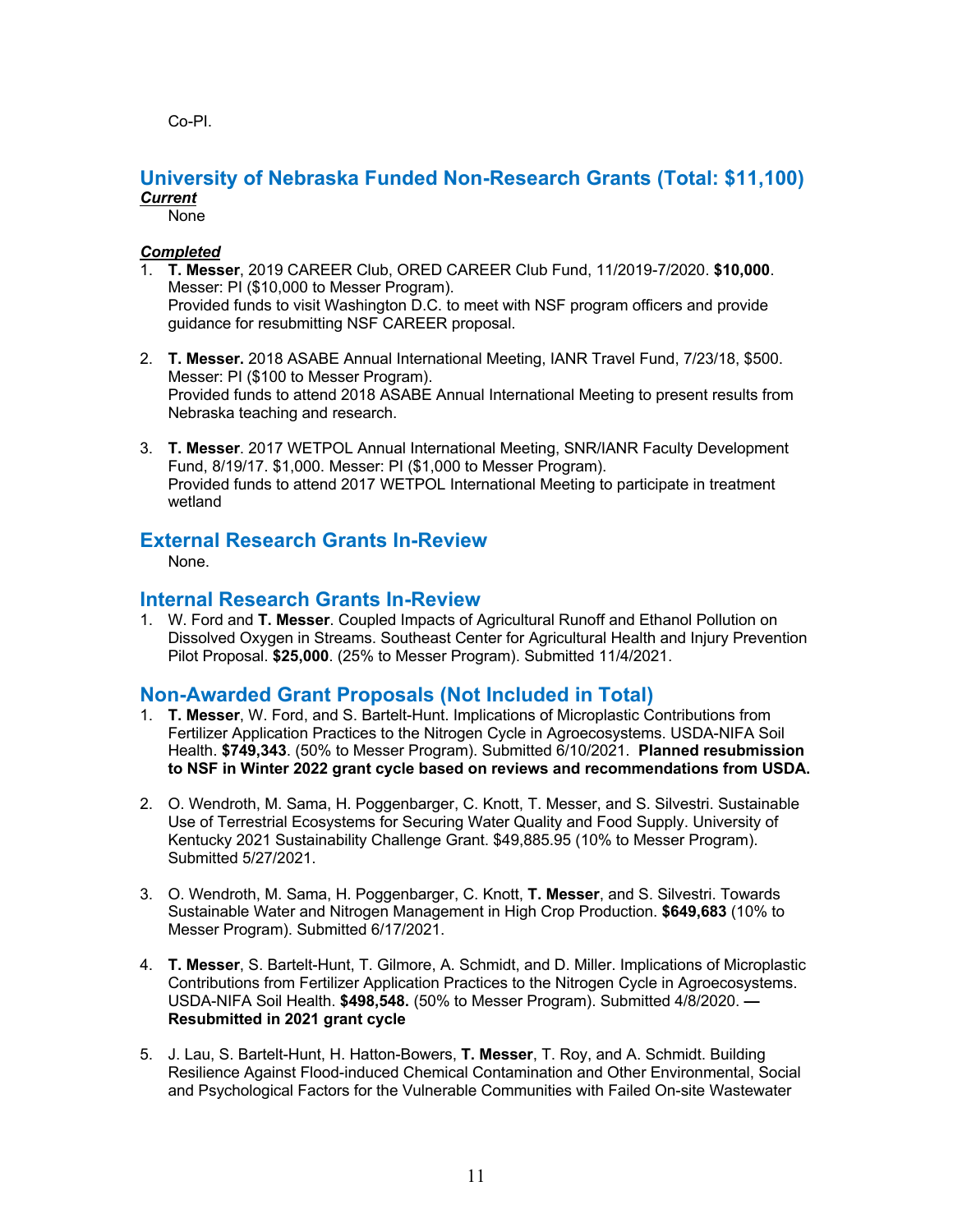Co-PI.

#### **University of Nebraska Funded Non-Research Grants (Total: \$11,100)** *Current*

None

#### *Completed*

- 1. **T. Messer**, 2019 CAREER Club, ORED CAREER Club Fund, 11/2019-7/2020. **\$10,000**. Messer: PI (\$10,000 to Messer Program). Provided funds to visit Washington D.C. to meet with NSF program officers and provide guidance for resubmitting NSF CAREER proposal.
- 2. **T. Messer.** 2018 ASABE Annual International Meeting, IANR Travel Fund, 7/23/18, \$500. Messer: PI (\$100 to Messer Program). Provided funds to attend 2018 ASABE Annual International Meeting to present results from Nebraska teaching and research.
- 3. **T. Messer**. 2017 WETPOL Annual International Meeting, SNR/IANR Faculty Development Fund, 8/19/17. \$1,000. Messer: PI (\$1,000 to Messer Program). Provided funds to attend 2017 WETPOL International Meeting to participate in treatment wetland

### **External Research Grants In-Review**

None.

### **Internal Research Grants In-Review**

1. W. Ford and **T. Messer**. Coupled Impacts of Agricultural Runoff and Ethanol Pollution on Dissolved Oxygen in Streams. Southeast Center for Agricultural Health and Injury Prevention Pilot Proposal. **\$25,000**. (25% to Messer Program). Submitted 11/4/2021.

### **Non-Awarded Grant Proposals (Not Included in Total)**

- 1. **T. Messer**, W. Ford, and S. Bartelt-Hunt. Implications of Microplastic Contributions from Fertilizer Application Practices to the Nitrogen Cycle in Agroecosystems. USDA-NIFA Soil Health. **\$749,343**. (50% to Messer Program). Submitted 6/10/2021. **Planned resubmission to NSF in Winter 2022 grant cycle based on reviews and recommendations from USDA.**
- 2. O. Wendroth, M. Sama, H. Poggenbarger, C. Knott, T. Messer, and S. Silvestri. Sustainable Use of Terrestrial Ecosystems for Securing Water Quality and Food Supply. University of Kentucky 2021 Sustainability Challenge Grant. \$49,885.95 (10% to Messer Program). Submitted 5/27/2021.
- 3. O. Wendroth, M. Sama, H. Poggenbarger, C. Knott, **T. Messer**, and S. Silvestri. Towards Sustainable Water and Nitrogen Management in High Crop Production. **\$649,683** (10% to Messer Program). Submitted 6/17/2021.
- 4. **T. Messer**, S. Bartelt-Hunt, T. Gilmore, A. Schmidt, and D. Miller. Implications of Microplastic Contributions from Fertilizer Application Practices to the Nitrogen Cycle in Agroecosystems. USDA-NIFA Soil Health. **\$498,548.** (50% to Messer Program). Submitted 4/8/2020. **— Resubmitted in 2021 grant cycle**
- 5. J. Lau, S. Bartelt-Hunt, H. Hatton-Bowers, **T. Messer**, T. Roy, and A. Schmidt. Building Resilience Against Flood-induced Chemical Contamination and Other Environmental, Social and Psychological Factors for the Vulnerable Communities with Failed On-site Wastewater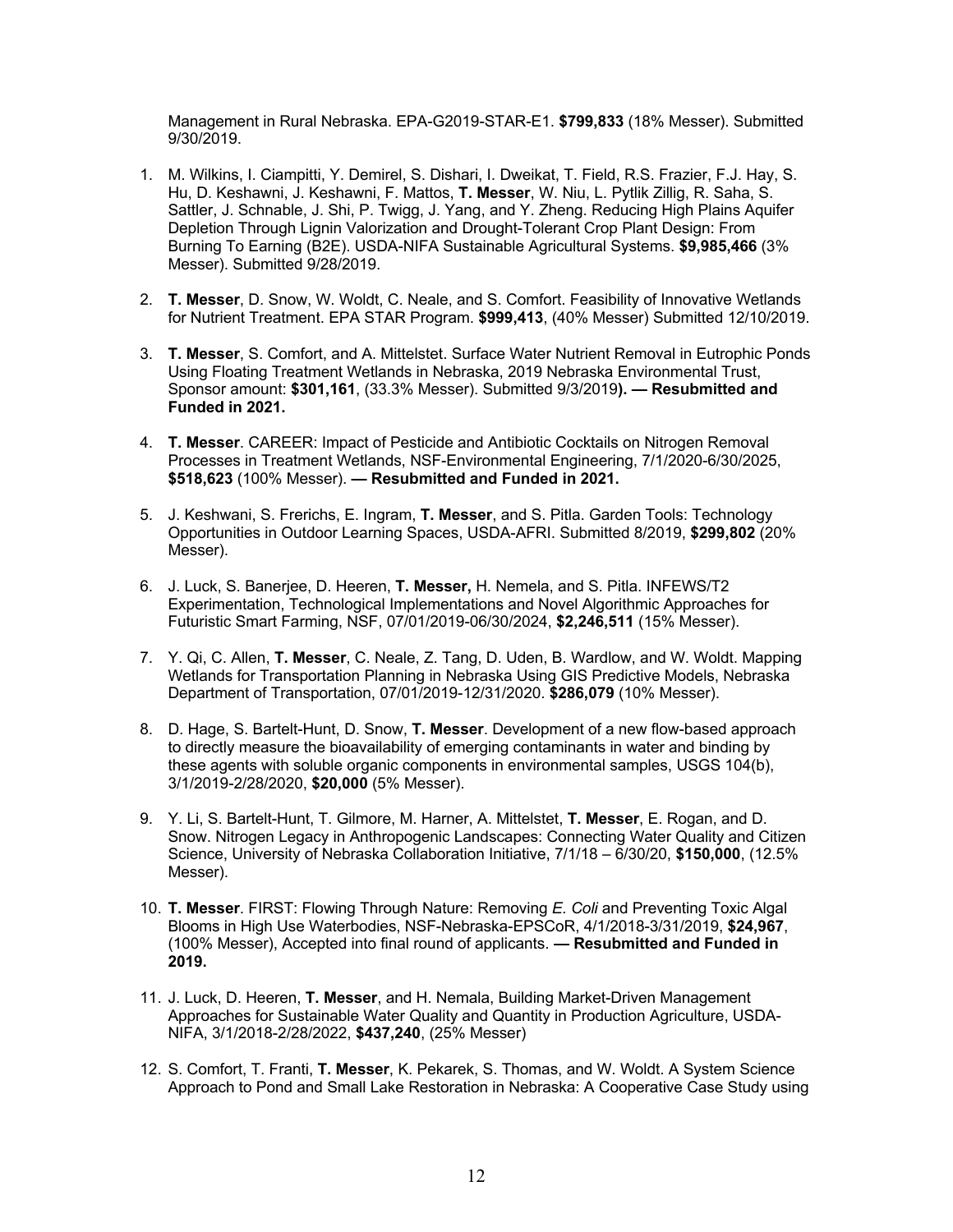Management in Rural Nebraska. EPA-G2019-STAR-E1. **\$799,833** (18% Messer). Submitted 9/30/2019.

- 1. M. Wilkins, I. Ciampitti, Y. Demirel, S. Dishari, I. Dweikat, T. Field, R.S. Frazier, F.J. Hay, S. Hu, D. Keshawni, J. Keshawni, F. Mattos, **T. Messer**, W. Niu, L. Pytlik Zillig, R. Saha, S. Sattler, J. Schnable, J. Shi, P. Twigg, J. Yang, and Y. Zheng. Reducing High Plains Aquifer Depletion Through Lignin Valorization and Drought-Tolerant Crop Plant Design: From Burning To Earning (B2E). USDA-NIFA Sustainable Agricultural Systems. **\$9,985,466** (3% Messer). Submitted 9/28/2019.
- 2. **T. Messer**, D. Snow, W. Woldt, C. Neale, and S. Comfort. Feasibility of Innovative Wetlands for Nutrient Treatment. EPA STAR Program. **\$999,413**, (40% Messer) Submitted 12/10/2019.
- 3. **T. Messer**, S. Comfort, and A. Mittelstet. Surface Water Nutrient Removal in Eutrophic Ponds Using Floating Treatment Wetlands in Nebraska, 2019 Nebraska Environmental Trust, Sponsor amount: **\$301,161**, (33.3% Messer). Submitted 9/3/2019**). — Resubmitted and Funded in 2021.**
- 4. **T. Messer**. CAREER: Impact of Pesticide and Antibiotic Cocktails on Nitrogen Removal Processes in Treatment Wetlands, NSF-Environmental Engineering, 7/1/2020-6/30/2025, **\$518,623** (100% Messer). **— Resubmitted and Funded in 2021.**
- 5. J. Keshwani, S. Frerichs, E. Ingram, **T. Messer**, and S. Pitla. Garden Tools: Technology Opportunities in Outdoor Learning Spaces, USDA-AFRI. Submitted 8/2019, **\$299,802** (20% Messer).
- 6. J. Luck, S. Banerjee, D. Heeren, **T. Messer,** H. Nemela, and S. Pitla. INFEWS/T2 Experimentation, Technological Implementations and Novel Algorithmic Approaches for Futuristic Smart Farming, NSF, 07/01/2019-06/30/2024, **\$2,246,511** (15% Messer).
- 7. Y. Qi, C. Allen, **T. Messer**, C. Neale, Z. Tang, D. Uden, B. Wardlow, and W. Woldt. Mapping Wetlands for Transportation Planning in Nebraska Using GIS Predictive Models, Nebraska Department of Transportation, 07/01/2019-12/31/2020. **\$286,079** (10% Messer).
- 8. D. Hage, S. Bartelt-Hunt, D. Snow, **T. Messer**. Development of a new flow-based approach to directly measure the bioavailability of emerging contaminants in water and binding by these agents with soluble organic components in environmental samples, USGS 104(b), 3/1/2019-2/28/2020, **\$20,000** (5% Messer).
- 9. Y. Li, S. Bartelt-Hunt, T. Gilmore, M. Harner, A. Mittelstet, **T. Messer**, E. Rogan, and D. Snow. Nitrogen Legacy in Anthropogenic Landscapes: Connecting Water Quality and Citizen Science, University of Nebraska Collaboration Initiative, 7/1/18 – 6/30/20, **\$150,000**, (12.5% Messer).
- 10. **T. Messer**. FIRST: Flowing Through Nature: Removing *E. Coli* and Preventing Toxic Algal Blooms in High Use Waterbodies, NSF-Nebraska-EPSCoR, 4/1/2018-3/31/2019, **\$24,967**, (100% Messer), Accepted into final round of applicants. **— Resubmitted and Funded in 2019.**
- 11. J. Luck, D. Heeren, **T. Messer**, and H. Nemala, Building Market-Driven Management Approaches for Sustainable Water Quality and Quantity in Production Agriculture, USDA-NIFA, 3/1/2018-2/28/2022, **\$437,240**, (25% Messer)
- 12. S. Comfort, T. Franti, **T. Messer**, K. Pekarek, S. Thomas, and W. Woldt. A System Science Approach to Pond and Small Lake Restoration in Nebraska: A Cooperative Case Study using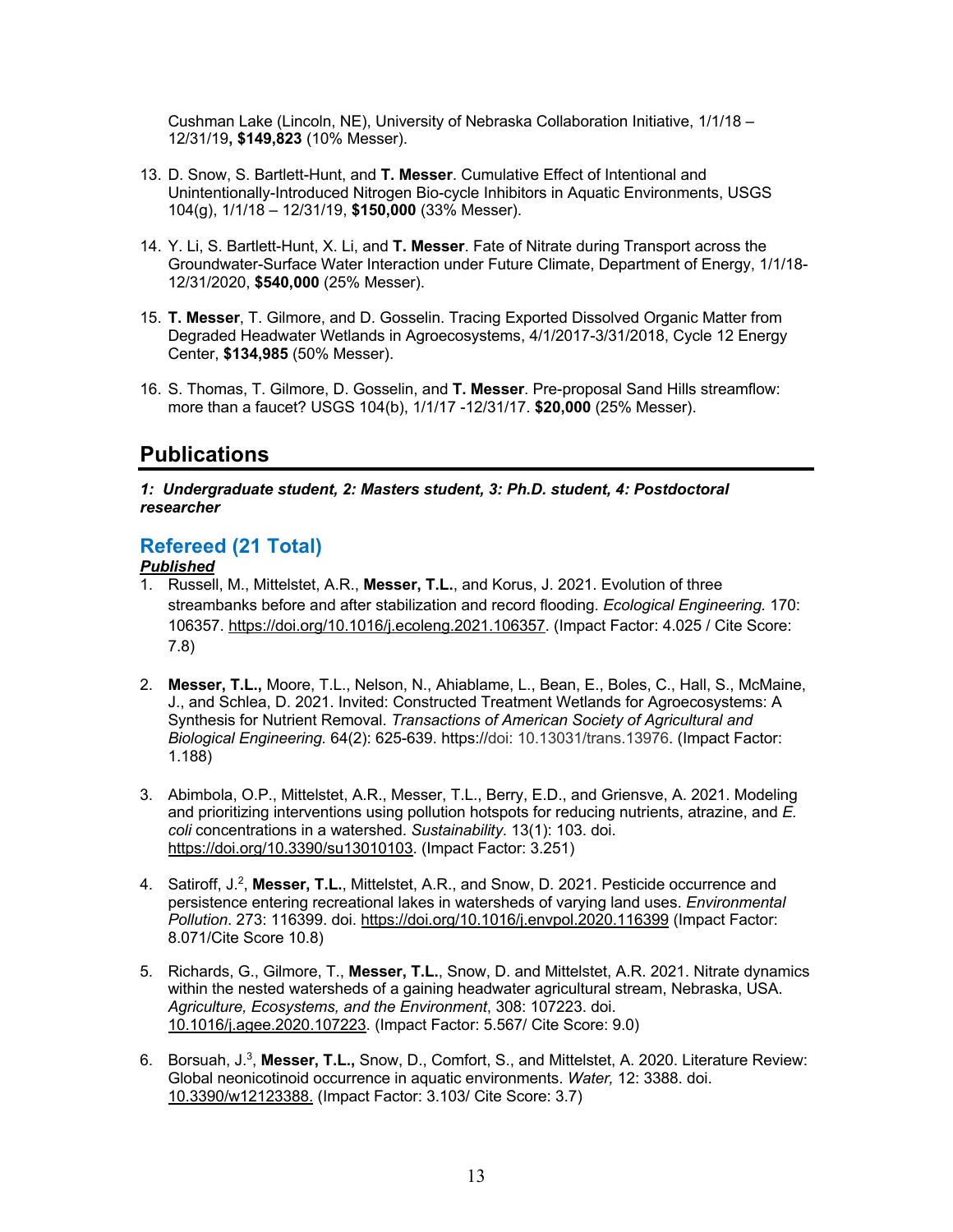Cushman Lake (Lincoln, NE), University of Nebraska Collaboration Initiative, 1/1/18 – 12/31/19**, \$149,823** (10% Messer).

- 13. D. Snow, S. Bartlett-Hunt, and **T. Messer**. Cumulative Effect of Intentional and Unintentionally-Introduced Nitrogen Bio-cycle Inhibitors in Aquatic Environments, USGS 104(g), 1/1/18 – 12/31/19, **\$150,000** (33% Messer).
- 14. Y. Li, S. Bartlett-Hunt, X. Li, and **T. Messer**. Fate of Nitrate during Transport across the Groundwater-Surface Water Interaction under Future Climate, Department of Energy, 1/1/18- 12/31/2020, **\$540,000** (25% Messer).
- 15. **T. Messer**, T. Gilmore, and D. Gosselin. Tracing Exported Dissolved Organic Matter from Degraded Headwater Wetlands in Agroecosystems, 4/1/2017-3/31/2018, Cycle 12 Energy Center, **\$134,985** (50% Messer).
- 16. S. Thomas, T. Gilmore, D. Gosselin, and **T. Messer**. Pre-proposal Sand Hills streamflow: more than a faucet? USGS 104(b), 1/1/17 -12/31/17. **\$20,000** (25% Messer).

# **Publications**

*1: Undergraduate student, 2: Masters student, 3: Ph.D. student, 4: Postdoctoral researcher*

## **Refereed (21 Total)**

### *Published*

- 1. Russell, M., Mittelstet, A.R., **Messer, T.L.**, and Korus, J. 2021. Evolution of three streambanks before and after stabilization and record flooding. *Ecological Engineering.* 170: 106357. https://doi.org/10.1016/j.ecoleng.2021.106357. (Impact Factor: 4.025 / Cite Score: 7.8)
- 2. **Messer, T.L.,** Moore, T.L., Nelson, N., Ahiablame, L., Bean, E., Boles, C., Hall, S., McMaine, J., and Schlea, D. 2021. Invited: Constructed Treatment Wetlands for Agroecosystems: A Synthesis for Nutrient Removal. *Transactions of American Society of Agricultural and Biological Engineering.* 64(2): 625-639. https://doi: 10.13031/trans.13976. (Impact Factor: 1.188)
- 3. Abimbola, O.P., Mittelstet, A.R., Messer, T.L., Berry, E.D., and Griensve, A. 2021. Modeling and prioritizing interventions using pollution hotspots for reducing nutrients, atrazine, and *E. coli* concentrations in a watershed. *Sustainability*. 13(1): 103. doi. https://doi.org/10.3390/su13010103. (Impact Factor: 3.251)
- 4. Satiroff, J.2, **Messer, T.L.**, Mittelstet, A.R., and Snow, D. 2021. Pesticide occurrence and persistence entering recreational lakes in watersheds of varying land uses. *Environmental Pollution*. 273: 116399. doi. https://doi.org/10.1016/j.envpol.2020.116399 (Impact Factor: 8.071/Cite Score 10.8)
- 5. Richards, G., Gilmore, T., **Messer, T.L.**, Snow, D. and Mittelstet, A.R. 2021. Nitrate dynamics within the nested watersheds of a gaining headwater agricultural stream, Nebraska, USA. *Agriculture, Ecosystems, and the Environment*, 308: 107223. doi. 10.1016/j.agee.2020.107223. (Impact Factor: 5.567/ Cite Score: 9.0)
- 6. Borsuah, J.3, **Messer, T.L.,** Snow, D., Comfort, S., and Mittelstet, A. 2020. Literature Review: Global neonicotinoid occurrence in aquatic environments. *Water,* 12: 3388. doi. 10.3390/w12123388. (Impact Factor: 3.103/ Cite Score: 3.7)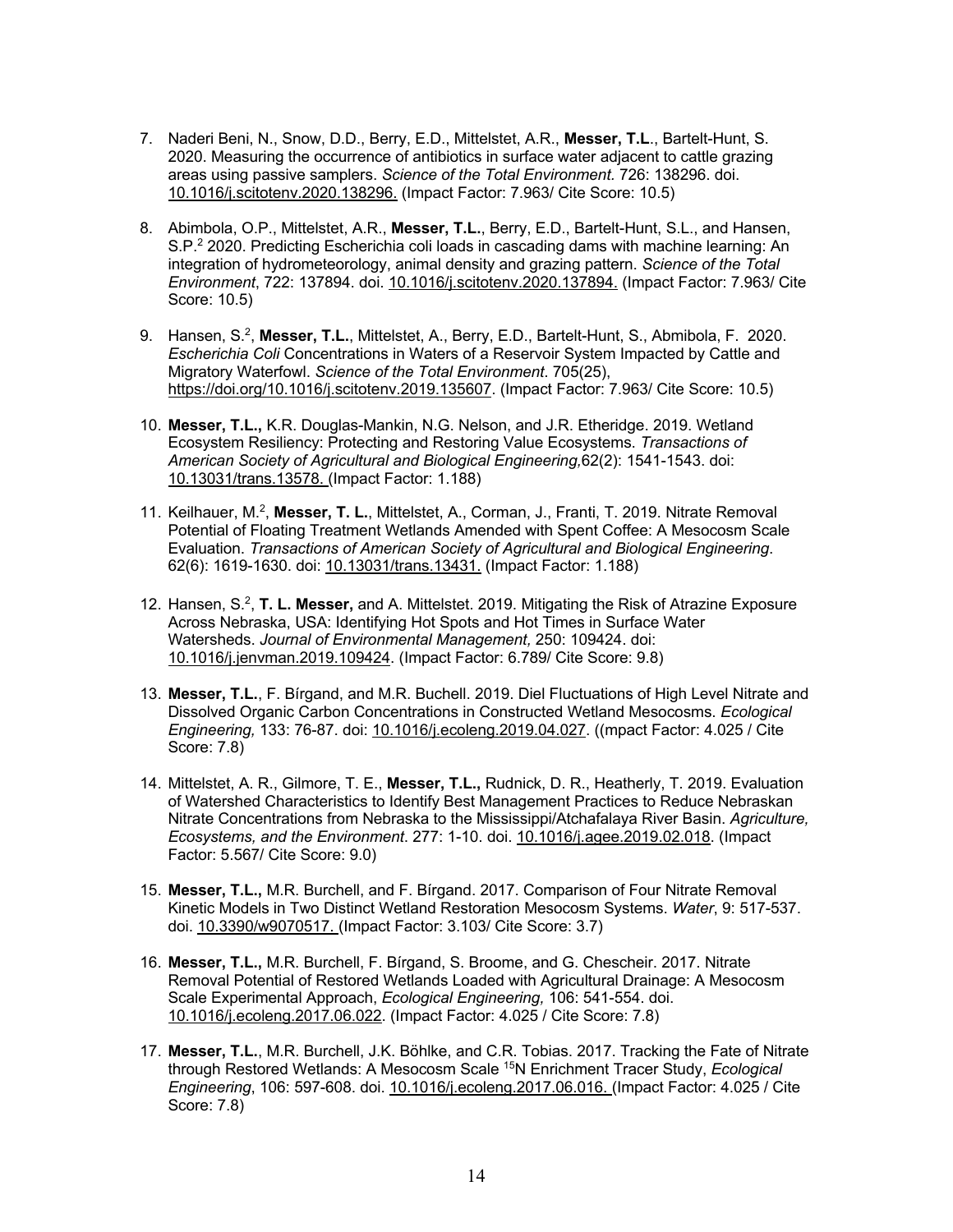- 7. Naderi Beni, N., Snow, D.D., Berry, E.D., Mittelstet, A.R., **Messer, T.L**., Bartelt-Hunt, S. 2020. Measuring the occurrence of antibiotics in surface water adjacent to cattle grazing areas using passive samplers. *Science of the Total Environment.* 726: 138296. doi. 10.1016/j.scitotenv.2020.138296. (Impact Factor: 7.963/ Cite Score: 10.5)
- 8. Abimbola, O.P., Mittelstet, A.R., **Messer, T.L.**, Berry, E.D., Bartelt-Hunt, S.L., and Hansen, S.P.2 2020. Predicting Escherichia coli loads in cascading dams with machine learning: An integration of hydrometeorology, animal density and grazing pattern. *Science of the Total Environment*, 722: 137894. doi. 10.1016/j.scitotenv.2020.137894. (Impact Factor: 7.963/ Cite Score: 10.5)
- 9. Hansen, S.2, **Messer, T.L.**, Mittelstet, A., Berry, E.D., Bartelt-Hunt, S., Abmibola, F. 2020. *Escherichia Coli* Concentrations in Waters of a Reservoir System Impacted by Cattle and Migratory Waterfowl. *Science of the Total Environment*. 705(25), https://doi.org/10.1016/j.scitotenv.2019.135607. (Impact Factor: 7.963/ Cite Score: 10.5)
- 10. **Messer, T.L.,** K.R. Douglas-Mankin, N.G. Nelson, and J.R. Etheridge. 2019. Wetland Ecosystem Resiliency: Protecting and Restoring Value Ecosystems. *Transactions of American Society of Agricultural and Biological Engineering,*62(2): 1541-1543. doi: 10.13031/trans.13578. (Impact Factor: 1.188)
- 11. Keilhauer, M.2, **Messer, T. L.**, Mittelstet, A., Corman, J., Franti, T. 2019. Nitrate Removal Potential of Floating Treatment Wetlands Amended with Spent Coffee: A Mesocosm Scale Evaluation. *Transactions of American Society of Agricultural and Biological Engineering*. 62(6): 1619-1630. doi: 10.13031/trans.13431. (Impact Factor: 1.188)
- 12. Hansen, S.2, **T. L. Messer,** and A. Mittelstet. 2019. Mitigating the Risk of Atrazine Exposure Across Nebraska, USA: Identifying Hot Spots and Hot Times in Surface Water Watersheds. *Journal of Environmental Management,* 250: 109424. doi: 10.1016/j.jenvman.2019.109424. (Impact Factor: 6.789/ Cite Score: 9.8)
- 13. **Messer, T.L.**, F. Bírgand, and M.R. Buchell. 2019. Diel Fluctuations of High Level Nitrate and Dissolved Organic Carbon Concentrations in Constructed Wetland Mesocosms. *Ecological Engineering,* 133: 76-87. doi: 10.1016/j.ecoleng.2019.04.027. ((mpact Factor: 4.025 / Cite Score: 7.8)
- 14. Mittelstet, A. R., Gilmore, T. E., **Messer, T.L.,** Rudnick, D. R., Heatherly, T. 2019. Evaluation of Watershed Characteristics to Identify Best Management Practices to Reduce Nebraskan Nitrate Concentrations from Nebraska to the Mississippi/Atchafalaya River Basin. *Agriculture, Ecosystems, and the Environment*. 277: 1-10. doi. 10.1016/j.agee.2019.02.018. (Impact Factor: 5.567/ Cite Score: 9.0)
- 15. **Messer, T.L.,** M.R. Burchell, and F. Bírgand. 2017. Comparison of Four Nitrate Removal Kinetic Models in Two Distinct Wetland Restoration Mesocosm Systems. *Water*, 9: 517-537. doi. 10.3390/w9070517. (Impact Factor: 3.103/ Cite Score: 3.7)
- 16. **Messer, T.L.,** M.R. Burchell, F. Bírgand, S. Broome, and G. Chescheir. 2017. Nitrate Removal Potential of Restored Wetlands Loaded with Agricultural Drainage: A Mesocosm Scale Experimental Approach, *Ecological Engineering,* 106: 541-554. doi. 10.1016/j.ecoleng.2017.06.022. (Impact Factor: 4.025 / Cite Score: 7.8)
- 17. **Messer, T.L.**, M.R. Burchell, J.K. Böhlke, and C.R. Tobias. 2017. Tracking the Fate of Nitrate through Restored Wetlands: A Mesocosm Scale 15N Enrichment Tracer Study, *Ecological Engineering*, 106: 597-608. doi. 10.1016/j.ecoleng.2017.06.016. (Impact Factor: 4.025 / Cite Score: 7.8)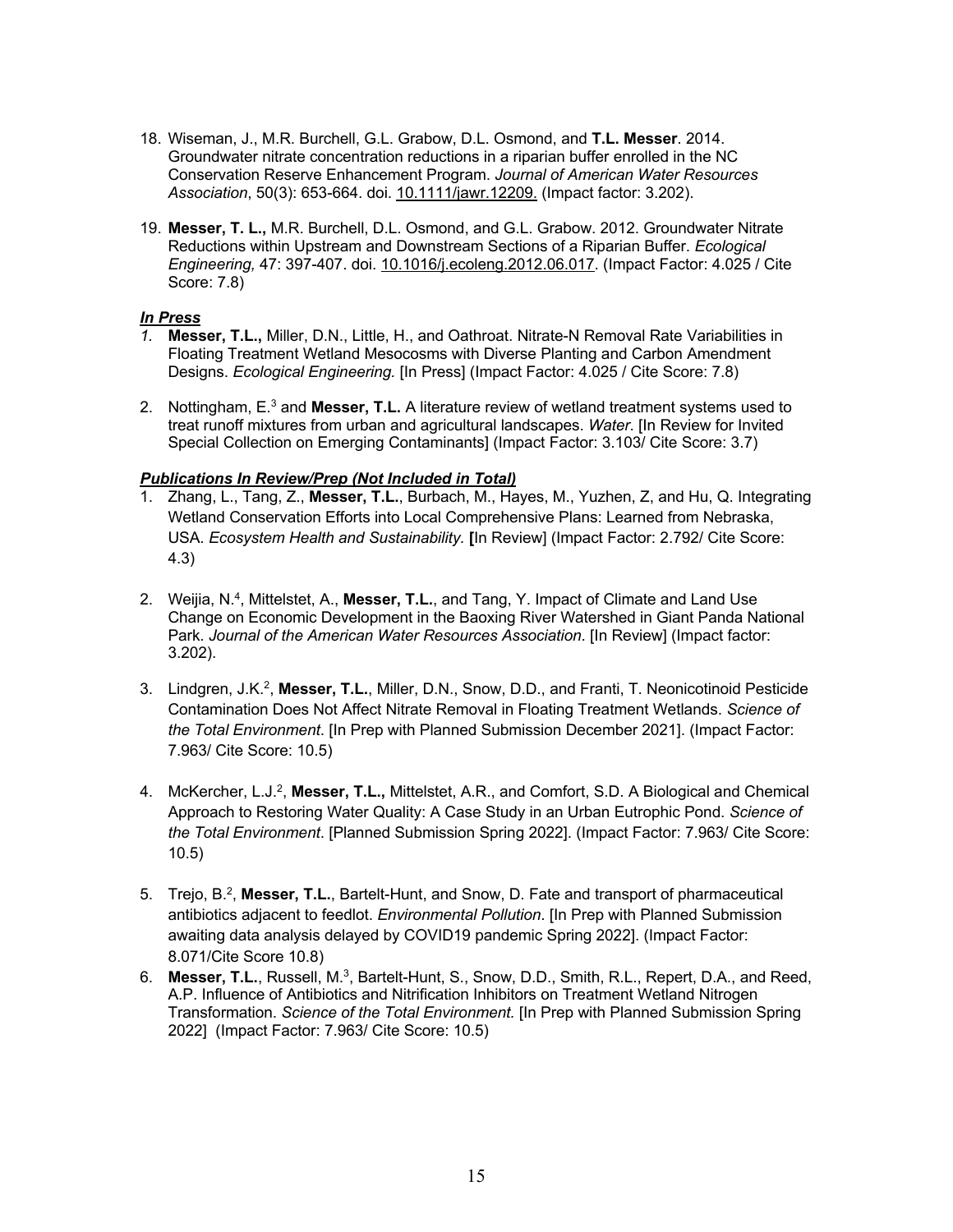- 18. Wiseman, J., M.R. Burchell, G.L. Grabow, D.L. Osmond, and **T.L. Messer**. 2014. Groundwater nitrate concentration reductions in a riparian buffer enrolled in the NC Conservation Reserve Enhancement Program. *Journal of American Water Resources Association*, 50(3): 653-664. doi. 10.1111/jawr.12209. (Impact factor: 3.202).
- 19. **Messer, T. L.,** M.R. Burchell, D.L. Osmond, and G.L. Grabow. 2012. Groundwater Nitrate Reductions within Upstream and Downstream Sections of a Riparian Buffer. *Ecological Engineering,* 47: 397-407. doi. 10.1016/j.ecoleng.2012.06.017. (Impact Factor: 4.025 / Cite Score: 7.8)

#### *In Press*

- *1.* **Messer, T.L.,** Miller, D.N., Little, H., and Oathroat. Nitrate-N Removal Rate Variabilities in Floating Treatment Wetland Mesocosms with Diverse Planting and Carbon Amendment Designs. *Ecological Engineering.* [In Press] (Impact Factor: 4.025 / Cite Score: 7.8)
- 2. Nottingham, E.3 and **Messer, T.L.** A literature review of wetland treatment systems used to treat runoff mixtures from urban and agricultural landscapes. *Water*. [In Review for Invited Special Collection on Emerging Contaminants] (Impact Factor: 3.103/ Cite Score: 3.7)

#### *Publications In Review/Prep (Not Included in Total)*

- 1. Zhang, L., Tang, Z., **Messer, T.L.**, Burbach, M., Hayes, M., Yuzhen, Z, and Hu, Q. Integrating Wetland Conservation Efforts into Local Comprehensive Plans: Learned from Nebraska, USA. *Ecosystem Health and Sustainability.* **[**In Review] (Impact Factor: 2.792/ Cite Score: 4.3)
- 2. Weijia, N.4, Mittelstet, A., **Messer, T.L.**, and Tang, Y. Impact of Climate and Land Use Change on Economic Development in the Baoxing River Watershed in Giant Panda National Park. *Journal of the American Water Resources Association*. [In Review] (Impact factor: 3.202).
- 3. Lindgren, J.K.2, **Messer, T.L.**, Miller, D.N., Snow, D.D., and Franti, T. Neonicotinoid Pesticide Contamination Does Not Affect Nitrate Removal in Floating Treatment Wetlands. *Science of the Total Environment*. [In Prep with Planned Submission December 2021]. (Impact Factor: 7.963/ Cite Score: 10.5)
- 4. McKercher, L.J.2, **Messer, T.L.,** Mittelstet, A.R., and Comfort, S.D. A Biological and Chemical Approach to Restoring Water Quality: A Case Study in an Urban Eutrophic Pond. *Science of the Total Environment*. [Planned Submission Spring 2022]. (Impact Factor: 7.963/ Cite Score: 10.5)
- 5. Trejo, B.2, **Messer, T.L.**, Bartelt-Hunt, and Snow, D. Fate and transport of pharmaceutical antibiotics adjacent to feedlot. *Environmental Pollution*. [In Prep with Planned Submission awaiting data analysis delayed by COVID19 pandemic Spring 2022]. (Impact Factor: 8.071/Cite Score 10.8)
- 6. **Messer, T.L.**, Russell, M.3, Bartelt-Hunt, S., Snow, D.D., Smith, R.L., Repert, D.A., and Reed, A.P. Influence of Antibiotics and Nitrification Inhibitors on Treatment Wetland Nitrogen Transformation. *Science of the Total Environment.* [In Prep with Planned Submission Spring 2022] (Impact Factor: 7.963/ Cite Score: 10.5)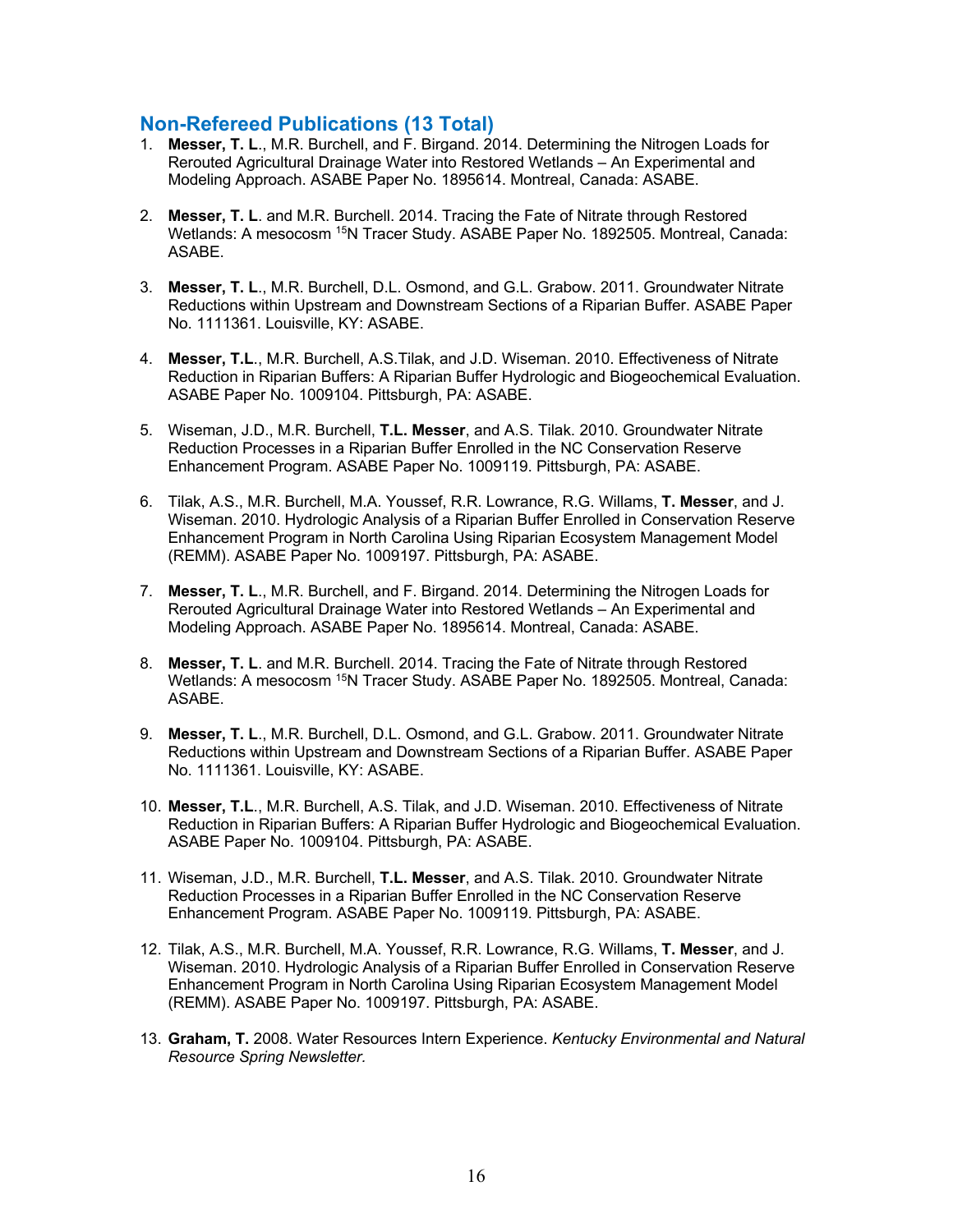### **Non-Refereed Publications (13 Total)**

- 1. **Messer, T. L**., M.R. Burchell, and F. Birgand. 2014. Determining the Nitrogen Loads for Rerouted Agricultural Drainage Water into Restored Wetlands – An Experimental and Modeling Approach. ASABE Paper No. 1895614. Montreal, Canada: ASABE.
- 2. **Messer, T. L**. and M.R. Burchell. 2014. Tracing the Fate of Nitrate through Restored Wetlands: A mesocosm <sup>15</sup>N Tracer Study, ASABE Paper No. 1892505. Montreal, Canada: ASABE.
- 3. **Messer, T. L**., M.R. Burchell, D.L. Osmond, and G.L. Grabow. 2011. Groundwater Nitrate Reductions within Upstream and Downstream Sections of a Riparian Buffer. ASABE Paper No. 1111361. Louisville, KY: ASABE.
- 4. **Messer, T.L**., M.R. Burchell, A.S.Tilak, and J.D. Wiseman. 2010. Effectiveness of Nitrate Reduction in Riparian Buffers: A Riparian Buffer Hydrologic and Biogeochemical Evaluation. ASABE Paper No. 1009104. Pittsburgh, PA: ASABE.
- 5. Wiseman, J.D., M.R. Burchell, **T.L. Messer**, and A.S. Tilak. 2010. Groundwater Nitrate Reduction Processes in a Riparian Buffer Enrolled in the NC Conservation Reserve Enhancement Program. ASABE Paper No. 1009119. Pittsburgh, PA: ASABE.
- 6. Tilak, A.S., M.R. Burchell, M.A. Youssef, R.R. Lowrance, R.G. Willams, **T. Messer**, and J. Wiseman. 2010. Hydrologic Analysis of a Riparian Buffer Enrolled in Conservation Reserve Enhancement Program in North Carolina Using Riparian Ecosystem Management Model (REMM). ASABE Paper No. 1009197. Pittsburgh, PA: ASABE.
- 7. **Messer, T. L**., M.R. Burchell, and F. Birgand. 2014. Determining the Nitrogen Loads for Rerouted Agricultural Drainage Water into Restored Wetlands – An Experimental and Modeling Approach. ASABE Paper No. 1895614. Montreal, Canada: ASABE.
- 8. **Messer, T. L**. and M.R. Burchell. 2014. Tracing the Fate of Nitrate through Restored Wetlands: A mesocosm <sup>15</sup>N Tracer Study. ASABE Paper No. 1892505. Montreal, Canada: ASABE.
- 9. **Messer, T. L**., M.R. Burchell, D.L. Osmond, and G.L. Grabow. 2011. Groundwater Nitrate Reductions within Upstream and Downstream Sections of a Riparian Buffer. ASABE Paper No. 1111361. Louisville, KY: ASABE.
- 10. **Messer, T.L**., M.R. Burchell, A.S. Tilak, and J.D. Wiseman. 2010. Effectiveness of Nitrate Reduction in Riparian Buffers: A Riparian Buffer Hydrologic and Biogeochemical Evaluation. ASABE Paper No. 1009104. Pittsburgh, PA: ASABE.
- 11. Wiseman, J.D., M.R. Burchell, **T.L. Messer**, and A.S. Tilak. 2010. Groundwater Nitrate Reduction Processes in a Riparian Buffer Enrolled in the NC Conservation Reserve Enhancement Program. ASABE Paper No. 1009119. Pittsburgh, PA: ASABE.
- 12. Tilak, A.S., M.R. Burchell, M.A. Youssef, R.R. Lowrance, R.G. Willams, **T. Messer**, and J. Wiseman. 2010. Hydrologic Analysis of a Riparian Buffer Enrolled in Conservation Reserve Enhancement Program in North Carolina Using Riparian Ecosystem Management Model (REMM). ASABE Paper No. 1009197. Pittsburgh, PA: ASABE.
- 13. **Graham, T.** 2008. Water Resources Intern Experience. *Kentucky Environmental and Natural Resource Spring Newsletter.*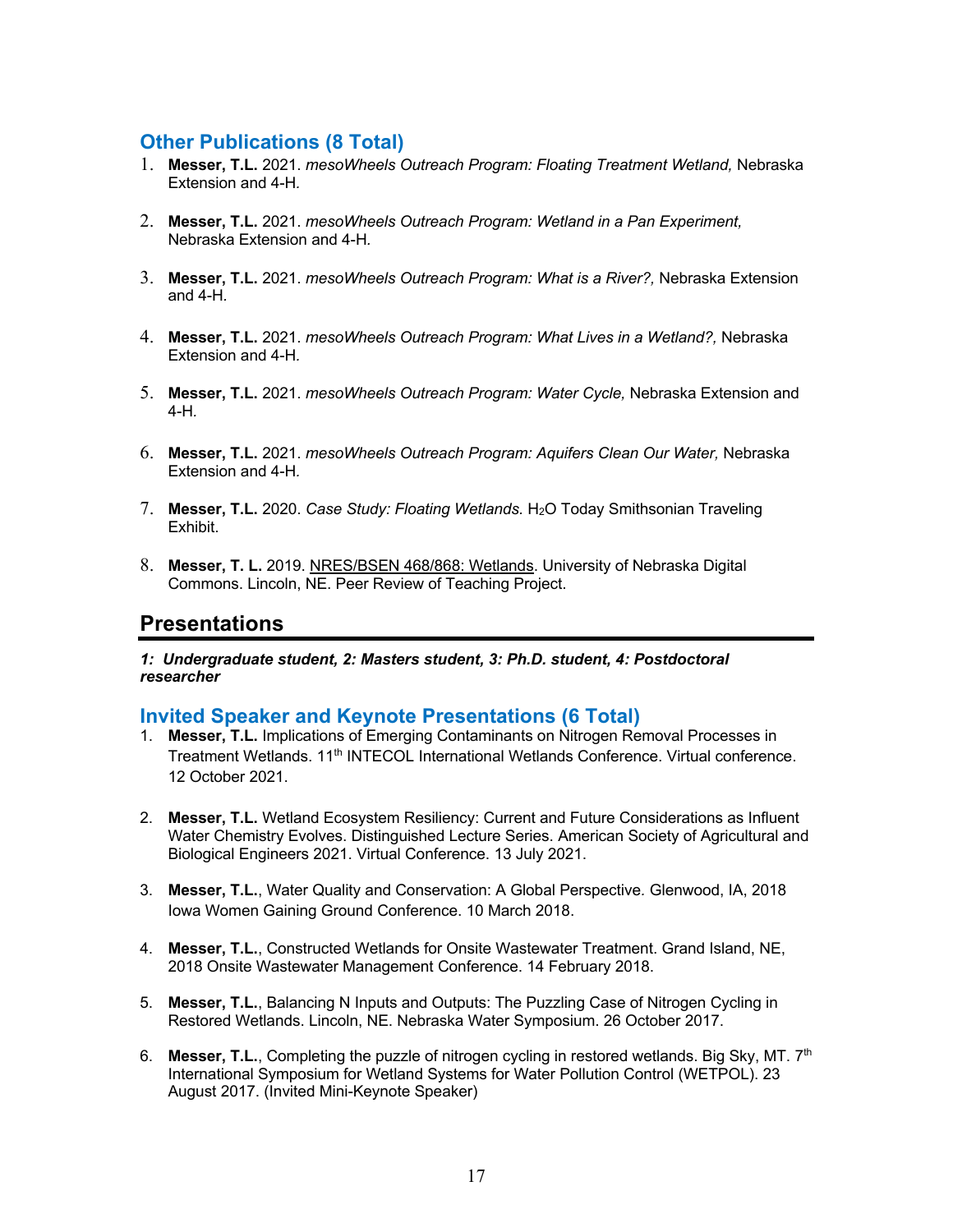## **Other Publications (8 Total)**

- 1. **Messer, T.L.** 2021. *mesoWheels Outreach Program: Floating Treatment Wetland,* Nebraska Extension and 4-H*.*
- 2. **Messer, T.L.** 2021. *mesoWheels Outreach Program: Wetland in a Pan Experiment,*  Nebraska Extension and 4-H*.*
- 3. **Messer, T.L.** 2021. *mesoWheels Outreach Program: What is a River?,* Nebraska Extension and 4-H*.*
- 4. **Messer, T.L.** 2021. *mesoWheels Outreach Program: What Lives in a Wetland?,* Nebraska Extension and 4-H*.*
- 5. **Messer, T.L.** 2021. *mesoWheels Outreach Program: Water Cycle,* Nebraska Extension and 4-H*.*
- 6. **Messer, T.L.** 2021. *mesoWheels Outreach Program: Aquifers Clean Our Water,* Nebraska Extension and 4-H*.*
- 7. **Messer, T.L.** 2020. *Case Study: Floating Wetlands.* H2O Today Smithsonian Traveling Exhibit.
- 8. **Messer, T. L.** 2019. NRES/BSEN 468/868: Wetlands. University of Nebraska Digital Commons. Lincoln, NE. Peer Review of Teaching Project.

## **Presentations**

*1: Undergraduate student, 2: Masters student, 3: Ph.D. student, 4: Postdoctoral researcher*

### **Invited Speaker and Keynote Presentations (6 Total)**

- 1. **Messer, T.L.** Implications of Emerging Contaminants on Nitrogen Removal Processes in Treatment Wetlands. 11<sup>th</sup> INTECOL International Wetlands Conference. Virtual conference. 12 October 2021.
- 2. **Messer, T.L.** Wetland Ecosystem Resiliency: Current and Future Considerations as Influent Water Chemistry Evolves. Distinguished Lecture Series. American Society of Agricultural and Biological Engineers 2021. Virtual Conference. 13 July 2021.
- 3. **Messer, T.L.**, Water Quality and Conservation: A Global Perspective*.* Glenwood, IA, 2018 Iowa Women Gaining Ground Conference. 10 March 2018.
- 4. **Messer, T.L.**, Constructed Wetlands for Onsite Wastewater Treatment. Grand Island, NE, 2018 Onsite Wastewater Management Conference. 14 February 2018.
- 5. **Messer, T.L.**, Balancing N Inputs and Outputs: The Puzzling Case of Nitrogen Cycling in Restored Wetlands. Lincoln, NE. Nebraska Water Symposium. 26 October 2017.
- 6. **Messer, T.L.**, Completing the puzzle of nitrogen cycling in restored wetlands. Big Sky, MT. 7th International Symposium for Wetland Systems for Water Pollution Control (WETPOL). 23 August 2017. (Invited Mini-Keynote Speaker)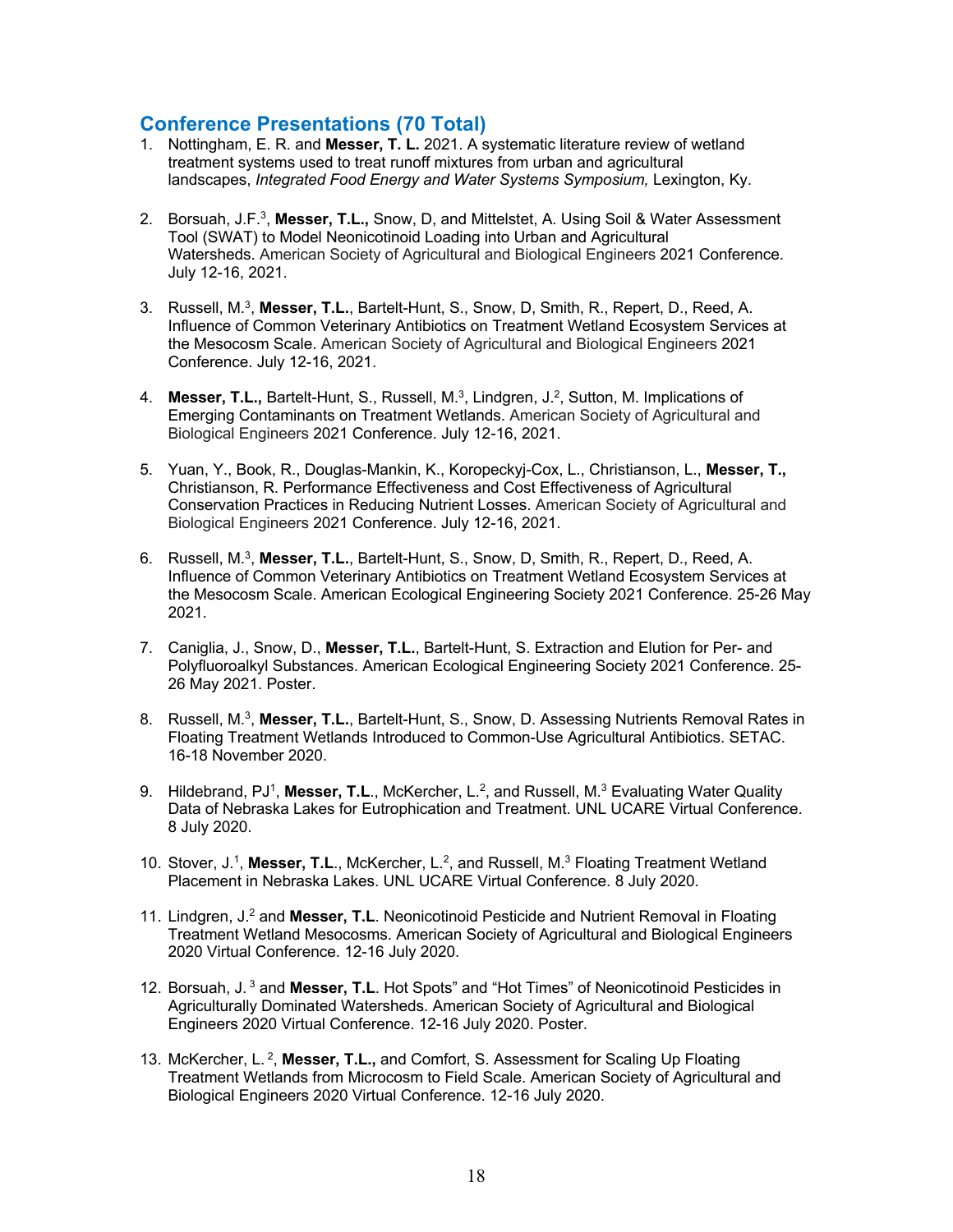## **Conference Presentations (70 Total)**

- 1. Nottingham, E. R. and **Messer, T. L.** 2021. A systematic literature review of wetland treatment systems used to treat runoff mixtures from urban and agricultural landscapes, *Integrated Food Energy and Water Systems Symposium,* Lexington, Ky.
- 2. Borsuah, J.F.3, **Messer, T.L.,** Snow, D, and Mittelstet, A. Using Soil & Water Assessment Tool (SWAT) to Model Neonicotinoid Loading into Urban and Agricultural Watersheds. American Society of Agricultural and Biological Engineers 2021 Conference. July 12-16, 2021.
- 3. Russell, M.3, **Messer, T.L.**, Bartelt-Hunt, S., Snow, D, Smith, R., Repert, D., Reed, A. Influence of Common Veterinary Antibiotics on Treatment Wetland Ecosystem Services at the Mesocosm Scale. American Society of Agricultural and Biological Engineers 2021 Conference. July 12-16, 2021.
- 4. **Messer, T.L.,** Bartelt-Hunt, S., Russell, M.3, Lindgren, J.2, Sutton, M. Implications of Emerging Contaminants on Treatment Wetlands. American Society of Agricultural and Biological Engineers 2021 Conference. July 12-16, 2021.
- 5. Yuan, Y., Book, R., Douglas-Mankin, K., Koropeckyj-Cox, L., Christianson, L., **Messer, T.,** Christianson, R. Performance Effectiveness and Cost Effectiveness of Agricultural Conservation Practices in Reducing Nutrient Losses. American Society of Agricultural and Biological Engineers 2021 Conference. July 12-16, 2021.
- 6. Russell, M.3, **Messer, T.L.**, Bartelt-Hunt, S., Snow, D, Smith, R., Repert, D., Reed, A. Influence of Common Veterinary Antibiotics on Treatment Wetland Ecosystem Services at the Mesocosm Scale. American Ecological Engineering Society 2021 Conference. 25-26 May 2021.
- 7. Caniglia, J., Snow, D., **Messer, T.L.**, Bartelt-Hunt, S. Extraction and Elution for Per- and Polyfluoroalkyl Substances. American Ecological Engineering Society 2021 Conference. 25- 26 May 2021. Poster.
- 8. Russell, M.3, **Messer, T.L.**, Bartelt-Hunt, S., Snow, D. Assessing Nutrients Removal Rates in Floating Treatment Wetlands Introduced to Common-Use Agricultural Antibiotics. SETAC. 16-18 November 2020.
- 9. Hildebrand, PJ<sup>1</sup>, Messer, T.L., McKercher, L.<sup>2</sup>, and Russell, M.<sup>3</sup> Evaluating Water Quality Data of Nebraska Lakes for Eutrophication and Treatment. UNL UCARE Virtual Conference. 8 July 2020.
- 10. Stover, J.1, **Messer, T.L**., McKercher, L.2, and Russell, M.3 Floating Treatment Wetland Placement in Nebraska Lakes. UNL UCARE Virtual Conference. 8 July 2020.
- 11. Lindgren, J.2 and **Messer, T.L**. Neonicotinoid Pesticide and Nutrient Removal in Floating Treatment Wetland Mesocosms. American Society of Agricultural and Biological Engineers 2020 Virtual Conference. 12-16 July 2020.
- 12. Borsuah, J. <sup>3</sup> and **Messer, T.L**. Hot Spots" and "Hot Times" of Neonicotinoid Pesticides in Agriculturally Dominated Watersheds. American Society of Agricultural and Biological Engineers 2020 Virtual Conference. 12-16 July 2020. Poster.
- 13. McKercher, L. 2, **Messer, T.L.,** and Comfort, S. Assessment for Scaling Up Floating Treatment Wetlands from Microcosm to Field Scale. American Society of Agricultural and Biological Engineers 2020 Virtual Conference. 12-16 July 2020.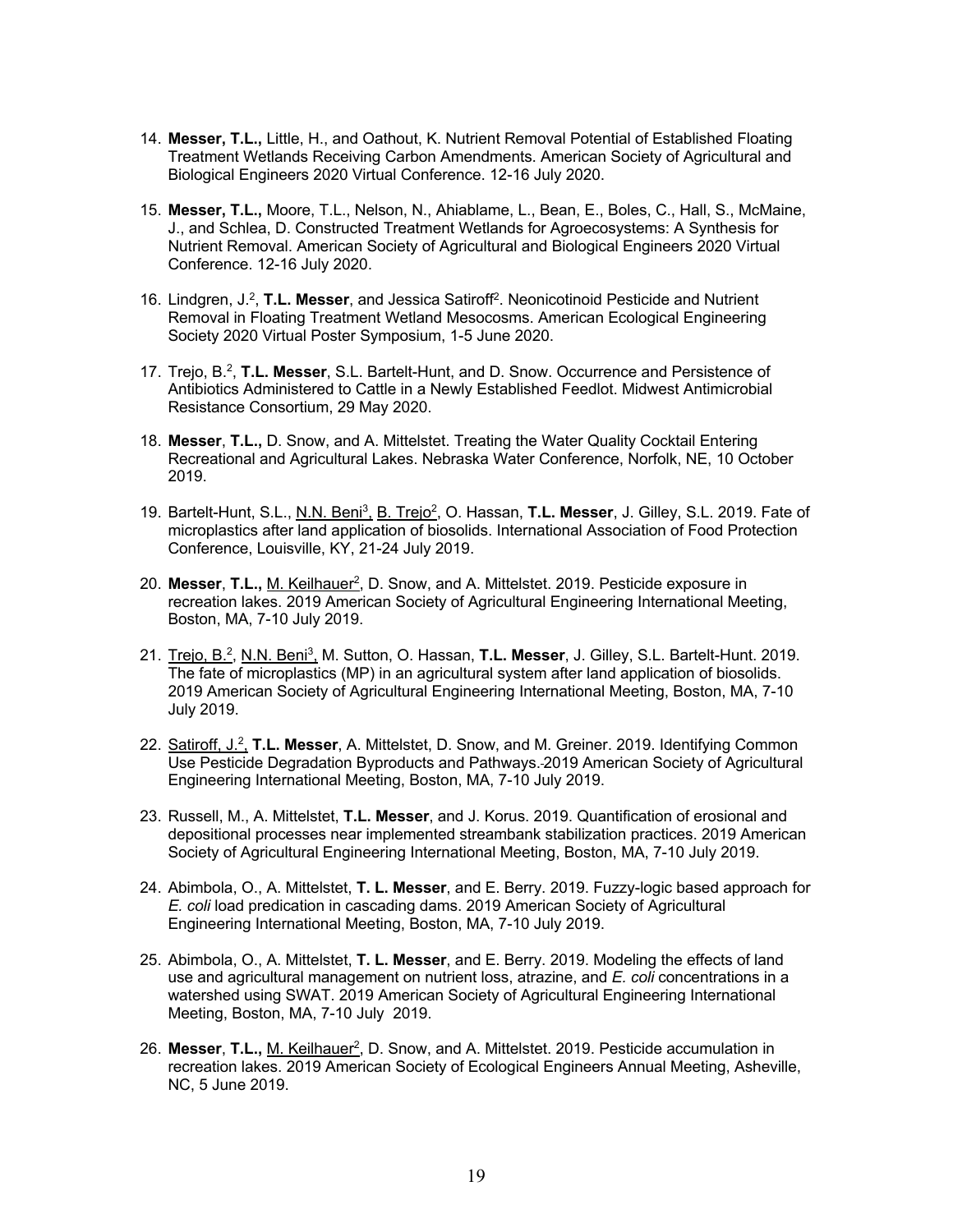- 14. **Messer, T.L.,** Little, H., and Oathout, K. Nutrient Removal Potential of Established Floating Treatment Wetlands Receiving Carbon Amendments. American Society of Agricultural and Biological Engineers 2020 Virtual Conference. 12-16 July 2020.
- 15. **Messer, T.L.,** Moore, T.L., Nelson, N., Ahiablame, L., Bean, E., Boles, C., Hall, S., McMaine, J., and Schlea, D. Constructed Treatment Wetlands for Agroecosystems: A Synthesis for Nutrient Removal. American Society of Agricultural and Biological Engineers 2020 Virtual Conference. 12-16 July 2020.
- 16. Lindgren, J.2, **T.L. Messer**, and Jessica Satiroff2. Neonicotinoid Pesticide and Nutrient Removal in Floating Treatment Wetland Mesocosms. American Ecological Engineering Society 2020 Virtual Poster Symposium, 1-5 June 2020.
- 17. Trejo, B.2, **T.L. Messer**, S.L. Bartelt-Hunt, and D. Snow. Occurrence and Persistence of Antibiotics Administered to Cattle in a Newly Established Feedlot. Midwest Antimicrobial Resistance Consortium, 29 May 2020.
- 18. **Messer**, **T.L.,** D. Snow, and A. Mittelstet. Treating the Water Quality Cocktail Entering Recreational and Agricultural Lakes. Nebraska Water Conference, Norfolk, NE, 10 October 2019.
- 19. Bartelt-Hunt, S.L., N.N. Beni3, B. Trejo2, O. Hassan, **T.L. Messer**, J. Gilley, S.L. 2019. Fate of microplastics after land application of biosolids. International Association of Food Protection Conference, Louisville, KY, 21-24 July 2019.
- 20. **Messer**, **T.L.,** M. Keilhauer2, D. Snow, and A. Mittelstet. 2019. Pesticide exposure in recreation lakes. 2019 American Society of Agricultural Engineering International Meeting, Boston, MA, 7-10 July 2019.
- 21. Trejo, B.2, N.N. Beni3, M. Sutton, O. Hassan, **T.L. Messer**, J. Gilley, S.L. Bartelt-Hunt. 2019. The fate of microplastics (MP) in an agricultural system after land application of biosolids. 2019 American Society of Agricultural Engineering International Meeting, Boston, MA, 7-10 July 2019.
- 22. Satiroff, J.2, **T.L. Messer**, A. Mittelstet, D. Snow, and M. Greiner. 2019. Identifying Common Use Pesticide Degradation Byproducts and Pathways. 2019 American Society of Agricultural Engineering International Meeting, Boston, MA, 7-10 July 2019.
- 23. Russell, M., A. Mittelstet, **T.L. Messer**, and J. Korus. 2019. Quantification of erosional and depositional processes near implemented streambank stabilization practices. 2019 American Society of Agricultural Engineering International Meeting, Boston, MA, 7-10 July 2019.
- 24. Abimbola, O., A. Mittelstet, **T. L. Messer**, and E. Berry. 2019. Fuzzy-logic based approach for *E. coli* load predication in cascading dams. 2019 American Society of Agricultural Engineering International Meeting, Boston, MA, 7-10 July 2019.
- 25. Abimbola, O., A. Mittelstet, **T. L. Messer**, and E. Berry. 2019. Modeling the effects of land use and agricultural management on nutrient loss, atrazine, and *E. coli* concentrations in a watershed using SWAT. 2019 American Society of Agricultural Engineering International Meeting, Boston, MA, 7-10 July 2019.
- 26. **Messer**, **T.L.,** M. Keilhauer2, D. Snow, and A. Mittelstet. 2019. Pesticide accumulation in recreation lakes. 2019 American Society of Ecological Engineers Annual Meeting, Asheville, NC, 5 June 2019.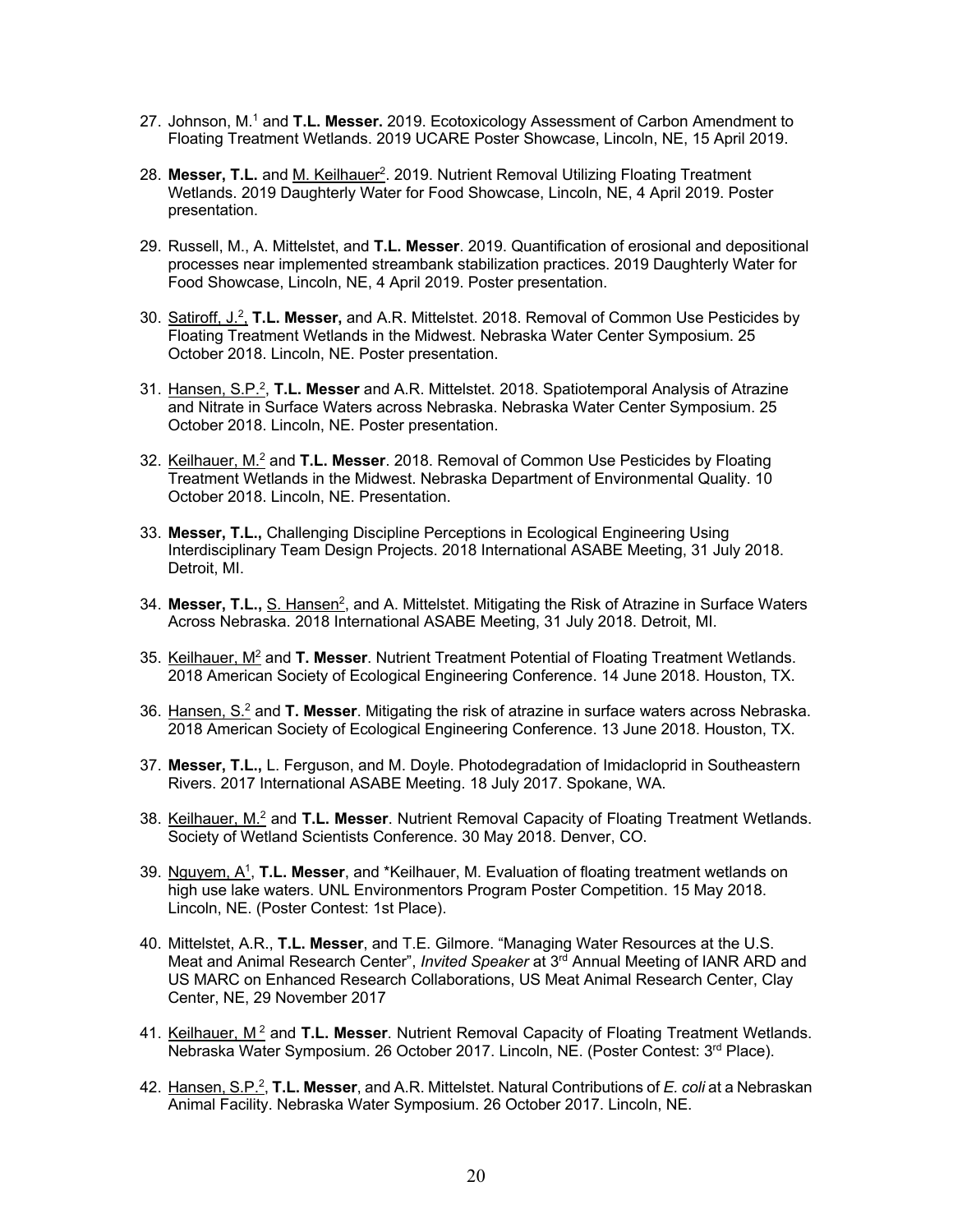- 27. Johnson, M. <sup>1</sup> and **T.L. Messer.** 2019. Ecotoxicology Assessment of Carbon Amendment to Floating Treatment Wetlands. 2019 UCARE Poster Showcase, Lincoln, NE, 15 April 2019.
- 28. Messer, T.L. and M. Keilhauer<sup>2</sup>. 2019. Nutrient Removal Utilizing Floating Treatment Wetlands. 2019 Daughterly Water for Food Showcase, Lincoln, NE, 4 April 2019. Poster presentation.
- 29. Russell, M., A. Mittelstet, and **T.L. Messer**. 2019. Quantification of erosional and depositional processes near implemented streambank stabilization practices. 2019 Daughterly Water for Food Showcase, Lincoln, NE, 4 April 2019. Poster presentation.
- 30. Satiroff, J.2, **T.L. Messer,** and A.R. Mittelstet. 2018. Removal of Common Use Pesticides by Floating Treatment Wetlands in the Midwest. Nebraska Water Center Symposium. 25 October 2018. Lincoln, NE. Poster presentation.
- 31. Hansen, S.P.2, **T.L. Messer** and A.R. Mittelstet. 2018. Spatiotemporal Analysis of Atrazine and Nitrate in Surface Waters across Nebraska. Nebraska Water Center Symposium. 25 October 2018. Lincoln, NE. Poster presentation.
- 32. Keilhauer, M.2 and **T.L. Messer**. 2018. Removal of Common Use Pesticides by Floating Treatment Wetlands in the Midwest. Nebraska Department of Environmental Quality. 10 October 2018. Lincoln, NE. Presentation.
- 33. **Messer, T.L.,** Challenging Discipline Perceptions in Ecological Engineering Using Interdisciplinary Team Design Projects. 2018 International ASABE Meeting, 31 July 2018. Detroit, MI.
- 34. **Messer, T.L., S. Hansen<sup>2</sup>, and A. Mittelstet. Mitigating the Risk of Atrazine in Surface Waters** Across Nebraska. 2018 International ASABE Meeting, 31 July 2018. Detroit, MI.
- 35. Keilhauer, M2 and **T. Messer**. Nutrient Treatment Potential of Floating Treatment Wetlands. 2018 American Society of Ecological Engineering Conference. 14 June 2018. Houston, TX.
- 36. Hansen, S.2 and **T. Messer**. Mitigating the risk of atrazine in surface waters across Nebraska. 2018 American Society of Ecological Engineering Conference. 13 June 2018. Houston, TX.
- 37. **Messer, T.L.,** L. Ferguson, and M. Doyle. Photodegradation of Imidacloprid in Southeastern Rivers. 2017 International ASABE Meeting. 18 July 2017. Spokane, WA.
- 38. Keilhauer, M.2 and **T.L. Messer**. Nutrient Removal Capacity of Floating Treatment Wetlands. Society of Wetland Scientists Conference. 30 May 2018. Denver, CO.
- 39. Nguyem, A1, **T.L. Messer**, and \*Keilhauer, M. Evaluation of floating treatment wetlands on high use lake waters. UNL Environmentors Program Poster Competition. 15 May 2018. Lincoln, NE. (Poster Contest: 1st Place).
- 40. Mittelstet, A.R., **T.L. Messer**, and T.E. Gilmore. "Managing Water Resources at the U.S. Meat and Animal Research Center", *Invited Speaker* at 3rd Annual Meeting of IANR ARD and US MARC on Enhanced Research Collaborations, US Meat Animal Research Center, Clay Center, NE, 29 November 2017
- 41. Keilhauer, M<sup>2</sup> and T.L. Messer. Nutrient Removal Capacity of Floating Treatment Wetlands. Nebraska Water Symposium. 26 October 2017. Lincoln, NE. (Poster Contest: 3<sup>rd</sup> Place).
- 42. Hansen, S.P.2, **T.L. Messer**, and A.R. Mittelstet. Natural Contributions of *E. coli* at a Nebraskan Animal Facility. Nebraska Water Symposium. 26 October 2017. Lincoln, NE.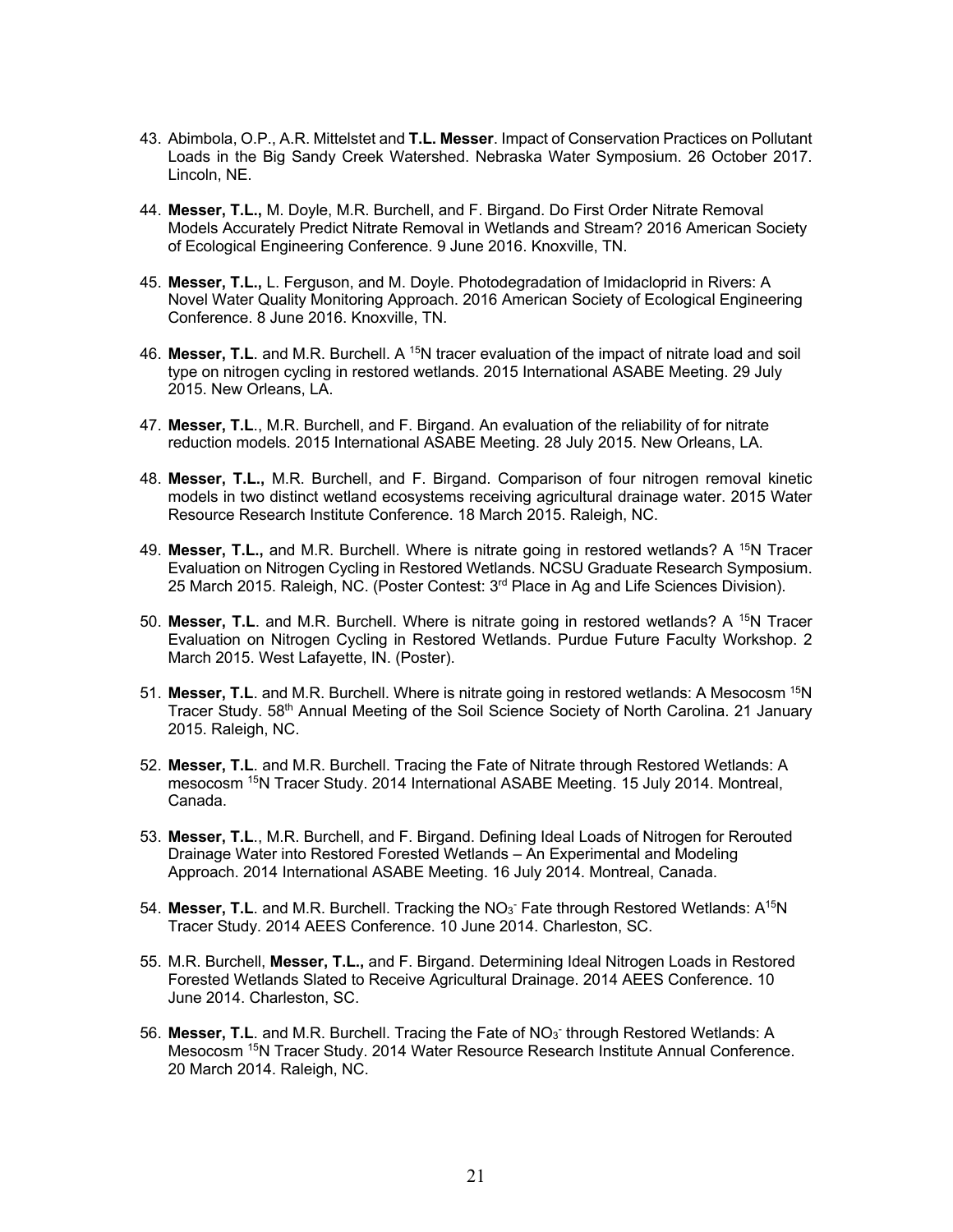- 43. Abimbola, O.P., A.R. Mittelstet and **T.L. Messer**. Impact of Conservation Practices on Pollutant Loads in the Big Sandy Creek Watershed. Nebraska Water Symposium. 26 October 2017. Lincoln, NE.
- 44. **Messer, T.L.,** M. Doyle, M.R. Burchell, and F. Birgand. Do First Order Nitrate Removal Models Accurately Predict Nitrate Removal in Wetlands and Stream? 2016 American Society of Ecological Engineering Conference. 9 June 2016. Knoxville, TN.
- 45. **Messer, T.L.,** L. Ferguson, and M. Doyle. Photodegradation of Imidacloprid in Rivers: A Novel Water Quality Monitoring Approach. 2016 American Society of Ecological Engineering Conference. 8 June 2016. Knoxville, TN.
- 46. **Messer, T.L**. and M.R. Burchell. A 15N tracer evaluation of the impact of nitrate load and soil type on nitrogen cycling in restored wetlands. 2015 International ASABE Meeting. 29 July 2015. New Orleans, LA.
- 47. **Messer, T.L**., M.R. Burchell, and F. Birgand. An evaluation of the reliability of for nitrate reduction models. 2015 International ASABE Meeting. 28 July 2015. New Orleans, LA.
- 48. **Messer, T.L.,** M.R. Burchell, and F. Birgand. Comparison of four nitrogen removal kinetic models in two distinct wetland ecosystems receiving agricultural drainage water. 2015 Water Resource Research Institute Conference. 18 March 2015. Raleigh, NC.
- 49. **Messer, T.L.,** and M.R. Burchell. Where is nitrate going in restored wetlands? A <sup>15</sup>N Tracer Evaluation on Nitrogen Cycling in Restored Wetlands. NCSU Graduate Research Symposium. 25 March 2015. Raleigh, NC. (Poster Contest: 3rd Place in Ag and Life Sciences Division).
- 50. Messer, T.L. and M.R. Burchell. Where is nitrate going in restored wetlands? A <sup>15</sup>N Tracer Evaluation on Nitrogen Cycling in Restored Wetlands. Purdue Future Faculty Workshop. 2 March 2015. West Lafayette, IN. (Poster).
- 51. **Messer, T.L**. and M.R. Burchell. Where is nitrate going in restored wetlands: A Mesocosm 15N Tracer Study. 58<sup>th</sup> Annual Meeting of the Soil Science Society of North Carolina. 21 January 2015. Raleigh, NC.
- 52. **Messer, T.L**. and M.R. Burchell. Tracing the Fate of Nitrate through Restored Wetlands: A mesocosm 15N Tracer Study. 2014 International ASABE Meeting. 15 July 2014. Montreal, Canada.
- 53. **Messer, T.L**., M.R. Burchell, and F. Birgand. Defining Ideal Loads of Nitrogen for Rerouted Drainage Water into Restored Forested Wetlands – An Experimental and Modeling Approach. 2014 International ASABE Meeting. 16 July 2014. Montreal, Canada.
- 54. Messer, T.L. and M.R. Burchell. Tracking the NO<sub>3</sub> Fate through Restored Wetlands: A<sup>15</sup>N Tracer Study. 2014 AEES Conference. 10 June 2014. Charleston, SC.
- 55. M.R. Burchell, **Messer, T.L.,** and F. Birgand. Determining Ideal Nitrogen Loads in Restored Forested Wetlands Slated to Receive Agricultural Drainage. 2014 AEES Conference. 10 June 2014. Charleston, SC.
- 56. Messer, T.L. and M.R. Burchell. Tracing the Fate of NO<sub>3</sub> through Restored Wetlands: A Mesocosm 15N Tracer Study. 2014 Water Resource Research Institute Annual Conference. 20 March 2014. Raleigh, NC.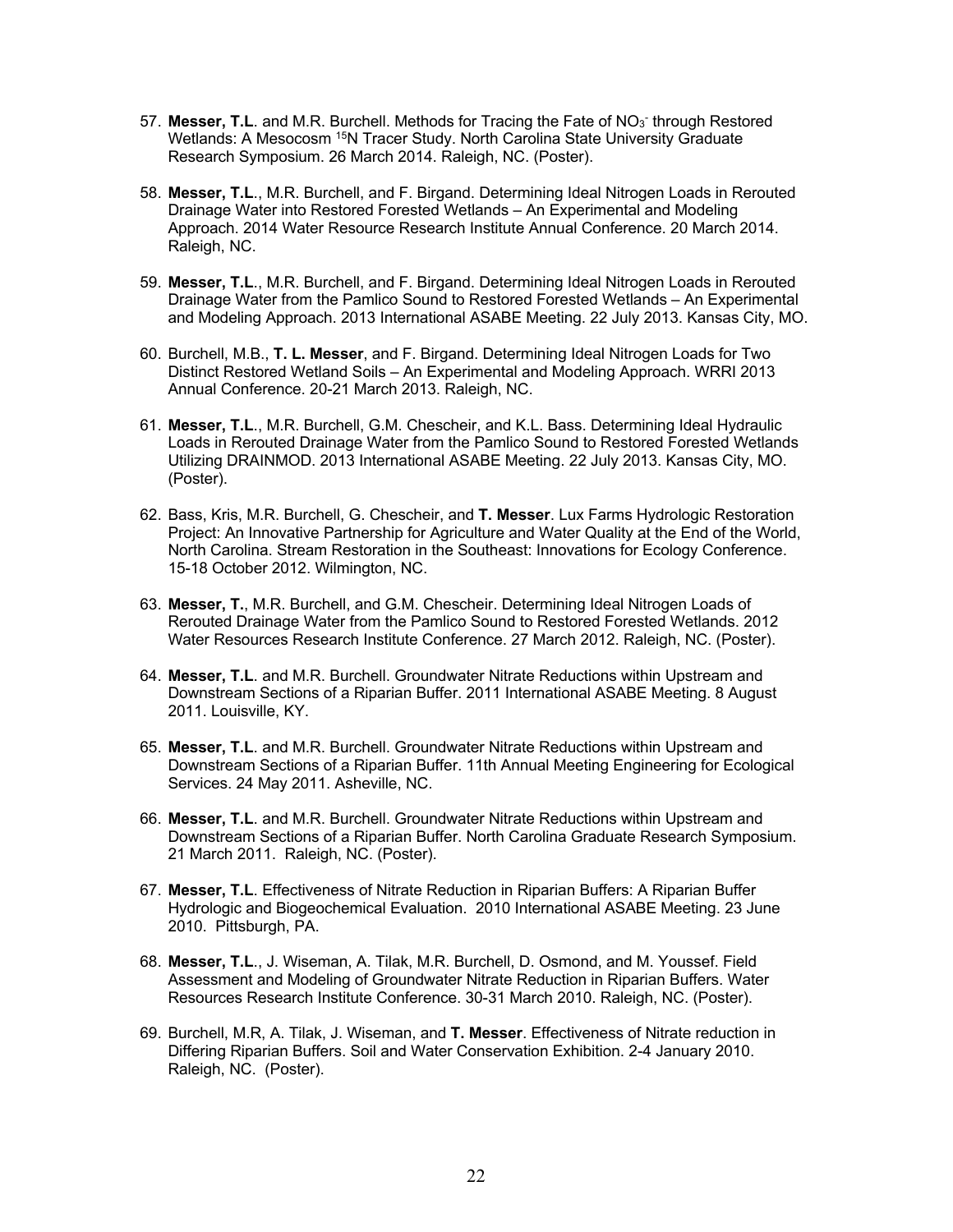- 57. Messer, T.L. and M.R. Burchell. Methods for Tracing the Fate of NO<sub>3</sub> through Restored Wetlands: A Mesocosm <sup>15</sup>N Tracer Study. North Carolina State University Graduate Research Symposium. 26 March 2014. Raleigh, NC. (Poster).
- 58. **Messer, T.L**., M.R. Burchell, and F. Birgand. Determining Ideal Nitrogen Loads in Rerouted Drainage Water into Restored Forested Wetlands – An Experimental and Modeling Approach. 2014 Water Resource Research Institute Annual Conference. 20 March 2014. Raleigh, NC.
- 59. **Messer, T.L**., M.R. Burchell, and F. Birgand. Determining Ideal Nitrogen Loads in Rerouted Drainage Water from the Pamlico Sound to Restored Forested Wetlands – An Experimental and Modeling Approach. 2013 International ASABE Meeting. 22 July 2013. Kansas City, MO.
- 60. Burchell, M.B., **T. L. Messer**, and F. Birgand. Determining Ideal Nitrogen Loads for Two Distinct Restored Wetland Soils – An Experimental and Modeling Approach. WRRI 2013 Annual Conference. 20-21 March 2013. Raleigh, NC.
- 61. **Messer, T.L**., M.R. Burchell, G.M. Chescheir, and K.L. Bass. Determining Ideal Hydraulic Loads in Rerouted Drainage Water from the Pamlico Sound to Restored Forested Wetlands Utilizing DRAINMOD. 2013 International ASABE Meeting. 22 July 2013. Kansas City, MO. (Poster).
- 62. Bass, Kris, M.R. Burchell, G. Chescheir, and **T. Messer**. Lux Farms Hydrologic Restoration Project: An Innovative Partnership for Agriculture and Water Quality at the End of the World, North Carolina. Stream Restoration in the Southeast: Innovations for Ecology Conference. 15-18 October 2012. Wilmington, NC.
- 63. **Messer, T.**, M.R. Burchell, and G.M. Chescheir. Determining Ideal Nitrogen Loads of Rerouted Drainage Water from the Pamlico Sound to Restored Forested Wetlands. 2012 Water Resources Research Institute Conference. 27 March 2012. Raleigh, NC. (Poster).
- 64. **Messer, T.L**. and M.R. Burchell. Groundwater Nitrate Reductions within Upstream and Downstream Sections of a Riparian Buffer. 2011 International ASABE Meeting. 8 August 2011. Louisville, KY.
- 65. **Messer, T.L**. and M.R. Burchell. Groundwater Nitrate Reductions within Upstream and Downstream Sections of a Riparian Buffer. 11th Annual Meeting Engineering for Ecological Services. 24 May 2011. Asheville, NC.
- 66. **Messer, T.L**. and M.R. Burchell. Groundwater Nitrate Reductions within Upstream and Downstream Sections of a Riparian Buffer. North Carolina Graduate Research Symposium. 21 March 2011. Raleigh, NC. (Poster).
- 67. **Messer, T.L**. Effectiveness of Nitrate Reduction in Riparian Buffers: A Riparian Buffer Hydrologic and Biogeochemical Evaluation. 2010 International ASABE Meeting. 23 June 2010. Pittsburgh, PA.
- 68. **Messer, T.L**., J. Wiseman, A. Tilak, M.R. Burchell, D. Osmond, and M. Youssef. Field Assessment and Modeling of Groundwater Nitrate Reduction in Riparian Buffers. Water Resources Research Institute Conference. 30-31 March 2010. Raleigh, NC. (Poster).
- 69. Burchell, M.R, A. Tilak, J. Wiseman, and **T. Messer**. Effectiveness of Nitrate reduction in Differing Riparian Buffers. Soil and Water Conservation Exhibition. 2-4 January 2010. Raleigh, NC. (Poster).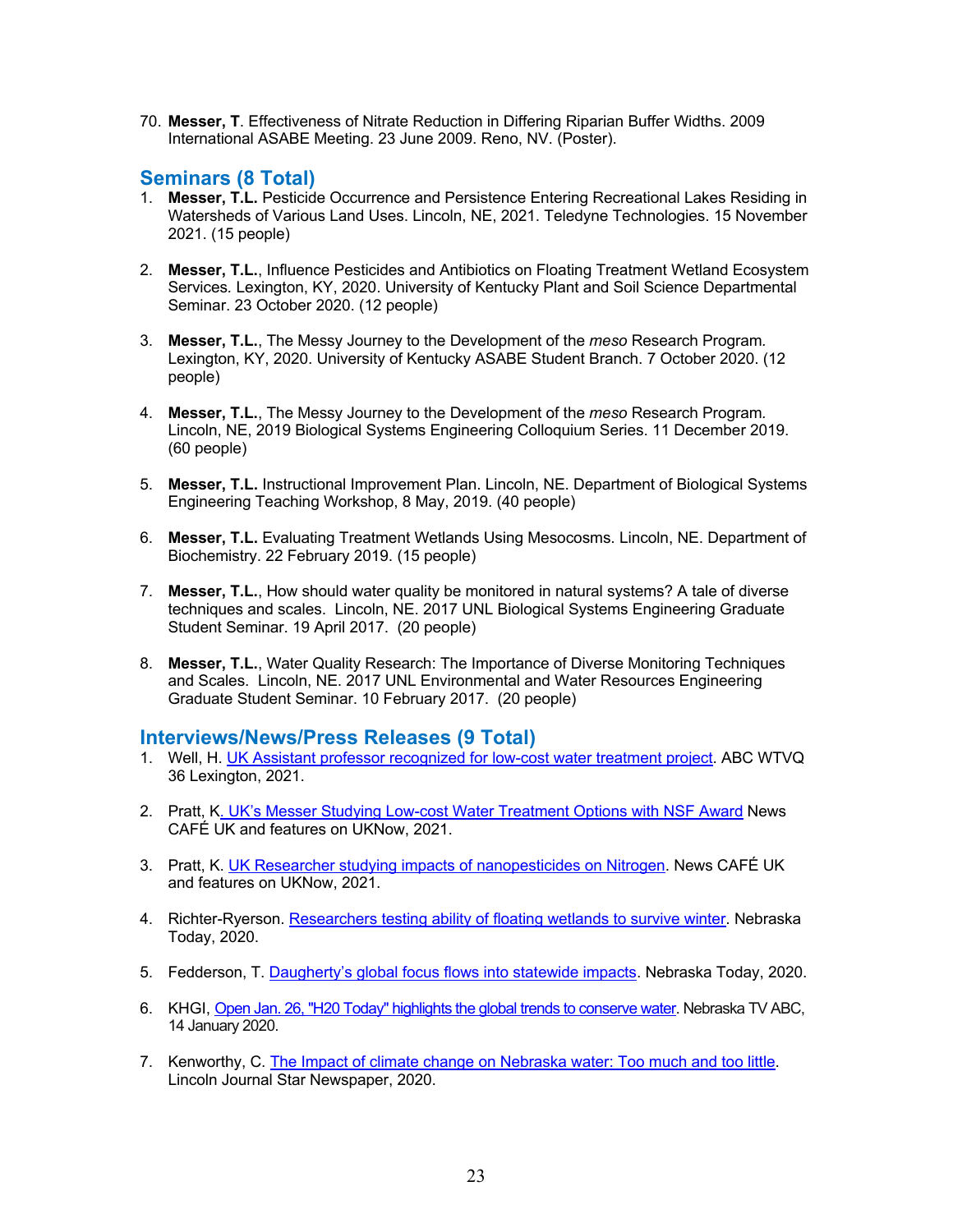70. **Messer, T**. Effectiveness of Nitrate Reduction in Differing Riparian Buffer Widths. 2009 International ASABE Meeting. 23 June 2009. Reno, NV. (Poster).

### **Seminars (8 Total)**

- 1. **Messer, T.L.** Pesticide Occurrence and Persistence Entering Recreational Lakes Residing in Watersheds of Various Land Uses. Lincoln, NE, 2021. Teledyne Technologies. 15 November 2021. (15 people)
- 2. **Messer, T.L.**, Influence Pesticides and Antibiotics on Floating Treatment Wetland Ecosystem Services*.* Lexington, KY, 2020. University of Kentucky Plant and Soil Science Departmental Seminar. 23 October 2020. (12 people)
- 3. **Messer, T.L.**, The Messy Journey to the Development of the *meso* Research Program*.* Lexington, KY, 2020. University of Kentucky ASABE Student Branch. 7 October 2020. (12 people)
- 4. **Messer, T.L.**, The Messy Journey to the Development of the *meso* Research Program*.* Lincoln, NE, 2019 Biological Systems Engineering Colloquium Series. 11 December 2019. (60 people)
- 5. **Messer, T.L.** Instructional Improvement Plan. Lincoln, NE. Department of Biological Systems Engineering Teaching Workshop, 8 May, 2019. (40 people)
- 6. **Messer, T.L.** Evaluating Treatment Wetlands Using Mesocosms. Lincoln, NE. Department of Biochemistry. 22 February 2019. (15 people)
- 7. **Messer, T.L.**, How should water quality be monitored in natural systems? A tale of diverse techniques and scales. Lincoln, NE. 2017 UNL Biological Systems Engineering Graduate Student Seminar. 19 April 2017. (20 people)
- 8. **Messer, T.L.**, Water Quality Research: The Importance of Diverse Monitoring Techniques and Scales. Lincoln, NE. 2017 UNL Environmental and Water Resources Engineering Graduate Student Seminar. 10 February 2017. (20 people)

### **Interviews/News/Press Releases (9 Total)**

- 1. Well, H. UK Assistant professor recognized for low-cost water treatment project. ABC WTVQ 36 Lexington, 2021.
- 2. Pratt, K. UK's Messer Studying Low-cost Water Treatment Options with NSF Award News CAFÉ UK and features on UKNow, 2021.
- 3. Pratt, K. UK Researcher studying impacts of nanopesticides on Nitrogen. News CAFÉ UK and features on UKNow, 2021.
- 4. Richter-Ryerson. Researchers testing ability of floating wetlands to survive winter. Nebraska Today, 2020.
- 5. Fedderson, T. Daugherty's global focus flows into statewide impacts. Nebraska Today, 2020.
- 6. KHGI, Open Jan. 26, "H20 Today" highlights the global trends to conserve water. Nebraska TV ABC, 14 January 2020.
- 7. Kenworthy, C. The Impact of climate change on Nebraska water: Too much and too little. Lincoln Journal Star Newspaper, 2020.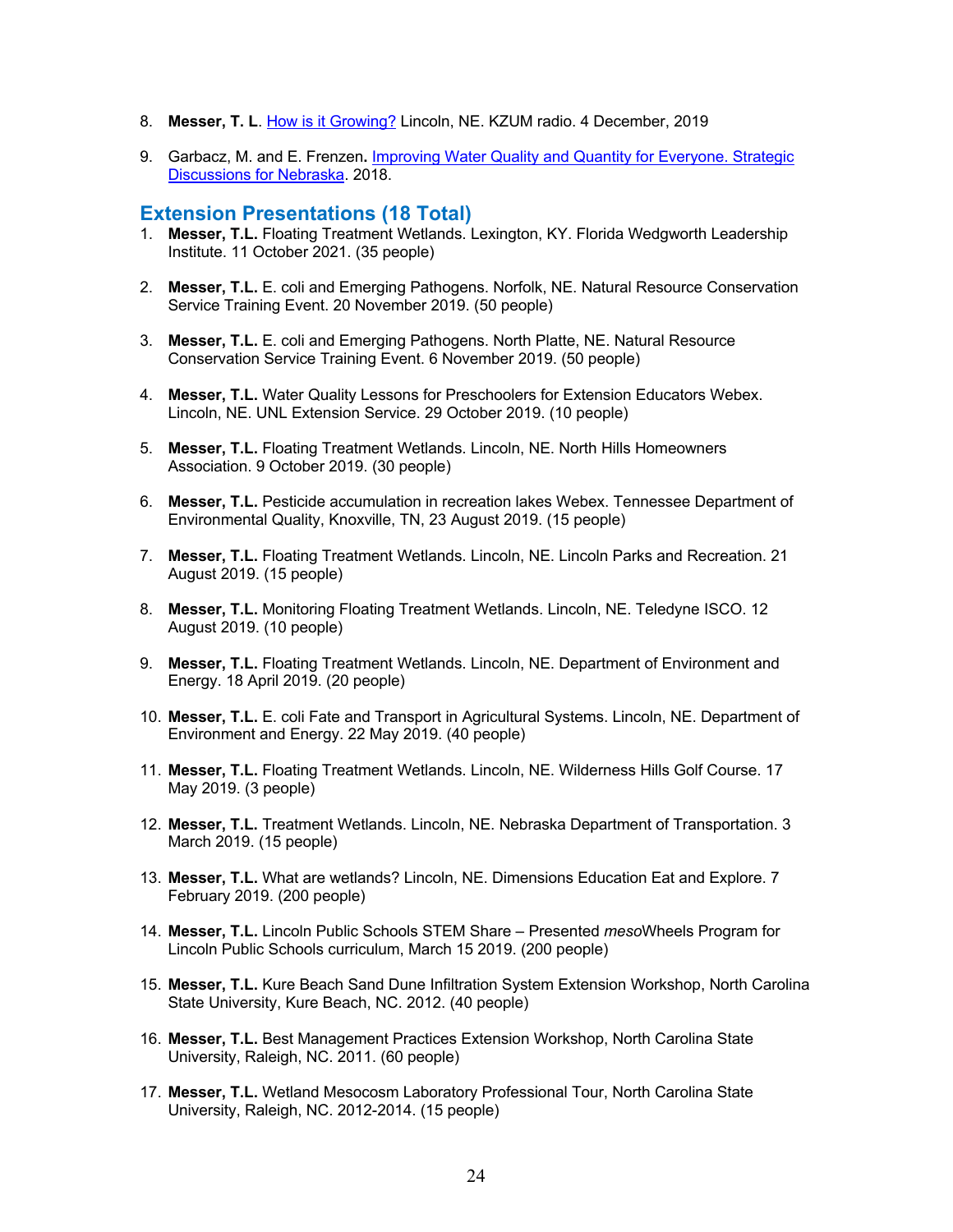- 8. **Messer, T. L**. How is it Growing? Lincoln, NE. KZUM radio. 4 December, 2019
- 9. Garbacz, M. and E. Frenzen**.** Improving Water Quality and Quantity for Everyone. Strategic Discussions for Nebraska. 2018.

#### **Extension Presentations (18 Total)**

- 1. **Messer, T.L.** Floating Treatment Wetlands. Lexington, KY. Florida Wedgworth Leadership Institute. 11 October 2021. (35 people)
- 2. **Messer, T.L.** E. coli and Emerging Pathogens. Norfolk, NE. Natural Resource Conservation Service Training Event. 20 November 2019. (50 people)
- 3. **Messer, T.L.** E. coli and Emerging Pathogens. North Platte, NE. Natural Resource Conservation Service Training Event. 6 November 2019. (50 people)
- 4. **Messer, T.L.** Water Quality Lessons for Preschoolers for Extension Educators Webex. Lincoln, NE. UNL Extension Service. 29 October 2019. (10 people)
- 5. **Messer, T.L.** Floating Treatment Wetlands. Lincoln, NE. North Hills Homeowners Association. 9 October 2019. (30 people)
- 6. **Messer, T.L.** Pesticide accumulation in recreation lakes Webex. Tennessee Department of Environmental Quality, Knoxville, TN, 23 August 2019. (15 people)
- 7. **Messer, T.L.** Floating Treatment Wetlands. Lincoln, NE. Lincoln Parks and Recreation. 21 August 2019. (15 people)
- 8. **Messer, T.L.** Monitoring Floating Treatment Wetlands. Lincoln, NE. Teledyne ISCO. 12 August 2019. (10 people)
- 9. **Messer, T.L.** Floating Treatment Wetlands. Lincoln, NE. Department of Environment and Energy. 18 April 2019. (20 people)
- 10. **Messer, T.L.** E. coli Fate and Transport in Agricultural Systems. Lincoln, NE. Department of Environment and Energy. 22 May 2019. (40 people)
- 11. **Messer, T.L.** Floating Treatment Wetlands. Lincoln, NE. Wilderness Hills Golf Course. 17 May 2019. (3 people)
- 12. **Messer, T.L.** Treatment Wetlands. Lincoln, NE. Nebraska Department of Transportation. 3 March 2019. (15 people)
- 13. **Messer, T.L.** What are wetlands? Lincoln, NE. Dimensions Education Eat and Explore. 7 February 2019. (200 people)
- 14. **Messer, T.L.** Lincoln Public Schools STEM Share Presented *meso*Wheels Program for Lincoln Public Schools curriculum, March 15 2019. (200 people)
- 15. **Messer, T.L.** Kure Beach Sand Dune Infiltration System Extension Workshop, North Carolina State University, Kure Beach, NC. 2012. (40 people)
- 16. **Messer, T.L.** Best Management Practices Extension Workshop, North Carolina State University, Raleigh, NC. 2011. (60 people)
- 17. **Messer, T.L.** Wetland Mesocosm Laboratory Professional Tour, North Carolina State University, Raleigh, NC. 2012-2014. (15 people)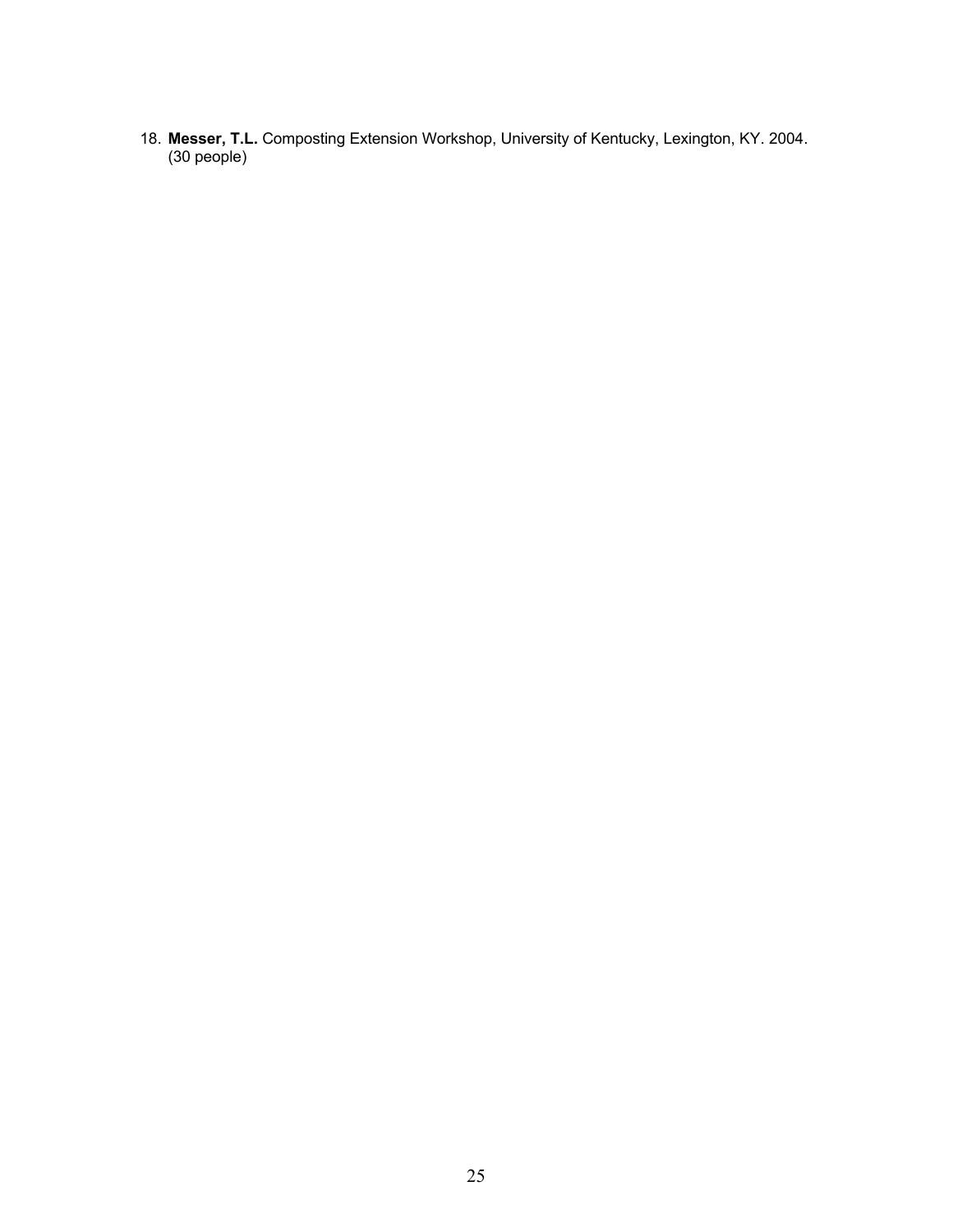18. **Messer, T.L.** Composting Extension Workshop, University of Kentucky, Lexington, KY. 2004. (30 people)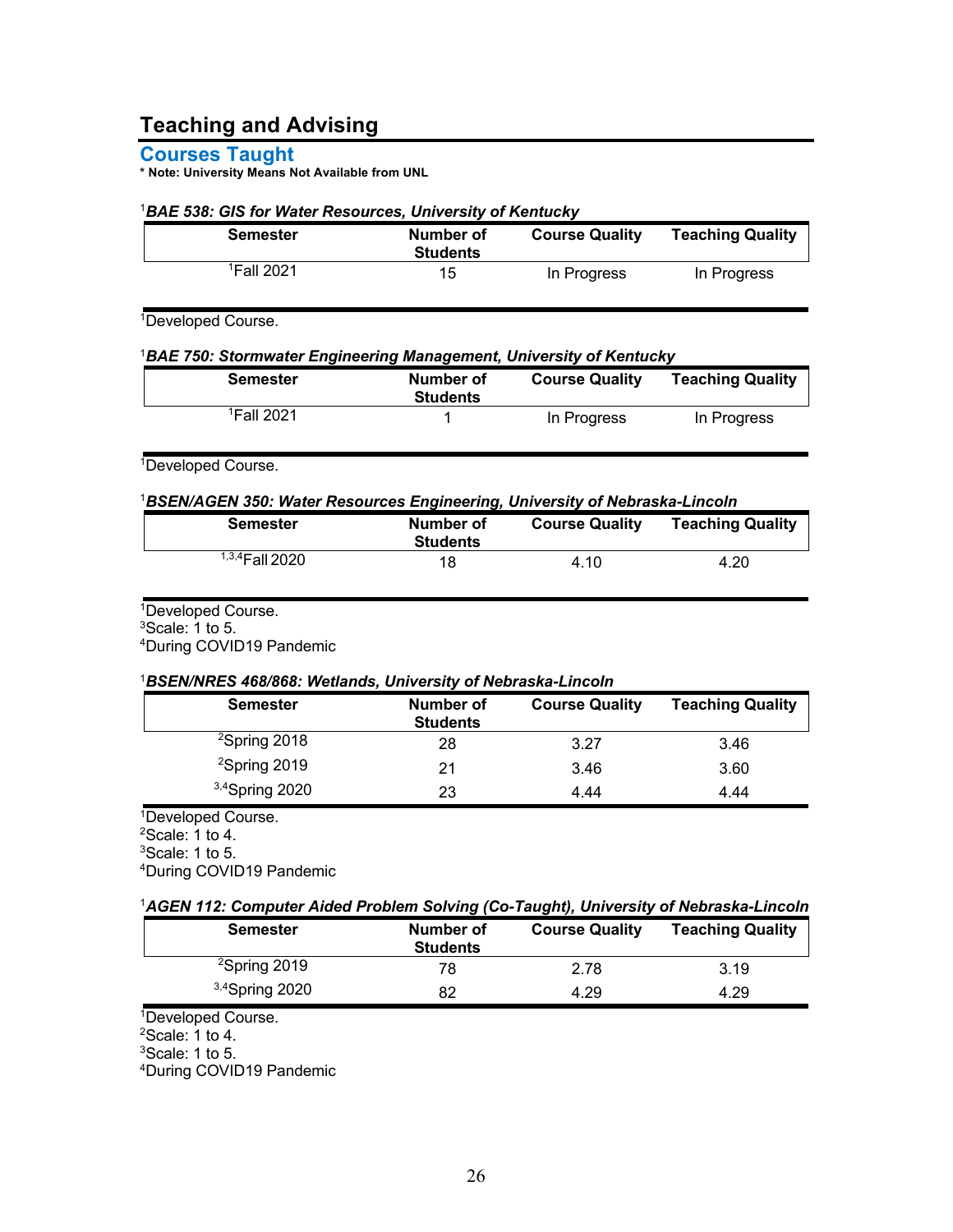# **Teaching and Advising**

**Courses Taught**

**\* Note: University Means Not Available from UNL**

#### <sup>1</sup>*BAE 538: GIS for Water Resources, University of Kentucky*

| <b>Semester</b>        | Number of<br><b>Students</b> | <b>Course Quality</b> | <b>Teaching Quality</b> |
|------------------------|------------------------------|-----------------------|-------------------------|
| <sup>1</sup> Fall 2021 | 15                           | In Progress           | In Progress             |

1Developed Course.

#### <sup>1</sup>*BAE 750: Stormwater Engineering Management, University of Kentucky*

| <b>Semester</b>        | Number of<br><b>Students</b> | <b>Course Quality</b> | <b>Teaching Quality</b> |
|------------------------|------------------------------|-----------------------|-------------------------|
| <sup>1</sup> Fall 2021 |                              | In Progress           | In Progress             |

<sup>1</sup>Developed Course.

#### <sup>1</sup>*BSEN/AGEN 350: Water Resources Engineering, University of Nebraska-Lincoln*

| Semester          | Number of<br><b>Students</b> | <b>Course Quality</b> | <b>Teaching Quality</b> |
|-------------------|------------------------------|-----------------------|-------------------------|
| $1,3,4$ Fall 2020 | 18                           | 4.10                  | 4.20                    |

<sup>1</sup>Developed Course.  $3$ Scale: 1 to 5.

4During COVID19 Pandemic

#### <sup>1</sup>*BSEN/NRES 468/868: Wetlands, University of Nebraska-Lincoln*

| <b>Semester</b>          | <b>Number of</b><br><b>Students</b> | <b>Course Quality</b> | <b>Teaching Quality</b> |
|--------------------------|-------------------------------------|-----------------------|-------------------------|
| <sup>2</sup> Spring 2018 | 28                                  | 3.27                  | 3.46                    |
| $2$ Spring 2019          | 21                                  | 3.46                  | 3.60                    |
| $3,4$ Spring 2020        | 23                                  | 4.44                  | 4.44                    |

<sup>1</sup>Developed Course. 2Scale: 1 to 4. 3Scale: 1 to 5. 4During COVID19 Pandemic

| <sup>1</sup> AGEN 112: Computer Aided Problem Solving (Co-Taught), University of Nebraska-Lincoln |  |  |  |
|---------------------------------------------------------------------------------------------------|--|--|--|
|---------------------------------------------------------------------------------------------------|--|--|--|

| <b>Semester</b>   | Number of<br><b>Students</b> | <b>Course Quality</b> | <b>Teaching Quality</b> |
|-------------------|------------------------------|-----------------------|-------------------------|
| $2$ Spring 2019   | 78                           | 2.78                  | 3.19                    |
| $3,4$ Spring 2020 | 82                           | 4.29                  | 4.29                    |

<sup>1</sup>Developed Course.

 $2$ Scale: 1 to 4.

3Scale: 1 to 5.

4During COVID19 Pandemic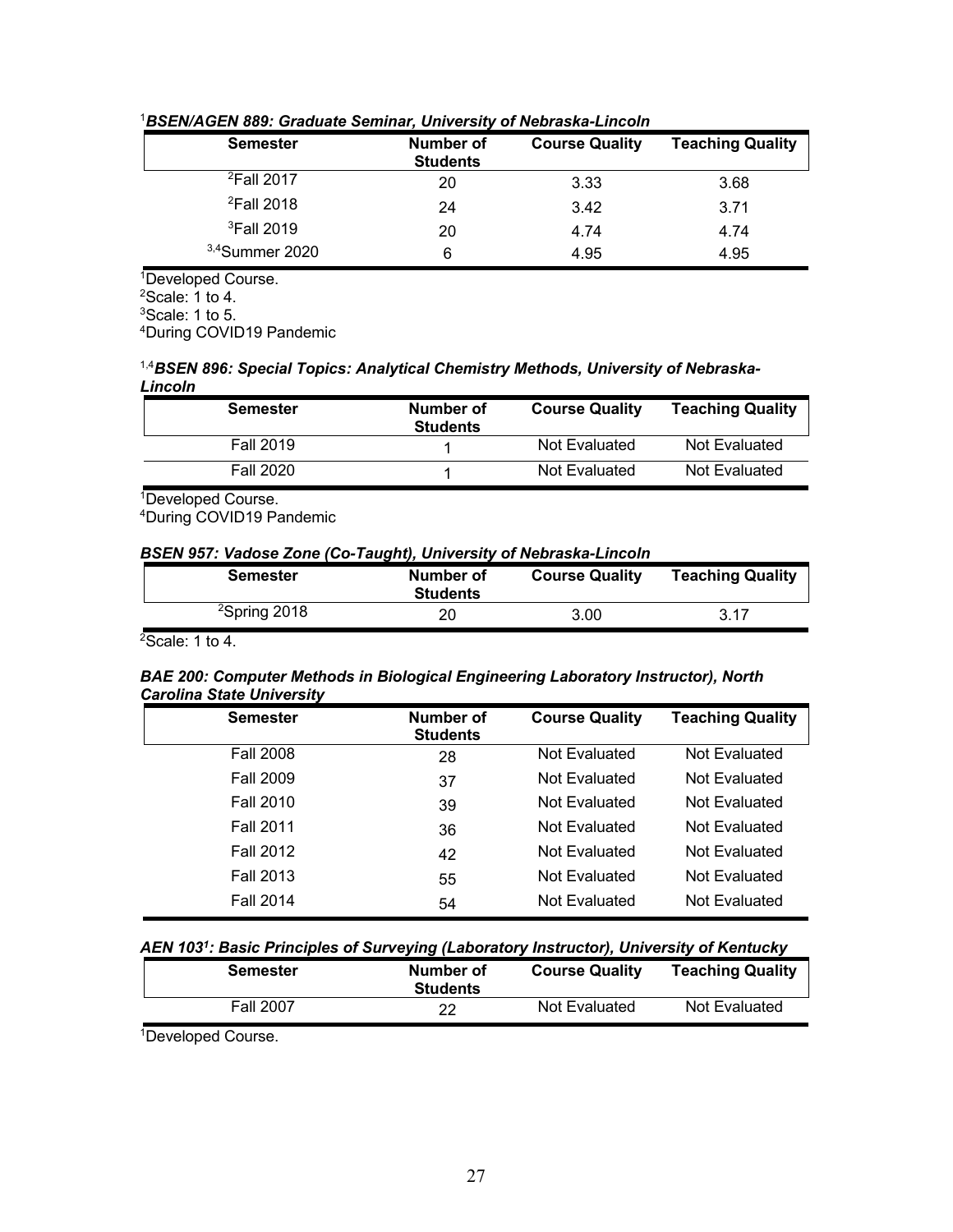| <b>Semester</b>        | Number of<br><b>Students</b> | <b>Course Quality</b> | <b>Teaching Quality</b> |
|------------------------|------------------------------|-----------------------|-------------------------|
| <sup>2</sup> Fall 2017 | 20                           | 3.33                  | 3.68                    |
| <sup>2</sup> Fall 2018 | 24                           | 3.42                  | 3.71                    |
| <sup>3</sup> Fall 2019 | 20                           | 4.74                  | 4.74                    |
| $3,4$ Summer 2020      | 6                            | 4.95                  | 4.95                    |
|                        |                              |                       |                         |

#### <sup>1</sup>*BSEN/AGEN 889: Graduate Seminar, University of Nebraska-Lincoln*

<sup>1</sup>Developed Course.  $2$ Scale: 1 to 4. 3Scale: 1 to 5. 4During COVID19 Pandemic

#### 1,4*BSEN 896: Special Topics: Analytical Chemistry Methods, University of Nebraska-Lincoln*

| <b>Semester</b>  | Number of<br><b>Students</b> | <b>Course Quality</b> | <b>Teaching Quality</b> |
|------------------|------------------------------|-----------------------|-------------------------|
| <b>Fall 2019</b> |                              | Not Evaluated         | Not Evaluated           |
| <b>Fall 2020</b> |                              | Not Evaluated         | Not Evaluated           |

1Developed Course.

4During COVID19 Pandemic

*BSEN 957: Vadose Zone (Co-Taught), University of Nebraska-Lincoln*

| Semester        | Number of<br><b>Students</b> | <b>Course Quality</b> | <b>Teaching Quality</b> |
|-----------------|------------------------------|-----------------------|-------------------------|
| $2$ Spring 2018 | 20                           | 3.00 <sub>1</sub>     | 3.17                    |

 $2$ Scale: 1 to 4.

#### *BAE 200: Computer Methods in Biological Engineering Laboratory Instructor), North Carolina State University*

| <b>Semester</b>  | Number of<br><b>Students</b> | <b>Course Quality</b> | <b>Teaching Quality</b> |
|------------------|------------------------------|-----------------------|-------------------------|
| <b>Fall 2008</b> | 28                           | Not Evaluated         | Not Evaluated           |
| <b>Fall 2009</b> | 37                           | Not Evaluated         | Not Evaluated           |
| <b>Fall 2010</b> | 39                           | Not Evaluated         | Not Evaluated           |
| <b>Fall 2011</b> | 36                           | Not Evaluated         | Not Evaluated           |
| <b>Fall 2012</b> | 42                           | Not Evaluated         | Not Evaluated           |
| <b>Fall 2013</b> | 55                           | Not Evaluated         | Not Evaluated           |
| <b>Fall 2014</b> | 54                           | Not Evaluated         | Not Evaluated           |

### *AEN 1031: Basic Principles of Surveying (Laboratory Instructor), University of Kentucky*

| <b>Semester</b>  | Number of<br><b>Students</b> | <b>Course Quality</b> | <b>Teaching Quality</b> |
|------------------|------------------------------|-----------------------|-------------------------|
| <b>Fall 2007</b> | 22                           | Not Evaluated         | Not Evaluated           |
|                  |                              |                       |                         |

<sup>1</sup>Developed Course.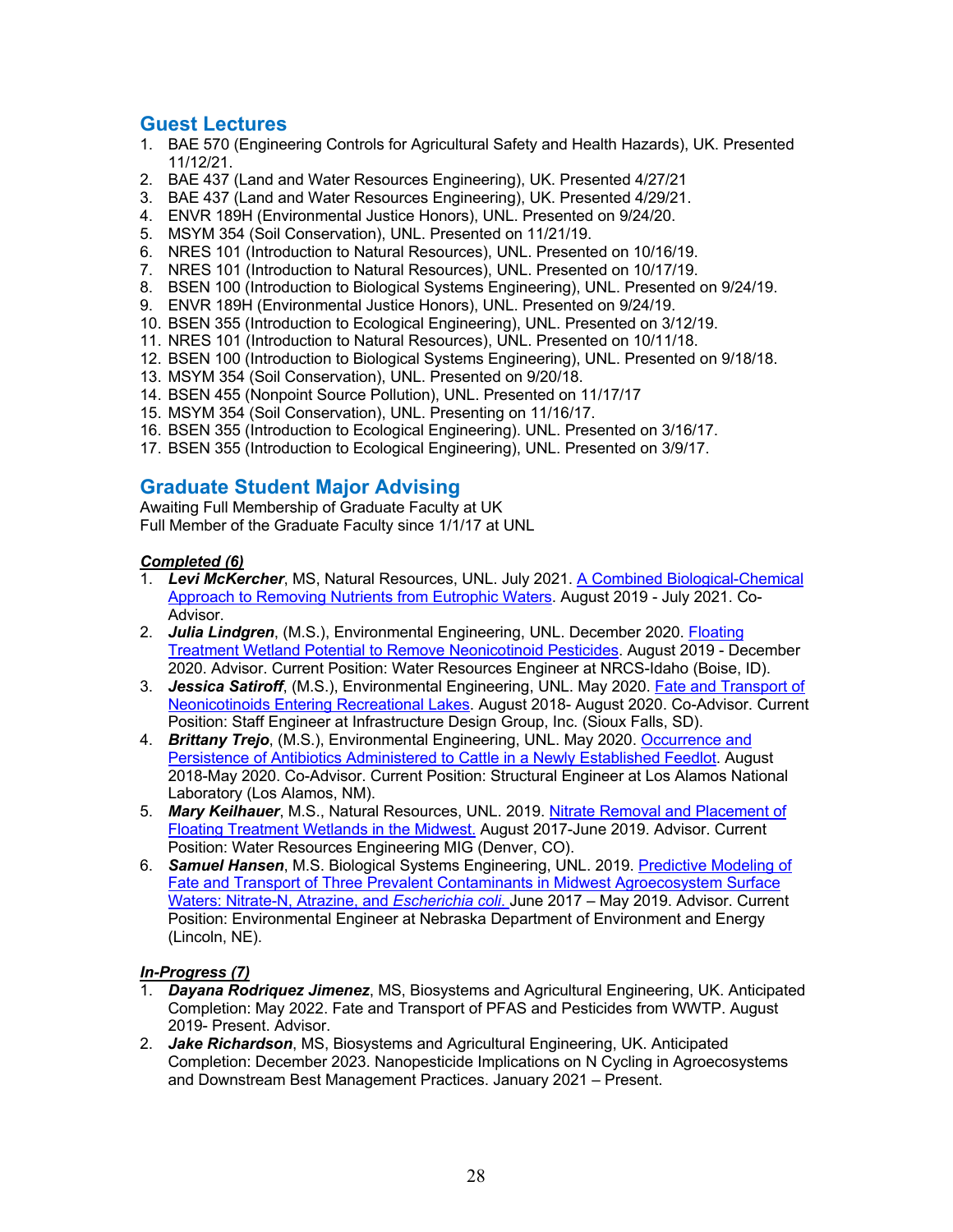### **Guest Lectures**

- 1. BAE 570 (Engineering Controls for Agricultural Safety and Health Hazards), UK. Presented 11/12/21.
- 2. BAE 437 (Land and Water Resources Engineering), UK. Presented 4/27/21
- 3. BAE 437 (Land and Water Resources Engineering), UK. Presented 4/29/21.
- 4. ENVR 189H (Environmental Justice Honors), UNL. Presented on 9/24/20.
- 5. MSYM 354 (Soil Conservation), UNL. Presented on 11/21/19.
- 6. NRES 101 (Introduction to Natural Resources), UNL. Presented on 10/16/19.
- 7. NRES 101 (Introduction to Natural Resources), UNL. Presented on 10/17/19.
- 8. BSEN 100 (Introduction to Biological Systems Engineering), UNL. Presented on 9/24/19.
- 9. ENVR 189H (Environmental Justice Honors), UNL. Presented on 9/24/19.
- 10. BSEN 355 (Introduction to Ecological Engineering), UNL. Presented on 3/12/19.
- 11. NRES 101 (Introduction to Natural Resources), UNL. Presented on 10/11/18.
- 12. BSEN 100 (Introduction to Biological Systems Engineering), UNL. Presented on 9/18/18.
- 13. MSYM 354 (Soil Conservation), UNL. Presented on 9/20/18.
- 14. BSEN 455 (Nonpoint Source Pollution), UNL. Presented on 11/17/17
- 15. MSYM 354 (Soil Conservation), UNL. Presenting on 11/16/17.
- 16. BSEN 355 (Introduction to Ecological Engineering). UNL. Presented on 3/16/17.
- 17. BSEN 355 (Introduction to Ecological Engineering), UNL. Presented on 3/9/17.

## **Graduate Student Major Advising**

Awaiting Full Membership of Graduate Faculty at UK Full Member of the Graduate Faculty since 1/1/17 at UNL

### *Completed (6)*

- 1. *Levi McKercher*, MS, Natural Resources, UNL. July 2021. A Combined Biological-Chemical Approach to Removing Nutrients from Eutrophic Waters. August 2019 - July 2021. Co-Advisor.
- 2. *Julia Lindgren*, (M.S.), Environmental Engineering, UNL. December 2020. Floating Treatment Wetland Potential to Remove Neonicotinoid Pesticides. August 2019 - December 2020. Advisor. Current Position: Water Resources Engineer at NRCS-Idaho (Boise, ID).
- 3. *Jessica Satiroff*, (M.S.), Environmental Engineering, UNL. May 2020. Fate and Transport of Neonicotinoids Entering Recreational Lakes. August 2018- August 2020. Co-Advisor. Current Position: Staff Engineer at Infrastructure Design Group, Inc. (Sioux Falls, SD).
- 4. *Brittany Trejo*, (M.S.), Environmental Engineering, UNL. May 2020. Occurrence and Persistence of Antibiotics Administered to Cattle in a Newly Established Feedlot. August 2018-May 2020. Co-Advisor. Current Position: Structural Engineer at Los Alamos National Laboratory (Los Alamos, NM).
- 5. *Mary Keilhauer*, M.S., Natural Resources, UNL. 2019. Nitrate Removal and Placement of Floating Treatment Wetlands in the Midwest. August 2017-June 2019. Advisor. Current Position: Water Resources Engineering MIG (Denver, CO).
- 6. *Samuel Hansen*, M.S. Biological Systems Engineering, UNL. 2019. Predictive Modeling of Fate and Transport of Three Prevalent Contaminants in Midwest Agroecosystem Surface Waters: Nitrate-N, Atrazine, and *Escherichia coli*. June 2017 – May 2019. Advisor. Current Position: Environmental Engineer at Nebraska Department of Environment and Energy (Lincoln, NE).

### *In-Progress (7)*

- 1. *Dayana Rodriquez Jimenez*, MS, Biosystems and Agricultural Engineering, UK. Anticipated Completion: May 2022. Fate and Transport of PFAS and Pesticides from WWTP. August 2019- Present. Advisor.
- 2. *Jake Richardson*, MS, Biosystems and Agricultural Engineering, UK. Anticipated Completion: December 2023. Nanopesticide Implications on N Cycling in Agroecosystems and Downstream Best Management Practices. January 2021 – Present.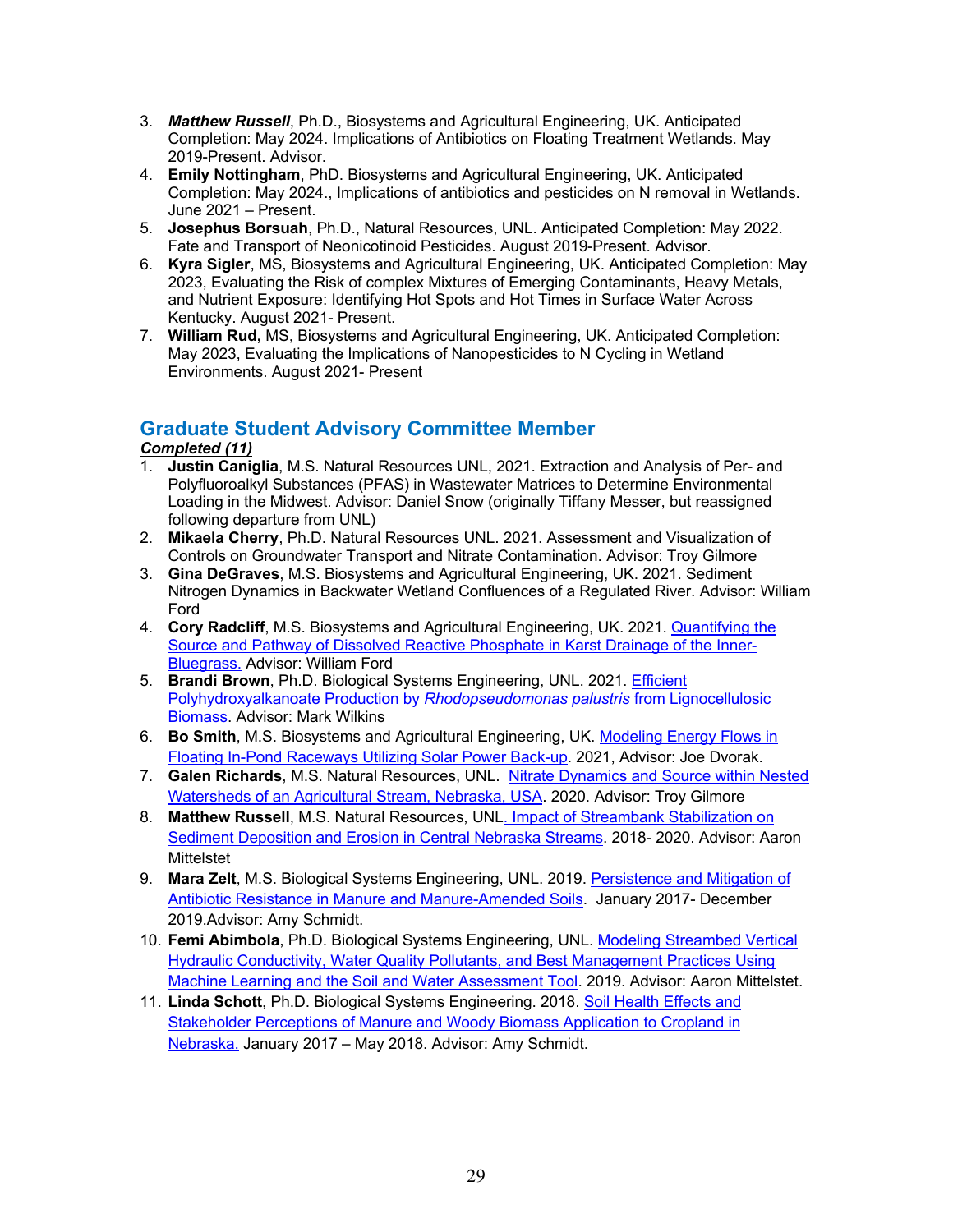- 3. *Matthew Russell*, Ph.D., Biosystems and Agricultural Engineering, UK. Anticipated Completion: May 2024. Implications of Antibiotics on Floating Treatment Wetlands. May 2019-Present. Advisor.
- 4. **Emily Nottingham**, PhD. Biosystems and Agricultural Engineering, UK. Anticipated Completion: May 2024., Implications of antibiotics and pesticides on N removal in Wetlands. June 2021 – Present.
- 5. **Josephus Borsuah**, Ph.D., Natural Resources, UNL. Anticipated Completion: May 2022. Fate and Transport of Neonicotinoid Pesticides. August 2019-Present. Advisor.
- 6. **Kyra Sigler**, MS, Biosystems and Agricultural Engineering, UK. Anticipated Completion: May 2023, Evaluating the Risk of complex Mixtures of Emerging Contaminants, Heavy Metals, and Nutrient Exposure: Identifying Hot Spots and Hot Times in Surface Water Across Kentucky. August 2021- Present.
- 7. **William Rud,** MS, Biosystems and Agricultural Engineering, UK. Anticipated Completion: May 2023, Evaluating the Implications of Nanopesticides to N Cycling in Wetland Environments. August 2021- Present

## **Graduate Student Advisory Committee Member**

## *Completed (11)*

- 1. **Justin Caniglia**, M.S. Natural Resources UNL, 2021. Extraction and Analysis of Per- and Polyfluoroalkyl Substances (PFAS) in Wastewater Matrices to Determine Environmental Loading in the Midwest. Advisor: Daniel Snow (originally Tiffany Messer, but reassigned following departure from UNL)
- 2. **Mikaela Cherry**, Ph.D. Natural Resources UNL. 2021. Assessment and Visualization of Controls on Groundwater Transport and Nitrate Contamination. Advisor: Troy Gilmore
- 3. **Gina DeGraves**, M.S. Biosystems and Agricultural Engineering, UK. 2021. Sediment Nitrogen Dynamics in Backwater Wetland Confluences of a Regulated River. Advisor: William Ford
- 4. **Cory Radcliff**, M.S. Biosystems and Agricultural Engineering, UK. 2021. Quantifying the Source and Pathway of Dissolved Reactive Phosphate in Karst Drainage of the Inner-Bluegrass. Advisor: William Ford
- 5. **Brandi Brown**, Ph.D. Biological Systems Engineering, UNL. 2021. Efficient Polyhydroxyalkanoate Production by *Rhodopseudomonas palustris* from Lignocellulosic Biomass. Advisor: Mark Wilkins
- 6. **Bo Smith**, M.S. Biosystems and Agricultural Engineering, UK. Modeling Energy Flows in Floating In-Pond Raceways Utilizing Solar Power Back-up. 2021, Advisor: Joe Dvorak.
- 7. **Galen Richards**, M.S. Natural Resources, UNL. Nitrate Dynamics and Source within Nested Watersheds of an Agricultural Stream, Nebraska, USA. 2020. Advisor: Troy Gilmore
- 8. **Matthew Russell**, M.S. Natural Resources, UNL. Impact of Streambank Stabilization on Sediment Deposition and Erosion in Central Nebraska Streams. 2018- 2020. Advisor: Aaron **Mittelstet**
- 9. **Mara Zelt**, M.S. Biological Systems Engineering, UNL. 2019. Persistence and Mitigation of Antibiotic Resistance in Manure and Manure-Amended Soils. January 2017- December 2019.Advisor: Amy Schmidt.
- 10. **Femi Abimbola**, Ph.D. Biological Systems Engineering, UNL. Modeling Streambed Vertical Hydraulic Conductivity, Water Quality Pollutants, and Best Management Practices Using Machine Learning and the Soil and Water Assessment Tool. 2019. Advisor: Aaron Mittelstet.
- 11. **Linda Schott**, Ph.D. Biological Systems Engineering. 2018. Soil Health Effects and Stakeholder Perceptions of Manure and Woody Biomass Application to Cropland in Nebraska. January 2017 – May 2018. Advisor: Amy Schmidt.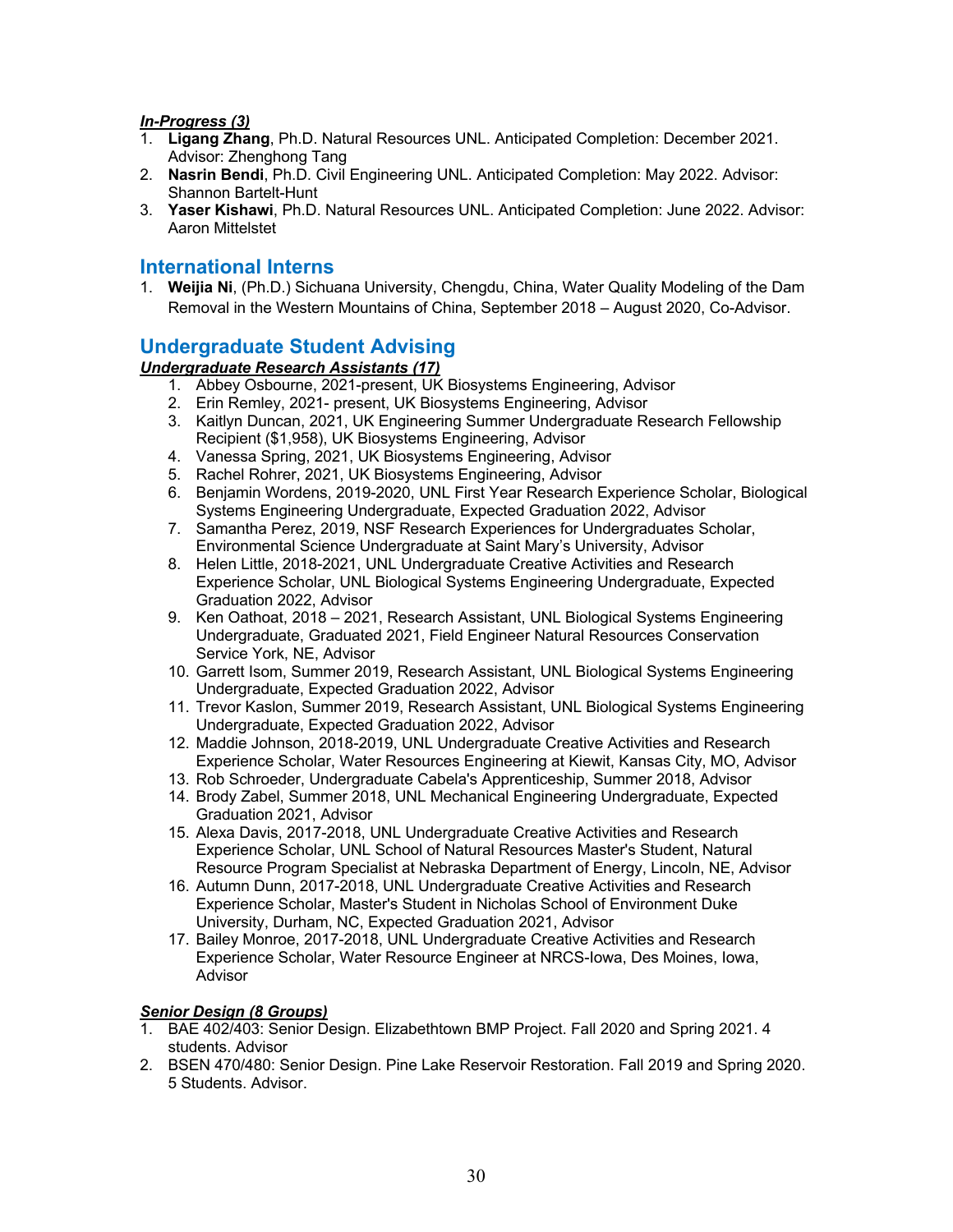#### *In-Progress (3)*

- 1. **Ligang Zhang**, Ph.D. Natural Resources UNL. Anticipated Completion: December 2021. Advisor: Zhenghong Tang
- 2. **Nasrin Bendi**, Ph.D. Civil Engineering UNL. Anticipated Completion: May 2022. Advisor: Shannon Bartelt-Hunt
- 3. **Yaser Kishawi**, Ph.D. Natural Resources UNL. Anticipated Completion: June 2022. Advisor: Aaron Mittelstet

## **International Interns**

1. **Weijia Ni**, (Ph.D.) Sichuana University, Chengdu, China, Water Quality Modeling of the Dam Removal in the Western Mountains of China, September 2018 – August 2020, Co-Advisor.

## **Undergraduate Student Advising**

### *Undergraduate Research Assistants (17)*

- 1. Abbey Osbourne, 2021-present, UK Biosystems Engineering, Advisor
- 2. Erin Remley, 2021- present, UK Biosystems Engineering, Advisor
- 3. Kaitlyn Duncan, 2021, UK Engineering Summer Undergraduate Research Fellowship Recipient (\$1,958), UK Biosystems Engineering, Advisor
- 4. Vanessa Spring, 2021, UK Biosystems Engineering, Advisor
- 5. Rachel Rohrer, 2021, UK Biosystems Engineering, Advisor
- 6. Benjamin Wordens, 2019-2020, UNL First Year Research Experience Scholar, Biological Systems Engineering Undergraduate, Expected Graduation 2022, Advisor
- 7. Samantha Perez, 2019, NSF Research Experiences for Undergraduates Scholar, Environmental Science Undergraduate at Saint Mary's University, Advisor
- 8. Helen Little, 2018-2021, UNL Undergraduate Creative Activities and Research Experience Scholar, UNL Biological Systems Engineering Undergraduate, Expected Graduation 2022, Advisor
- 9. Ken Oathoat, 2018 2021, Research Assistant, UNL Biological Systems Engineering Undergraduate, Graduated 2021, Field Engineer Natural Resources Conservation Service York, NE, Advisor
- 10. Garrett Isom, Summer 2019, Research Assistant, UNL Biological Systems Engineering Undergraduate, Expected Graduation 2022, Advisor
- 11. Trevor Kaslon, Summer 2019, Research Assistant, UNL Biological Systems Engineering Undergraduate, Expected Graduation 2022, Advisor
- 12. Maddie Johnson, 2018-2019, UNL Undergraduate Creative Activities and Research Experience Scholar, Water Resources Engineering at Kiewit, Kansas City, MO, Advisor
- 13. Rob Schroeder, Undergraduate Cabela's Apprenticeship, Summer 2018, Advisor
- 14. Brody Zabel, Summer 2018, UNL Mechanical Engineering Undergraduate, Expected Graduation 2021, Advisor
- 15. Alexa Davis, 2017-2018, UNL Undergraduate Creative Activities and Research Experience Scholar, UNL School of Natural Resources Master's Student, Natural Resource Program Specialist at Nebraska Department of Energy, Lincoln, NE, Advisor
- 16. Autumn Dunn, 2017-2018, UNL Undergraduate Creative Activities and Research Experience Scholar, Master's Student in Nicholas School of Environment Duke University, Durham, NC, Expected Graduation 2021, Advisor
- 17. Bailey Monroe, 2017-2018, UNL Undergraduate Creative Activities and Research Experience Scholar, Water Resource Engineer at NRCS-Iowa, Des Moines, Iowa, Advisor

#### *Senior Design (8 Groups)*

- 1. BAE 402/403: Senior Design. Elizabethtown BMP Project. Fall 2020 and Spring 2021. 4 students. Advisor
- 2. BSEN 470/480: Senior Design. Pine Lake Reservoir Restoration. Fall 2019 and Spring 2020. 5 Students. Advisor.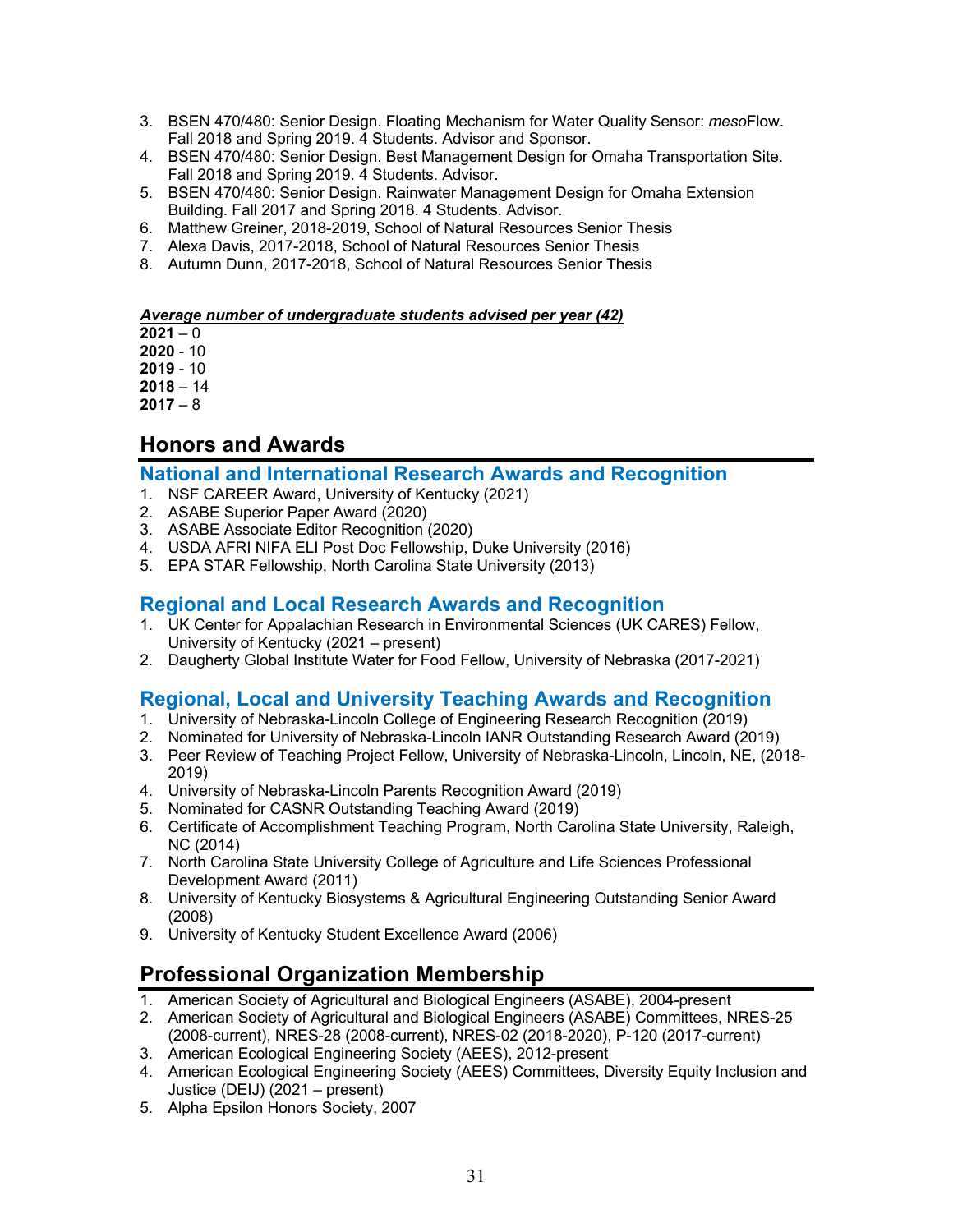- 3. BSEN 470/480: Senior Design. Floating Mechanism for Water Quality Sensor: *meso*Flow. Fall 2018 and Spring 2019. 4 Students. Advisor and Sponsor.
- 4. BSEN 470/480: Senior Design. Best Management Design for Omaha Transportation Site. Fall 2018 and Spring 2019. 4 Students. Advisor.
- 5. BSEN 470/480: Senior Design. Rainwater Management Design for Omaha Extension Building. Fall 2017 and Spring 2018. 4 Students. Advisor.
- 6. Matthew Greiner, 2018-2019, School of Natural Resources Senior Thesis
- 7. Alexa Davis, 2017-2018, School of Natural Resources Senior Thesis
- 8. Autumn Dunn, 2017-2018, School of Natural Resources Senior Thesis

#### *Average number of undergraduate students advised per year (42)*

 $2021 - 0$ 

**2020** - 10

**2019** - 10

**2018** – 14

**2017** – 8

## **Honors and Awards**

### **National and International Research Awards and Recognition**

- 1. NSF CAREER Award, University of Kentucky (2021)
- 2. ASABE Superior Paper Award (2020)
- 3. ASABE Associate Editor Recognition (2020)
- 4. USDA AFRI NIFA ELI Post Doc Fellowship, Duke University (2016)
- 5. EPA STAR Fellowship, North Carolina State University (2013)

## **Regional and Local Research Awards and Recognition**

- 1. UK Center for Appalachian Research in Environmental Sciences (UK CARES) Fellow, University of Kentucky (2021 – present)
- 2. Daugherty Global Institute Water for Food Fellow, University of Nebraska (2017-2021)

## **Regional, Local and University Teaching Awards and Recognition**

- 1. University of Nebraska-Lincoln College of Engineering Research Recognition (2019)
- 2. Nominated for University of Nebraska-Lincoln IANR Outstanding Research Award (2019)
- 3. Peer Review of Teaching Project Fellow, University of Nebraska-Lincoln, Lincoln, NE, (2018- 2019)
- 4. University of Nebraska-Lincoln Parents Recognition Award (2019)
- 5. Nominated for CASNR Outstanding Teaching Award (2019)
- 6. Certificate of Accomplishment Teaching Program, North Carolina State University, Raleigh, NC (2014)
- 7. North Carolina State University College of Agriculture and Life Sciences Professional Development Award (2011)
- 8. University of Kentucky Biosystems & Agricultural Engineering Outstanding Senior Award (2008)
- 9. University of Kentucky Student Excellence Award (2006)

# **Professional Organization Membership**

- 1. American Society of Agricultural and Biological Engineers (ASABE), 2004-present
- 2. American Society of Agricultural and Biological Engineers (ASABE) Committees, NRES-25 (2008-current), NRES-28 (2008-current), NRES-02 (2018-2020), P-120 (2017-current)
- 3. American Ecological Engineering Society (AEES), 2012-present
- 4. American Ecological Engineering Society (AEES) Committees, Diversity Equity Inclusion and Justice (DEIJ) (2021 – present)
- 5. Alpha Epsilon Honors Society, 2007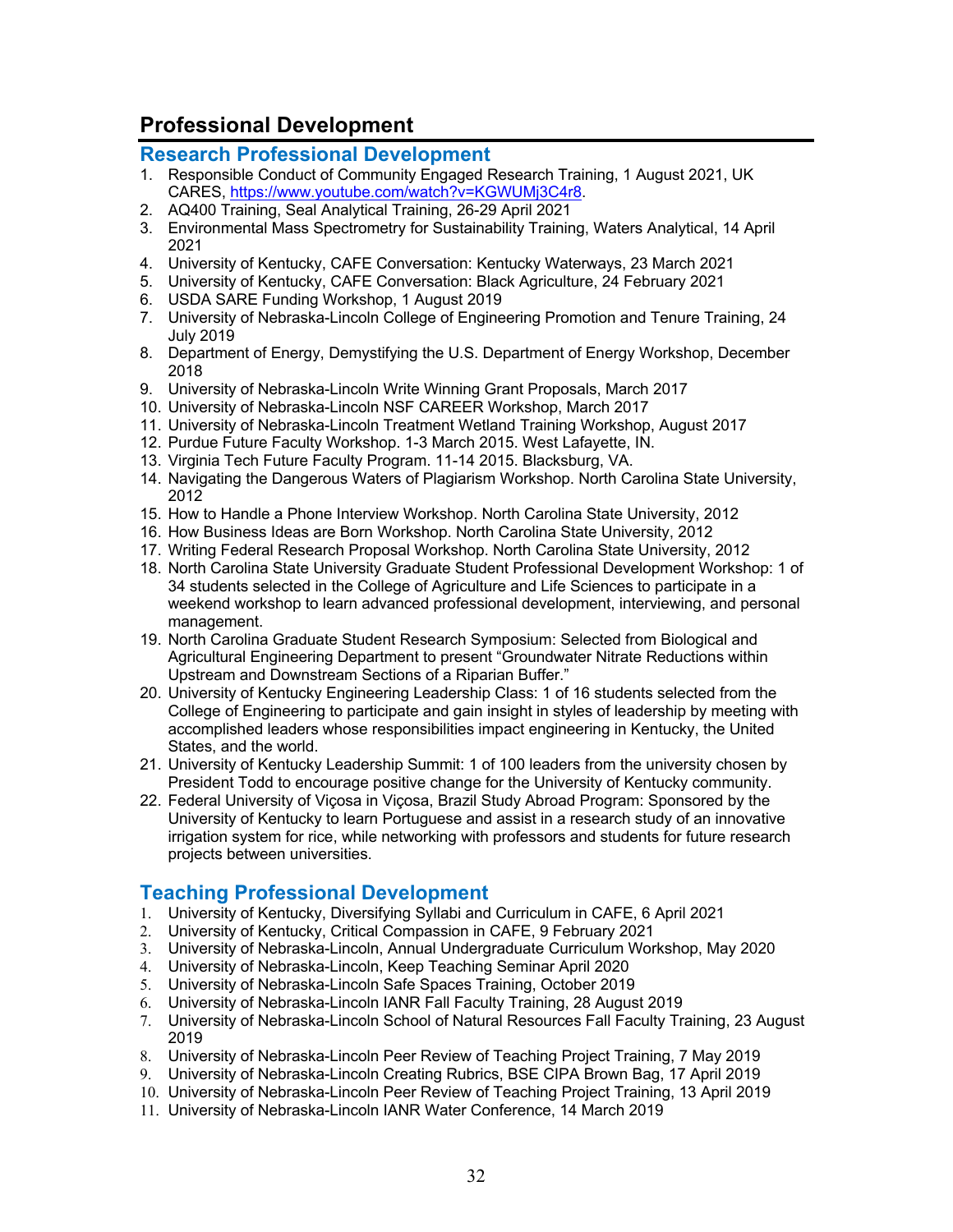# **Professional Development**

### **Research Professional Development**

- 1. Responsible Conduct of Community Engaged Research Training, 1 August 2021, UK CARES, https://www.youtube.com/watch?v=KGWUMj3C4r8.
- 2. AQ400 Training, Seal Analytical Training, 26-29 April 2021
- 3. Environmental Mass Spectrometry for Sustainability Training, Waters Analytical, 14 April 2021
- 4. University of Kentucky, CAFE Conversation: Kentucky Waterways, 23 March 2021
- 5. University of Kentucky, CAFE Conversation: Black Agriculture, 24 February 2021
- 6. USDA SARE Funding Workshop, 1 August 2019
- 7. University of Nebraska-Lincoln College of Engineering Promotion and Tenure Training, 24 July 2019
- 8. Department of Energy, Demystifying the U.S. Department of Energy Workshop, December 2018
- 9. University of Nebraska-Lincoln Write Winning Grant Proposals, March 2017
- 10. University of Nebraska-Lincoln NSF CAREER Workshop, March 2017
- 11. University of Nebraska-Lincoln Treatment Wetland Training Workshop, August 2017
- 12. Purdue Future Faculty Workshop. 1-3 March 2015. West Lafayette, IN.
- 13. Virginia Tech Future Faculty Program. 11-14 2015. Blacksburg, VA.
- 14. Navigating the Dangerous Waters of Plagiarism Workshop. North Carolina State University, 2012
- 15. How to Handle a Phone Interview Workshop. North Carolina State University, 2012
- 16. How Business Ideas are Born Workshop. North Carolina State University, 2012
- 17. Writing Federal Research Proposal Workshop. North Carolina State University, 2012
- 18. North Carolina State University Graduate Student Professional Development Workshop: 1 of 34 students selected in the College of Agriculture and Life Sciences to participate in a weekend workshop to learn advanced professional development, interviewing, and personal management.
- 19. North Carolina Graduate Student Research Symposium: Selected from Biological and Agricultural Engineering Department to present "Groundwater Nitrate Reductions within Upstream and Downstream Sections of a Riparian Buffer."
- 20. University of Kentucky Engineering Leadership Class: 1 of 16 students selected from the College of Engineering to participate and gain insight in styles of leadership by meeting with accomplished leaders whose responsibilities impact engineering in Kentucky, the United States, and the world.
- 21. University of Kentucky Leadership Summit: 1 of 100 leaders from the university chosen by President Todd to encourage positive change for the University of Kentucky community.
- 22. Federal University of Viçosa in Viçosa, Brazil Study Abroad Program: Sponsored by the University of Kentucky to learn Portuguese and assist in a research study of an innovative irrigation system for rice, while networking with professors and students for future research projects between universities.

## **Teaching Professional Development**

- 1. University of Kentucky, Diversifying Syllabi and Curriculum in CAFE, 6 April 2021
- 2. University of Kentucky, Critical Compassion in CAFE, 9 February 2021
- 3. University of Nebraska-Lincoln, Annual Undergraduate Curriculum Workshop, May 2020
- 4. University of Nebraska-Lincoln, Keep Teaching Seminar April 2020
- 5. University of Nebraska-Lincoln Safe Spaces Training, October 2019
- 6. University of Nebraska-Lincoln IANR Fall Faculty Training, 28 August 2019
- 7. University of Nebraska-Lincoln School of Natural Resources Fall Faculty Training, 23 August 2019
- 8. University of Nebraska-Lincoln Peer Review of Teaching Project Training, 7 May 2019
- 9. University of Nebraska-Lincoln Creating Rubrics, BSE CIPA Brown Bag, 17 April 2019
- 10. University of Nebraska-Lincoln Peer Review of Teaching Project Training, 13 April 2019
- 11. University of Nebraska-Lincoln IANR Water Conference, 14 March 2019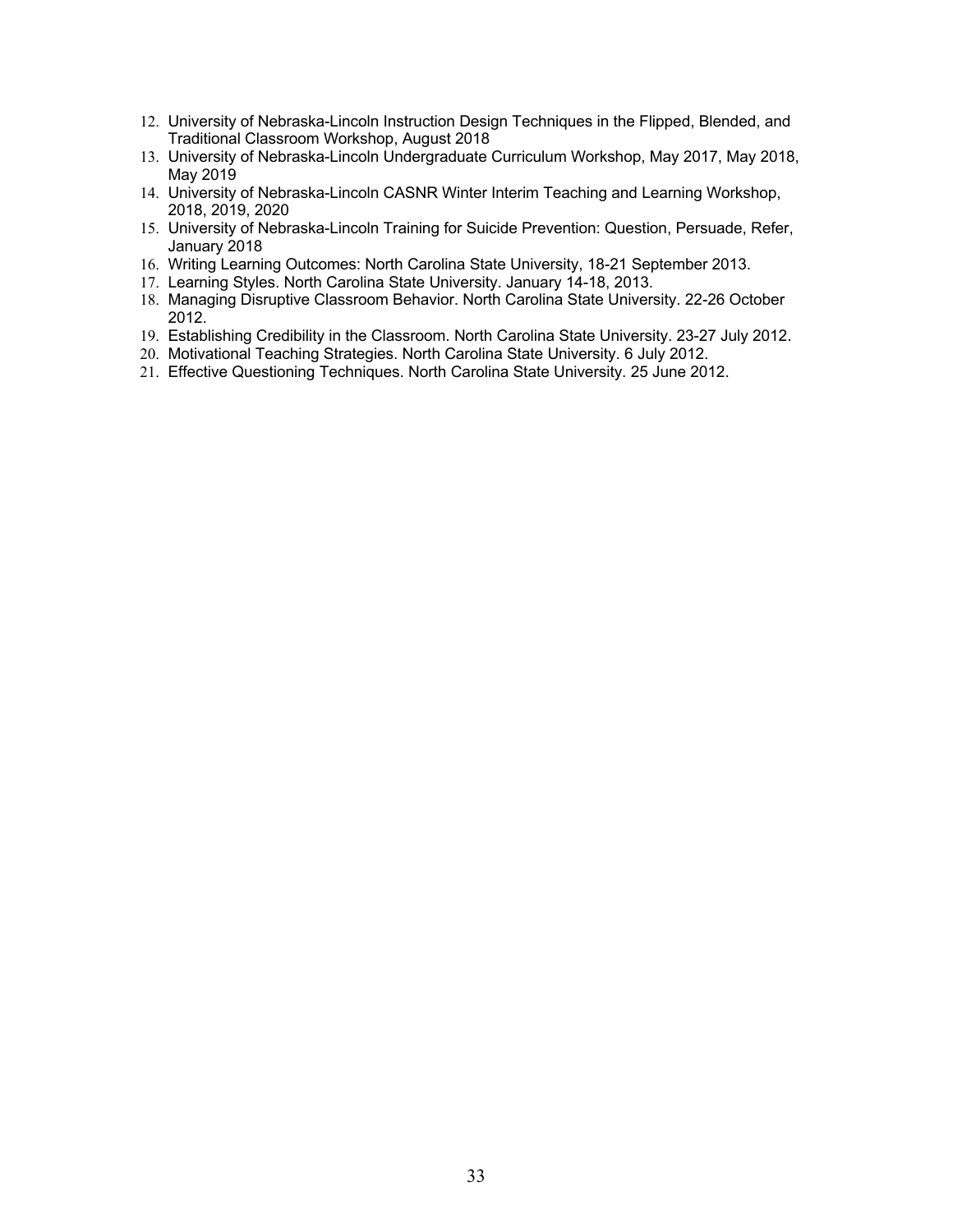- 12. University of Nebraska-Lincoln Instruction Design Techniques in the Flipped, Blended, and Traditional Classroom Workshop, August 2018
- 13. University of Nebraska-Lincoln Undergraduate Curriculum Workshop, May 2017, May 2018, May 2019
- 14. University of Nebraska-Lincoln CASNR Winter Interim Teaching and Learning Workshop, 2018, 2019, 2020
- 15. University of Nebraska-Lincoln Training for Suicide Prevention: Question, Persuade, Refer, January 2018
- 16. Writing Learning Outcomes: North Carolina State University, 18-21 September 2013.
- 17. Learning Styles. North Carolina State University. January 14-18, 2013.
- 18. Managing Disruptive Classroom Behavior. North Carolina State University. 22-26 October 2012.
- 19. Establishing Credibility in the Classroom. North Carolina State University. 23-27 July 2012.
- 20. Motivational Teaching Strategies. North Carolina State University. 6 July 2012.
- 21. Effective Questioning Techniques. North Carolina State University. 25 June 2012.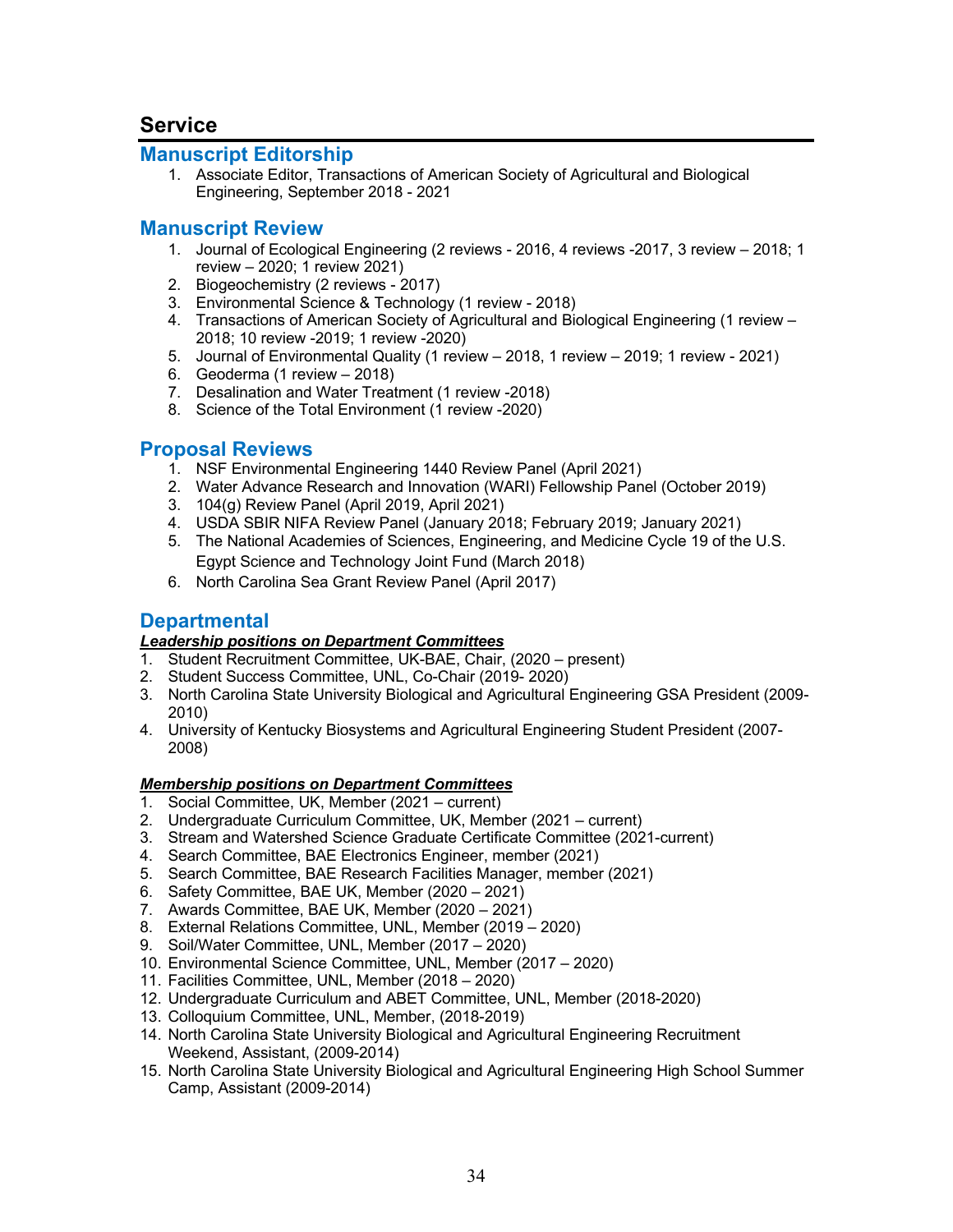# **Service**

### **Manuscript Editorship**

1. Associate Editor, Transactions of American Society of Agricultural and Biological Engineering, September 2018 - 2021

### **Manuscript Review**

- 1. Journal of Ecological Engineering (2 reviews 2016, 4 reviews -2017, 3 review 2018; 1 review – 2020; 1 review 2021)
- 2. Biogeochemistry (2 reviews 2017)
- 3. Environmental Science & Technology (1 review 2018)
- 4. Transactions of American Society of Agricultural and Biological Engineering (1 review 2018; 10 review -2019; 1 review -2020)
- 5. Journal of Environmental Quality (1 review 2018, 1 review 2019; 1 review 2021)
- 6. Geoderma (1 review 2018)
- 7. Desalination and Water Treatment (1 review -2018)
- 8. Science of the Total Environment (1 review -2020)

## **Proposal Reviews**

- 1. NSF Environmental Engineering 1440 Review Panel (April 2021)
- 2. Water Advance Research and Innovation (WARI) Fellowship Panel (October 2019)
- 3. 104(g) Review Panel (April 2019, April 2021)
- 4. USDA SBIR NIFA Review Panel (January 2018; February 2019; January 2021)
- 5. The National Academies of Sciences, Engineering, and Medicine Cycle 19 of the U.S. Egypt Science and Technology Joint Fund (March 2018)
- 6. North Carolina Sea Grant Review Panel (April 2017)

### **Departmental**

### *Leadership positions on Department Committees*

- 1. Student Recruitment Committee, UK-BAE, Chair, (2020 present)
- 2. Student Success Committee, UNL, Co-Chair (2019- 2020)
- 3. North Carolina State University Biological and Agricultural Engineering GSA President (2009- 2010)
- 4. University of Kentucky Biosystems and Agricultural Engineering Student President (2007- 2008)

#### *Membership positions on Department Committees*

- 1. Social Committee, UK, Member (2021 current)
- 2. Undergraduate Curriculum Committee, UK, Member (2021 current)
- 3. Stream and Watershed Science Graduate Certificate Committee (2021-current)
- 4. Search Committee, BAE Electronics Engineer, member (2021)
- 5. Search Committee, BAE Research Facilities Manager, member (2021)
- 6. Safety Committee, BAE UK, Member (2020 2021)
- 7. Awards Committee, BAE UK, Member (2020 2021)
- 8. External Relations Committee, UNL, Member (2019 2020)
- 9. Soil/Water Committee, UNL, Member (2017 2020)
- 10. Environmental Science Committee, UNL, Member (2017 2020)
- 11. Facilities Committee, UNL, Member (2018 2020)
- 12. Undergraduate Curriculum and ABET Committee, UNL, Member (2018-2020)
- 13. Colloquium Committee, UNL, Member, (2018-2019)
- 14. North Carolina State University Biological and Agricultural Engineering Recruitment Weekend, Assistant, (2009-2014)
- 15. North Carolina State University Biological and Agricultural Engineering High School Summer Camp, Assistant (2009-2014)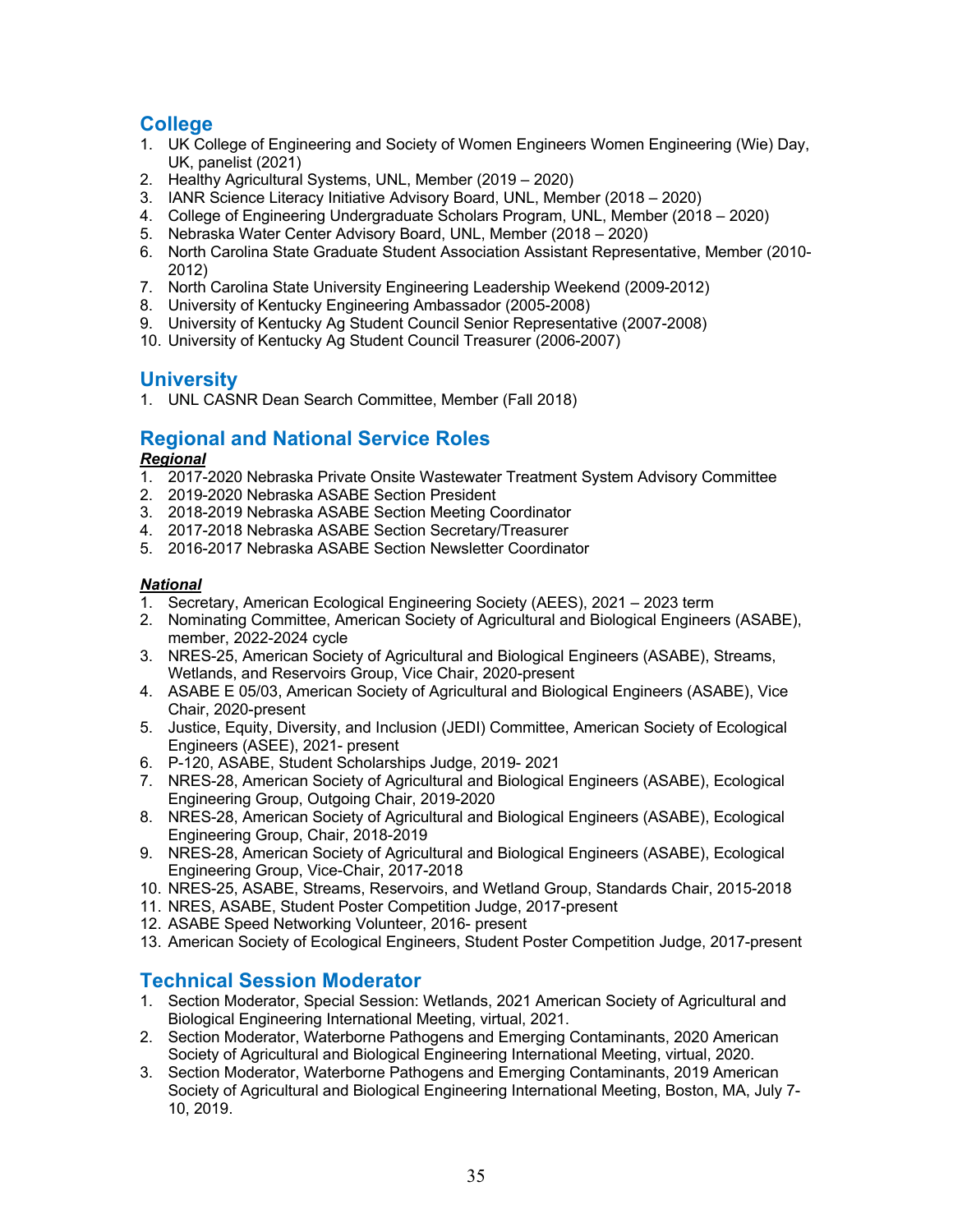## **College**

- 1. UK College of Engineering and Society of Women Engineers Women Engineering (Wie) Day, UK, panelist (2021)
- 2. Healthy Agricultural Systems, UNL, Member (2019 2020)
- 3. IANR Science Literacy Initiative Advisory Board, UNL, Member (2018 2020)
- 4. College of Engineering Undergraduate Scholars Program, UNL, Member (2018 2020)
- 5. Nebraska Water Center Advisory Board, UNL, Member (2018 2020)
- 6. North Carolina State Graduate Student Association Assistant Representative, Member (2010- 2012)
- 7. North Carolina State University Engineering Leadership Weekend (2009-2012)
- 8. University of Kentucky Engineering Ambassador (2005-2008)
- 9. University of Kentucky Ag Student Council Senior Representative (2007-2008)
- 10. University of Kentucky Ag Student Council Treasurer (2006-2007)

## **University**

1. UNL CASNR Dean Search Committee, Member (Fall 2018)

# **Regional and National Service Roles**

#### *Regional*

- 1. 2017-2020 Nebraska Private Onsite Wastewater Treatment System Advisory Committee
- 2. 2019-2020 Nebraska ASABE Section President
- 3. 2018-2019 Nebraska ASABE Section Meeting Coordinator
- 4. 2017-2018 Nebraska ASABE Section Secretary/Treasurer
- 5. 2016-2017 Nebraska ASABE Section Newsletter Coordinator

#### *National*

- 1. Secretary, American Ecological Engineering Society (AEES), 2021 2023 term
- 2. Nominating Committee, American Society of Agricultural and Biological Engineers (ASABE), member, 2022-2024 cycle
- 3. NRES-25, American Society of Agricultural and Biological Engineers (ASABE), Streams, Wetlands, and Reservoirs Group, Vice Chair, 2020-present
- 4. ASABE E 05/03, American Society of Agricultural and Biological Engineers (ASABE), Vice Chair, 2020-present
- 5. Justice, Equity, Diversity, and Inclusion (JEDI) Committee, American Society of Ecological Engineers (ASEE), 2021- present
- 6. P-120, ASABE, Student Scholarships Judge, 2019- 2021
- 7. NRES-28, American Society of Agricultural and Biological Engineers (ASABE), Ecological Engineering Group, Outgoing Chair, 2019-2020
- 8. NRES-28, American Society of Agricultural and Biological Engineers (ASABE), Ecological Engineering Group, Chair, 2018-2019
- 9. NRES-28, American Society of Agricultural and Biological Engineers (ASABE), Ecological Engineering Group, Vice-Chair, 2017-2018
- 10. NRES-25, ASABE, Streams, Reservoirs, and Wetland Group, Standards Chair, 2015-2018
- 11. NRES, ASABE, Student Poster Competition Judge, 2017-present
- 12. ASABE Speed Networking Volunteer, 2016- present
- 13. American Society of Ecological Engineers, Student Poster Competition Judge, 2017-present

## **Technical Session Moderator**

- 1. Section Moderator, Special Session: Wetlands, 2021 American Society of Agricultural and Biological Engineering International Meeting, virtual, 2021.
- 2. Section Moderator, Waterborne Pathogens and Emerging Contaminants, 2020 American Society of Agricultural and Biological Engineering International Meeting, virtual, 2020.
- 3. Section Moderator, Waterborne Pathogens and Emerging Contaminants, 2019 American Society of Agricultural and Biological Engineering International Meeting, Boston, MA, July 7- 10, 2019.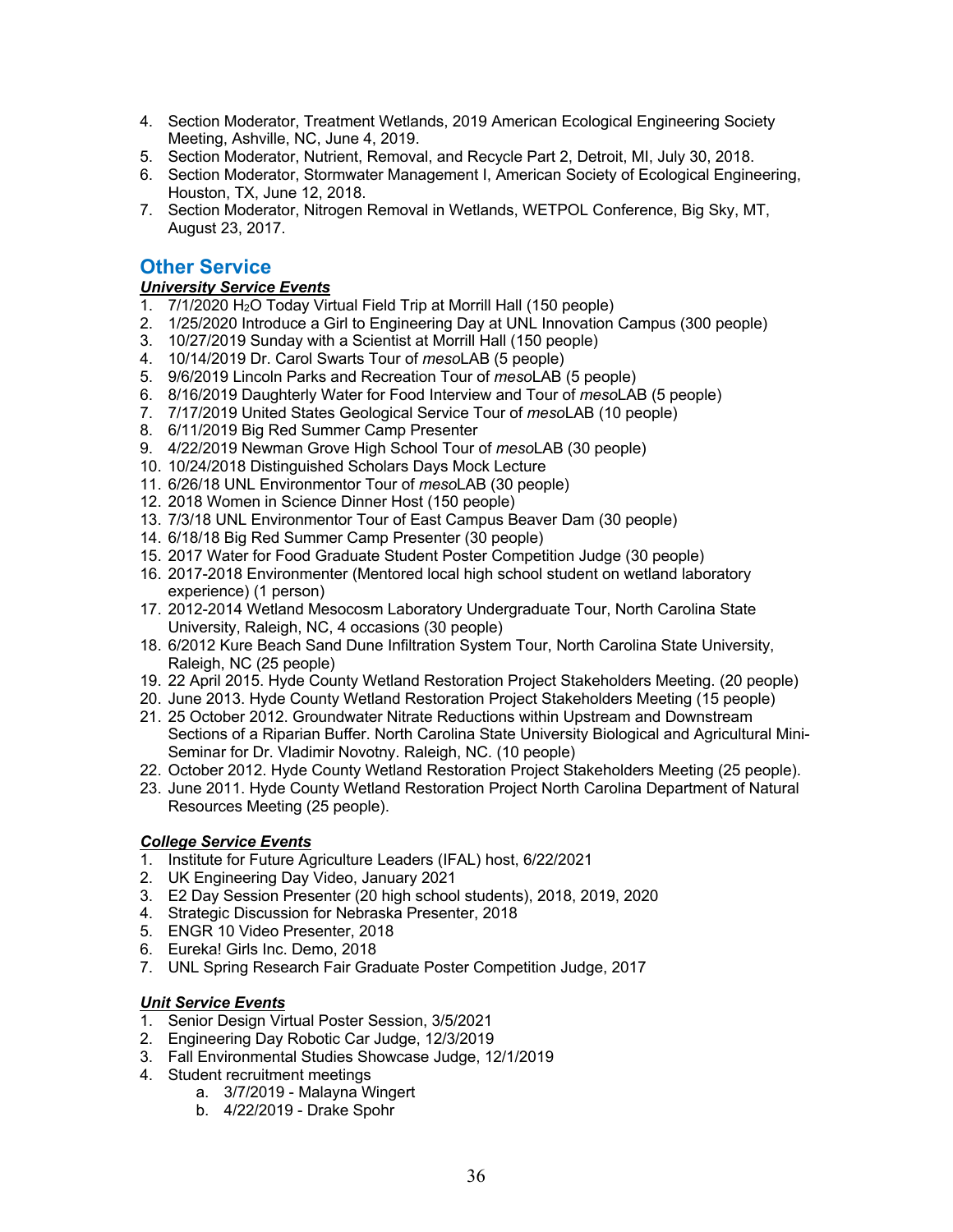- 4. Section Moderator, Treatment Wetlands, 2019 American Ecological Engineering Society Meeting, Ashville, NC, June 4, 2019.
- 5. Section Moderator, Nutrient, Removal, and Recycle Part 2, Detroit, MI, July 30, 2018.
- 6. Section Moderator, Stormwater Management I, American Society of Ecological Engineering, Houston, TX, June 12, 2018.
- 7. Section Moderator, Nitrogen Removal in Wetlands, WETPOL Conference, Big Sky, MT, August 23, 2017.

## **Other Service**

#### *University Service Events*

- 1. 7/1/2020 H2O Today Virtual Field Trip at Morrill Hall (150 people)
- 2. 1/25/2020 Introduce a Girl to Engineering Day at UNL Innovation Campus (300 people)
- 3. 10/27/2019 Sunday with a Scientist at Morrill Hall (150 people)
- 4. 10/14/2019 Dr. Carol Swarts Tour of *meso*LAB (5 people)
- 5. 9/6/2019 Lincoln Parks and Recreation Tour of *meso*LAB (5 people)
- 6. 8/16/2019 Daughterly Water for Food Interview and Tour of *meso*LAB (5 people)
- 7. 7/17/2019 United States Geological Service Tour of *meso*LAB (10 people)
- 8. 6/11/2019 Big Red Summer Camp Presenter
- 9. 4/22/2019 Newman Grove High School Tour of *meso*LAB (30 people)
- 10. 10/24/2018 Distinguished Scholars Days Mock Lecture
- 11. 6/26/18 UNL Environmentor Tour of *meso*LAB (30 people)
- 12. 2018 Women in Science Dinner Host (150 people)
- 13. 7/3/18 UNL Environmentor Tour of East Campus Beaver Dam (30 people)
- 14. 6/18/18 Big Red Summer Camp Presenter (30 people)
- 15. 2017 Water for Food Graduate Student Poster Competition Judge (30 people)
- 16. 2017-2018 Environmenter (Mentored local high school student on wetland laboratory experience) (1 person)
- 17. 2012-2014 Wetland Mesocosm Laboratory Undergraduate Tour, North Carolina State University, Raleigh, NC, 4 occasions (30 people)
- 18. 6/2012 Kure Beach Sand Dune Infiltration System Tour, North Carolina State University, Raleigh, NC (25 people)
- 19. 22 April 2015. Hyde County Wetland Restoration Project Stakeholders Meeting. (20 people)
- 20. June 2013. Hyde County Wetland Restoration Project Stakeholders Meeting (15 people)
- 21. 25 October 2012. Groundwater Nitrate Reductions within Upstream and Downstream Sections of a Riparian Buffer. North Carolina State University Biological and Agricultural Mini-Seminar for Dr. Vladimir Novotny. Raleigh, NC. (10 people)
- 22. October 2012. Hyde County Wetland Restoration Project Stakeholders Meeting (25 people).
- 23. June 2011. Hyde County Wetland Restoration Project North Carolina Department of Natural Resources Meeting (25 people).

### *College Service Events*

- 1. Institute for Future Agriculture Leaders (IFAL) host, 6/22/2021
- 2. UK Engineering Day Video, January 2021
- 3. E2 Day Session Presenter (20 high school students), 2018, 2019, 2020
- 4. Strategic Discussion for Nebraska Presenter, 2018
- 5. ENGR 10 Video Presenter, 2018
- 6. Eureka! Girls Inc. Demo, 2018
- 7. UNL Spring Research Fair Graduate Poster Competition Judge, 2017

#### *Unit Service Events*

- 1. Senior Design Virtual Poster Session, 3/5/2021
- 2. Engineering Day Robotic Car Judge, 12/3/2019
- 3. Fall Environmental Studies Showcase Judge, 12/1/2019
- 4. Student recruitment meetings
	- a. 3/7/2019 Malayna Wingert
	- b. 4/22/2019 Drake Spohr